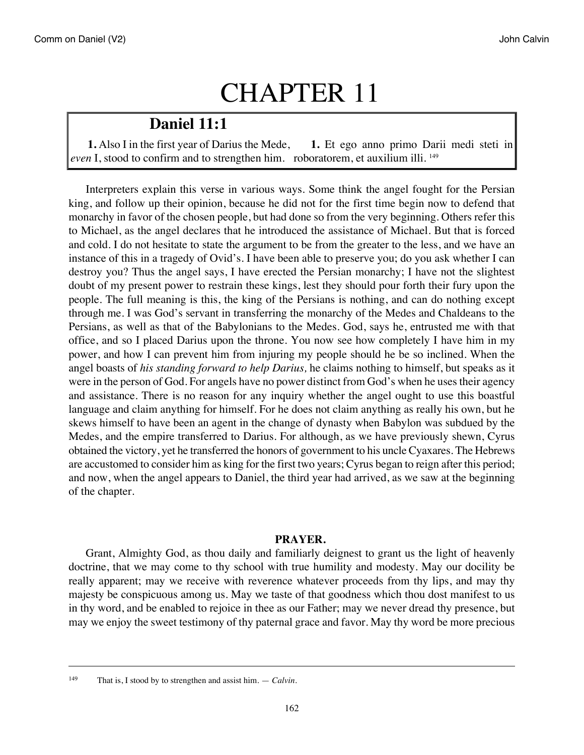# CHAPTER 11

#### **Daniel 11:1**

**1.** Et ego anno primo Darii medi steti in *even* I, stood to confirm and to strengthen him. roboratorem, et auxilium illi. <sup>149</sup> **1.** Also I in the first year of Darius the Mede,

Interpreters explain this verse in various ways. Some think the angel fought for the Persian king, and follow up their opinion, because he did not for the first time begin now to defend that monarchy in favor of the chosen people, but had done so from the very beginning. Others refer this to Michael, as the angel declares that he introduced the assistance of Michael. But that is forced and cold. I do not hesitate to state the argument to be from the greater to the less, and we have an instance of this in a tragedy of Ovid's. I have been able to preserve you; do you ask whether I can destroy you? Thus the angel says, I have erected the Persian monarchy; I have not the slightest doubt of my present power to restrain these kings, lest they should pour forth their fury upon the people. The full meaning is this, the king of the Persians is nothing, and can do nothing except through me. I was God's servant in transferring the monarchy of the Medes and Chaldeans to the Persians, as well as that of the Babylonians to the Medes. God, says he, entrusted me with that office, and so I placed Darius upon the throne. You now see how completely I have him in my power, and how I can prevent him from injuring my people should he be so inclined. When the angel boasts of *his standing forward to help Darius,* he claims nothing to himself, but speaks as it were in the person of God. For angels have no power distinct from God's when he uses their agency and assistance. There is no reason for any inquiry whether the angel ought to use this boastful language and claim anything for himself. For he does not claim anything as really his own, but he skews himself to have been an agent in the change of dynasty when Babylon was subdued by the Medes, and the empire transferred to Darius. For although, as we have previously shewn, Cyrus obtained the victory, yet he transferred the honors of government to his uncle Cyaxares. The Hebrews are accustomed to consider him as king for the first two years; Cyrus began to reign after this period; and now, when the angel appears to Daniel, the third year had arrived, as we saw at the beginning of the chapter.

#### **PRAYER.**

Grant, Almighty God, as thou daily and familiarly deignest to grant us the light of heavenly doctrine, that we may come to thy school with true humility and modesty. May our docility be really apparent; may we receive with reverence whatever proceeds from thy lips, and may thy majesty be conspicuous among us. May we taste of that goodness which thou dost manifest to us in thy word, and be enabled to rejoice in thee as our Father; may we never dread thy presence, but may we enjoy the sweet testimony of thy paternal grace and favor. May thy word be more precious

<sup>149</sup> That is, I stood by to strengthen and assist him. — *Calvin*.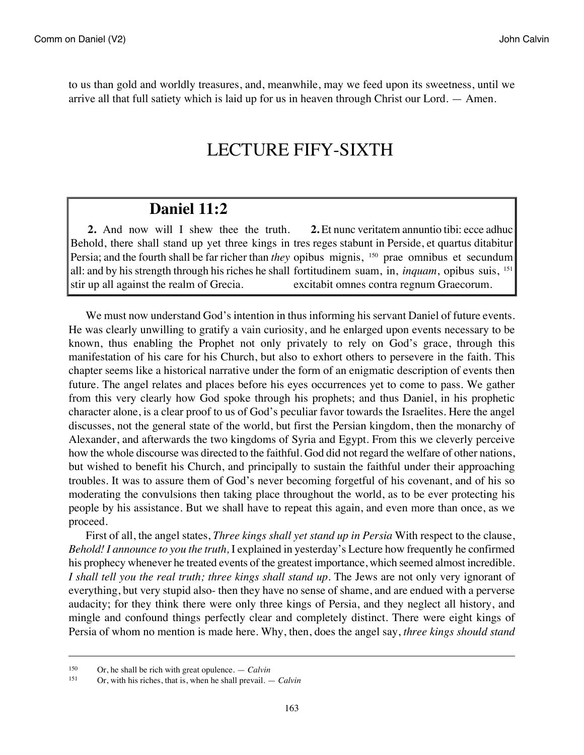to us than gold and worldly treasures, and, meanwhile, may we feed upon its sweetness, until we arrive all that full satiety which is laid up for us in heaven through Christ our Lord. — Amen.

## LECTURE FIFY-SIXTH

#### **Daniel 11:2**

**2.** Et nunc veritatem annuntio tibi: ecce adhuc Behold, there shall stand up yet three kings in tres reges stabunt in Perside, et quartus ditabitur **2.** And now will I shew thee the truth. Persia; and the fourth shall be far richer than *they* opibus mignis, <sup>150</sup> prae omnibus et secundum all: and by his strength through his riches he shall fortitudinem suam, in, *inquam*, opibus suis, 151 stir up all against the realm of Grecia. excitabit omnes contra regnum Graecorum.

We must now understand God's intention in thus informing his servant Daniel of future events. He was clearly unwilling to gratify a vain curiosity, and he enlarged upon events necessary to be known, thus enabling the Prophet not only privately to rely on God's grace, through this manifestation of his care for his Church, but also to exhort others to persevere in the faith. This chapter seems like a historical narrative under the form of an enigmatic description of events then future. The angel relates and places before his eyes occurrences yet to come to pass. We gather from this very clearly how God spoke through his prophets; and thus Daniel, in his prophetic character alone, is a clear proof to us of God's peculiar favor towards the Israelites. Here the angel discusses, not the general state of the world, but first the Persian kingdom, then the monarchy of Alexander, and afterwards the two kingdoms of Syria and Egypt. From this we cleverly perceive how the whole discourse was directed to the faithful. God did not regard the welfare of other nations, but wished to benefit his Church, and principally to sustain the faithful under their approaching troubles. It was to assure them of God's never becoming forgetful of his covenant, and of his so moderating the convulsions then taking place throughout the world, as to be ever protecting his people by his assistance. But we shall have to repeat this again, and even more than once, as we proceed.

First of all, the angel states, *Three kings shall yet stand up in Persia* With respect to the clause, *Behold! I announce to you the truth,* I explained in yesterday's Lecture how frequently he confirmed his prophecy whenever he treated events of the greatest importance, which seemed almost incredible. *I shall tell you the real truth; three kings shall stand up.* The Jews are not only very ignorant of everything, but very stupid also- then they have no sense of shame, and are endued with a perverse audacity; for they think there were only three kings of Persia, and they neglect all history, and mingle and confound things perfectly clear and completely distinct. There were eight kings of Persia of whom no mention is made here. Why, then, does the angel say, *three kings should stand*

<sup>&</sup>lt;sup>150</sup> Or, he shall be rich with great opulence.  $-$  *Calvin* 151 Or, with his riches that is when he shall prevail

<sup>151</sup> Or, with his riches, that is, when he shall prevail. — *Calvin*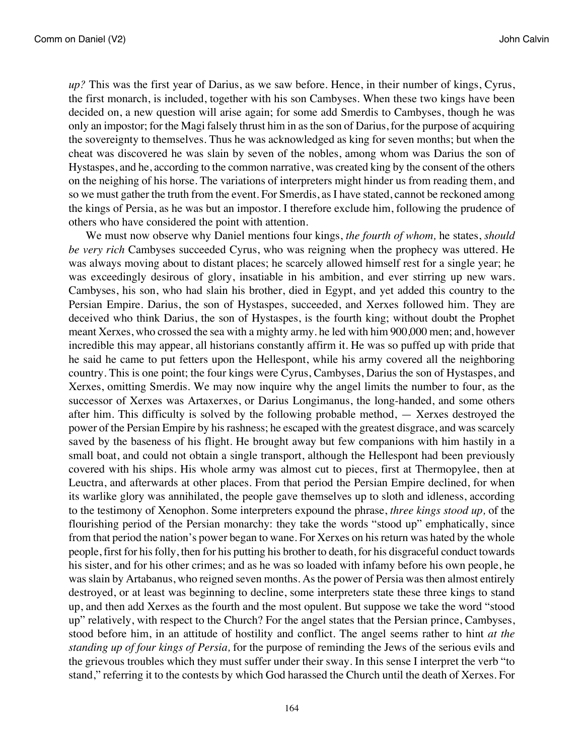*up?* This was the first year of Darius, as we saw before. Hence, in their number of kings, Cyrus, the first monarch, is included, together with his son Cambyses. When these two kings have been decided on, a new question will arise again; for some add Smerdis to Cambyses, though he was only an impostor; for the Magi falsely thrust him in as the son of Darius, for the purpose of acquiring the sovereignty to themselves. Thus he was acknowledged as king for seven months; but when the cheat was discovered he was slain by seven of the nobles, among whom was Darius the son of Hystaspes, and he, according to the common narrative, was created king by the consent of the others on the neighing of his horse. The variations of interpreters might hinder us from reading them, and so we must gather the truth from the event. For Smerdis, as I have stated, cannot be reckoned among the kings of Persia, as he was but an impostor. I therefore exclude him, following the prudence of others who have considered the point with attention.

We must now observe why Daniel mentions four kings, *the fourth of whom,* he states, *should be very rich* Cambyses succeeded Cyrus, who was reigning when the prophecy was uttered. He was always moving about to distant places; he scarcely allowed himself rest for a single year; he was exceedingly desirous of glory, insatiable in his ambition, and ever stirring up new wars. Cambyses, his son, who had slain his brother, died in Egypt, and yet added this country to the Persian Empire. Darius, the son of Hystaspes, succeeded, and Xerxes followed him. They are deceived who think Darius, the son of Hystaspes, is the fourth king; without doubt the Prophet meant Xerxes, who crossed the sea with a mighty army. he led with him 900,000 men; and, however incredible this may appear, all historians constantly affirm it. He was so puffed up with pride that he said he came to put fetters upon the Hellespont, while his army covered all the neighboring country. This is one point; the four kings were Cyrus, Cambyses, Darius the son of Hystaspes, and Xerxes, omitting Smerdis. We may now inquire why the angel limits the number to four, as the successor of Xerxes was Artaxerxes, or Darius Longimanus, the long-handed, and some others after him. This difficulty is solved by the following probable method, — Xerxes destroyed the power of the Persian Empire by his rashness; he escaped with the greatest disgrace, and was scarcely saved by the baseness of his flight. He brought away but few companions with him hastily in a small boat, and could not obtain a single transport, although the Hellespont had been previously covered with his ships. His whole army was almost cut to pieces, first at Thermopylee, then at Leuctra, and afterwards at other places. From that period the Persian Empire declined, for when its warlike glory was annihilated, the people gave themselves up to sloth and idleness, according to the testimony of Xenophon. Some interpreters expound the phrase, *three kings stood up,* of the flourishing period of the Persian monarchy: they take the words "stood up" emphatically, since from that period the nation's power began to wane. For Xerxes on his return was hated by the whole people, first for his folly, then for his putting his brother to death, for his disgraceful conduct towards his sister, and for his other crimes; and as he was so loaded with infamy before his own people, he was slain by Artabanus, who reigned seven months. As the power of Persia was then almost entirely destroyed, or at least was beginning to decline, some interpreters state these three kings to stand up, and then add Xerxes as the fourth and the most opulent. But suppose we take the word "stood up" relatively, with respect to the Church? For the angel states that the Persian prince, Cambyses, stood before him, in an attitude of hostility and conflict. The angel seems rather to hint *at the standing up of four kings of Persia,* for the purpose of reminding the Jews of the serious evils and the grievous troubles which they must suffer under their sway. In this sense I interpret the verb "to stand," referring it to the contests by which God harassed the Church until the death of Xerxes. For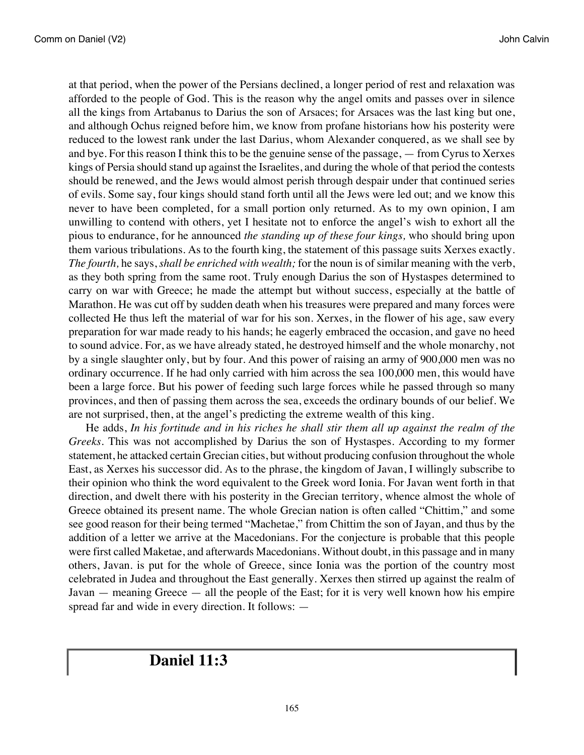at that period, when the power of the Persians declined, a longer period of rest and relaxation was afforded to the people of God. This is the reason why the angel omits and passes over in silence all the kings from Artabanus to Darius the son of Arsaces; for Arsaces was the last king but one, and although Ochus reigned before him, we know from profane historians how his posterity were reduced to the lowest rank under the last Darius, whom Alexander conquered, as we shall see by and bye. For this reason I think this to be the genuine sense of the passage, — from Cyrus to Xerxes kings of Persia should stand up against the Israelites, and during the whole of that period the contests should be renewed, and the Jews would almost perish through despair under that continued series of evils. Some say, four kings should stand forth until all the Jews were led out; and we know this never to have been completed, for a small portion only returned. As to my own opinion, I am unwilling to contend with others, yet I hesitate not to enforce the angel's wish to exhort all the pious to endurance, for he announced *the standing up of these four kings,* who should bring upon them various tribulations. As to the fourth king, the statement of this passage suits Xerxes exactly. *The fourth,* he says, *shall be enriched with wealth;* for the noun is of similar meaning with the verb, as they both spring from the same root. Truly enough Darius the son of Hystaspes determined to carry on war with Greece; he made the attempt but without success, especially at the battle of Marathon. He was cut off by sudden death when his treasures were prepared and many forces were collected He thus left the material of war for his son. Xerxes, in the flower of his age, saw every preparation for war made ready to his hands; he eagerly embraced the occasion, and gave no heed to sound advice. For, as we have already stated, he destroyed himself and the whole monarchy, not by a single slaughter only, but by four. And this power of raising an army of 900,000 men was no ordinary occurrence. If he had only carried with him across the sea 100,000 men, this would have been a large force. But his power of feeding such large forces while he passed through so many provinces, and then of passing them across the sea, exceeds the ordinary bounds of our belief. We are not surprised, then, at the angel's predicting the extreme wealth of this king.

He adds, *In his fortitude and in his riches he shall stir them all up against the realm of the Greeks.* This was not accomplished by Darius the son of Hystaspes. According to my former statement, he attacked certain Grecian cities, but without producing confusion throughout the whole East, as Xerxes his successor did. As to the phrase, the kingdom of Javan, I willingly subscribe to their opinion who think the word equivalent to the Greek word Ionia. For Javan went forth in that direction, and dwelt there with his posterity in the Grecian territory, whence almost the whole of Greece obtained its present name. The whole Grecian nation is often called "Chittim," and some see good reason for their being termed "Machetae," from Chittim the son of Jayan, and thus by the addition of a letter we arrive at the Macedonians. For the conjecture is probable that this people were first called Maketae, and afterwards Macedonians. Without doubt, in this passage and in many others, Javan. is put for the whole of Greece, since Ionia was the portion of the country most celebrated in Judea and throughout the East generally. Xerxes then stirred up against the realm of Javan — meaning Greece — all the people of the East; for it is very well known how his empire spread far and wide in every direction. It follows: —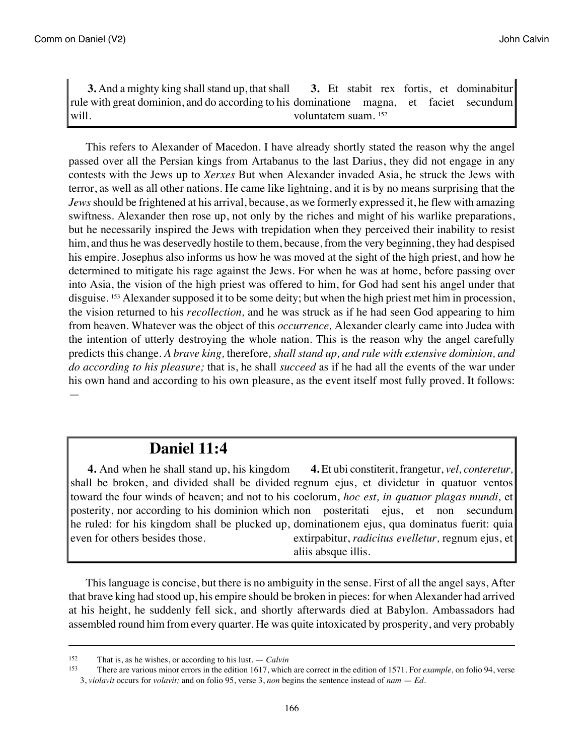**3.** Et stabit rex fortis, et dominabitur rule with great dominion, and do according to his dominatione magna, et faciet secundum voluntatem suam. 152 **3.** And a mighty king shall stand up, that shall will.

This refers to Alexander of Macedon. I have already shortly stated the reason why the angel passed over all the Persian kings from Artabanus to the last Darius, they did not engage in any contests with the Jews up to *Xerxes* But when Alexander invaded Asia, he struck the Jews with terror, as well as all other nations. He came like lightning, and it is by no means surprising that the *Jews* should be frightened at his arrival, because, as we formerly expressed it, he flew with amazing swiftness. Alexander then rose up, not only by the riches and might of his warlike preparations, but he necessarily inspired the Jews with trepidation when they perceived their inability to resist him, and thus he was deservedly hostile to them, because, from the very beginning, they had despised his empire. Josephus also informs us how he was moved at the sight of the high priest, and how he determined to mitigate his rage against the Jews. For when he was at home, before passing over into Asia, the vision of the high priest was offered to him, for God had sent his angel under that disguise. 153 Alexander supposed it to be some deity; but when the high priest met him in procession, the vision returned to his *recollection,* and he was struck as if he had seen God appearing to him from heaven. Whatever was the object of this *occurrence,* Alexander clearly came into Judea with the intention of utterly destroying the whole nation. This is the reason why the angel carefully predicts this change. *A brave king,* therefore*, shall stand up, and rule with extensive dominion, and do according to his pleasure;* that is, he shall *succeed* as if he had all the events of the war under his own hand and according to his own pleasure, as the event itself most fully proved. It follows: —

#### **Daniel 11:4**

**4.** Et ubi constiterit, frangetur, *vel, conteretur,* shall be broken, and divided shall be divided regnum ejus, et dividetur in quatuor ventos **4.** And when he shall stand up, his kingdom toward the four winds of heaven; and not to his coelorum, *hoc est, in quatuor plagas mundi,* et posterity, nor according to his dominion which non posteritati ejus, et non secundum he ruled: for his kingdom shall be plucked up, dominationem ejus, qua dominatus fuerit: quia even for others besides those. extirpabitur, *radicitus evelletur,* regnum ejus, et aliis absque illis.

This language is concise, but there is no ambiguity in the sense. First of all the angel says, After that brave king had stood up, his empire should be broken in pieces: for when Alexander had arrived at his height, he suddenly fell sick, and shortly afterwards died at Babylon. Ambassadors had assembled round him from every quarter. He was quite intoxicated by prosperity, and very probably

<sup>152</sup> That is, as he wishes, or according to his lust. — *Calvin*

<sup>153</sup> There are various minor errors in the edition 1617, which are correct in the edition of 1571. For *example,* on folio 94, verse 3, *violavit* occurs for *volavit;* and on folio 95, verse 3, *non* begins the sentence instead of *nam* — *Ed*.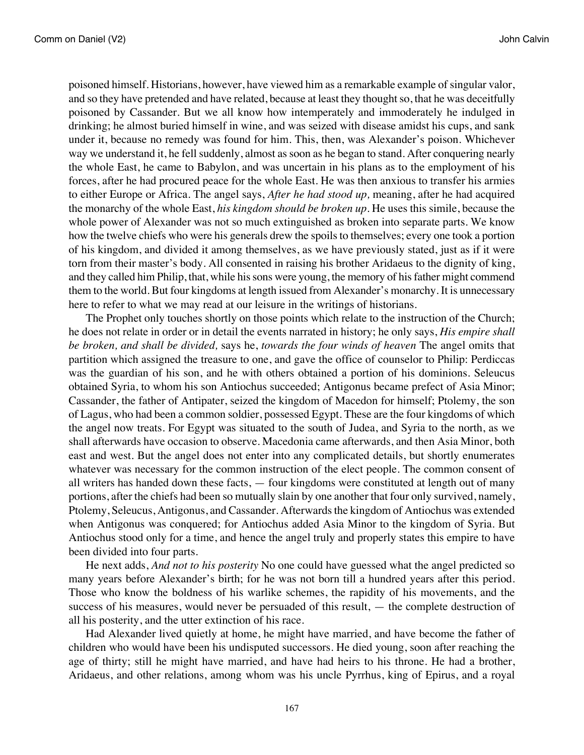poisoned himself. Historians, however, have viewed him as a remarkable example of singular valor, and so they have pretended and have related, because at least they thought so, that he was deceitfully poisoned by Cassander. But we all know how intemperately and immoderately he indulged in drinking; he almost buried himself in wine, and was seized with disease amidst his cups, and sank under it, because no remedy was found for him. This, then, was Alexander's poison. Whichever way we understand it, he fell suddenly, almost as soon as he began to stand. After conquering nearly the whole East, he came to Babylon, and was uncertain in his plans as to the employment of his forces, after he had procured peace for the whole East. He was then anxious to transfer his armies to either Europe or Africa. The angel says, *After he had stood up,* meaning, after he had acquired the monarchy of the whole East, *his kingdom should be broken up.* He uses this simile, because the whole power of Alexander was not so much extinguished as broken into separate parts. We know how the twelve chiefs who were his generals drew the spoils to themselves; every one took a portion of his kingdom, and divided it among themselves, as we have previously stated, just as if it were torn from their master's body. All consented in raising his brother Aridaeus to the dignity of king, and they called him Philip, that, while his sons were young, the memory of his father might commend them to the world. But four kingdoms at length issued from Alexander's monarchy. It is unnecessary here to refer to what we may read at our leisure in the writings of historians.

The Prophet only touches shortly on those points which relate to the instruction of the Church; he does not relate in order or in detail the events narrated in history; he only says, *His empire shall be broken, and shall be divided,* says he, *towards the four winds of heaven* The angel omits that partition which assigned the treasure to one, and gave the office of counselor to Philip: Perdiccas was the guardian of his son, and he with others obtained a portion of his dominions. Seleucus obtained Syria, to whom his son Antiochus succeeded; Antigonus became prefect of Asia Minor; Cassander, the father of Antipater, seized the kingdom of Macedon for himself; Ptolemy, the son of Lagus, who had been a common soldier, possessed Egypt. These are the four kingdoms of which the angel now treats. For Egypt was situated to the south of Judea, and Syria to the north, as we shall afterwards have occasion to observe. Macedonia came afterwards, and then Asia Minor, both east and west. But the angel does not enter into any complicated details, but shortly enumerates whatever was necessary for the common instruction of the elect people. The common consent of all writers has handed down these facts, — four kingdoms were constituted at length out of many portions, after the chiefs had been so mutually slain by one another that four only survived, namely, Ptolemy, Seleucus, Antigonus, and Cassander. Afterwards the kingdom of Antiochus was extended when Antigonus was conquered; for Antiochus added Asia Minor to the kingdom of Syria. But Antiochus stood only for a time, and hence the angel truly and properly states this empire to have been divided into four parts.

He next adds, *And not to his posterity* No one could have guessed what the angel predicted so many years before Alexander's birth; for he was not born till a hundred years after this period. Those who know the boldness of his warlike schemes, the rapidity of his movements, and the success of his measures, would never be persuaded of this result, — the complete destruction of all his posterity, and the utter extinction of his race.

Had Alexander lived quietly at home, he might have married, and have become the father of children who would have been his undisputed successors. He died young, soon after reaching the age of thirty; still he might have married, and have had heirs to his throne. He had a brother, Aridaeus, and other relations, among whom was his uncle Pyrrhus, king of Epirus, and a royal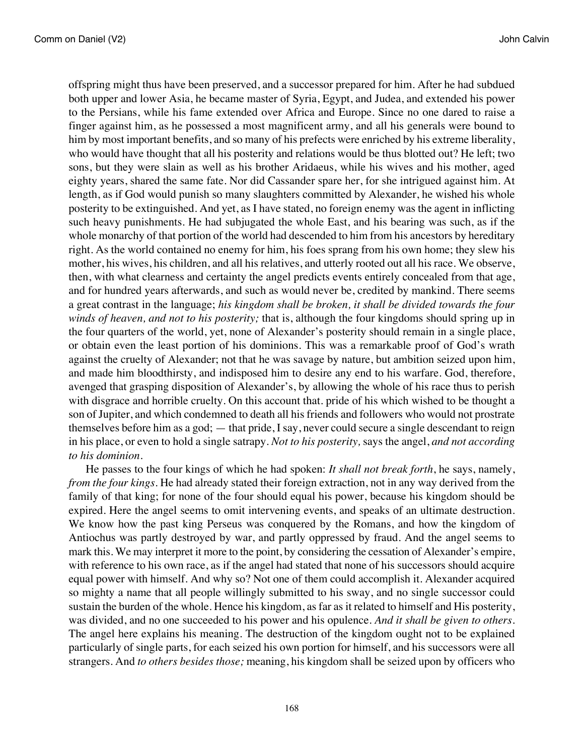offspring might thus have been preserved, and a successor prepared for him. After he had subdued both upper and lower Asia, he became master of Syria, Egypt, and Judea, and extended his power to the Persians, while his fame extended over Africa and Europe. Since no one dared to raise a finger against him, as he possessed a most magnificent army, and all his generals were bound to him by most important benefits, and so many of his prefects were enriched by his extreme liberality, who would have thought that all his posterity and relations would be thus blotted out? He left; two sons, but they were slain as well as his brother Aridaeus, while his wives and his mother, aged eighty years, shared the same fate. Nor did Cassander spare her, for she intrigued against him. At length, as if God would punish so many slaughters committed by Alexander, he wished his whole posterity to be extinguished. And yet, as I have stated, no foreign enemy was the agent in inflicting such heavy punishments. He had subjugated the whole East, and his bearing was such, as if the whole monarchy of that portion of the world had descended to him from his ancestors by hereditary right. As the world contained no enemy for him, his foes sprang from his own home; they slew his mother, his wives, his children, and all his relatives, and utterly rooted out all his race. We observe, then, with what clearness and certainty the angel predicts events entirely concealed from that age, and for hundred years afterwards, and such as would never be, credited by mankind. There seems a great contrast in the language; *his kingdom shall be broken, it shall be divided towards the four winds of heaven, and not to his posterity;* that is, although the four kingdoms should spring up in the four quarters of the world, yet, none of Alexander's posterity should remain in a single place, or obtain even the least portion of his dominions. This was a remarkable proof of God's wrath against the cruelty of Alexander; not that he was savage by nature, but ambition seized upon him, and made him bloodthirsty, and indisposed him to desire any end to his warfare. God, therefore, avenged that grasping disposition of Alexander's, by allowing the whole of his race thus to perish with disgrace and horrible cruelty. On this account that. pride of his which wished to be thought a son of Jupiter, and which condemned to death all his friends and followers who would not prostrate themselves before him as a god; — that pride, I say, never could secure a single descendant to reign in his place, or even to hold a single satrapy. *Not to his posterity,* says the angel, *and not according to his dominion.*

He passes to the four kings of which he had spoken: *It shall not break forth*, he says, namely, *from the four kings*. He had already stated their foreign extraction, not in any way derived from the family of that king; for none of the four should equal his power, because his kingdom should be expired. Here the angel seems to omit intervening events, and speaks of an ultimate destruction. We know how the past king Perseus was conquered by the Romans, and how the kingdom of Antiochus was partly destroyed by war, and partly oppressed by fraud. And the angel seems to mark this. We may interpret it more to the point, by considering the cessation of Alexander's empire, with reference to his own race, as if the angel had stated that none of his successors should acquire equal power with himself. And why so? Not one of them could accomplish it. Alexander acquired so mighty a name that all people willingly submitted to his sway, and no single successor could sustain the burden of the whole. Hence his kingdom, as far as it related to himself and His posterity, was divided, and no one succeeded to his power and his opulence*. And it shall be given to others.* The angel here explains his meaning. The destruction of the kingdom ought not to be explained particularly of single parts, for each seized his own portion for himself, and his successors were all strangers. And *to others besides those;* meaning, his kingdom shall be seized upon by officers who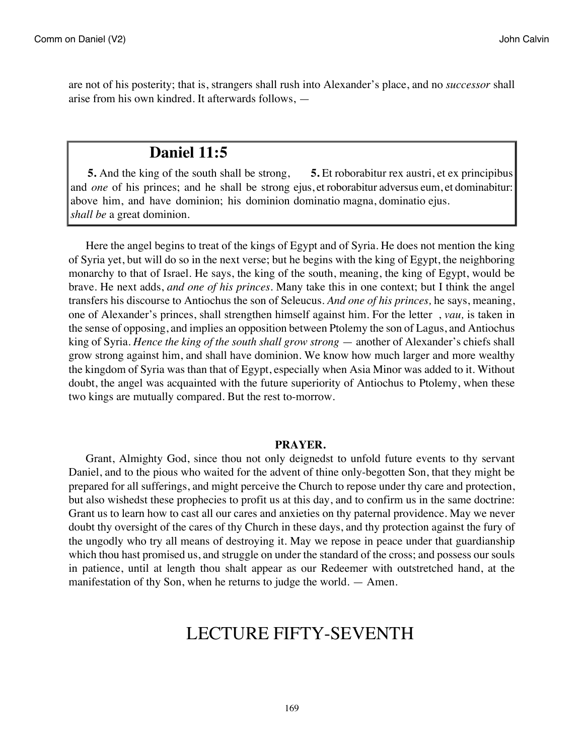are not of his posterity; that is, strangers shall rush into Alexander's place, and no *successor* shall arise from his own kindred. It afterwards follows, —

### **Daniel 11:5**

**5.** Et roborabitur rex austri, et ex principibus and *one* of his princes; and he shall be strong ejus, et roborabitur adversus eum, et dominabitur: above him, and have dominion; his dominion dominatio magna, dominatio ejus. **5.** And the king of the south shall be strong, *shall be* a great dominion.

Here the angel begins to treat of the kings of Egypt and of Syria. He does not mention the king of Syria yet, but will do so in the next verse; but he begins with the king of Egypt, the neighboring monarchy to that of Israel. He says, the king of the south, meaning, the king of Egypt, would be brave. He next adds, *and one of his princes.* Many take this in one context; but I think the angel transfers his discourse to Antiochus the son of Seleucus. *And one of his princes,* he says, meaning, one of Alexander's princes, shall strengthen himself against him. For the letter , *vau,* is taken in the sense of opposing, and implies an opposition between Ptolemy the son of Lagus, and Antiochus king of Syria. *Hence the king of the south shall grow strong* — another of Alexander's chiefs shall grow strong against him, and shall have dominion. We know how much larger and more wealthy the kingdom of Syria was than that of Egypt, especially when Asia Minor was added to it. Without doubt, the angel was acquainted with the future superiority of Antiochus to Ptolemy, when these two kings are mutually compared. But the rest to-morrow.

#### **PRAYER.**

Grant, Almighty God, since thou not only deignedst to unfold future events to thy servant Daniel, and to the pious who waited for the advent of thine only-begotten Son, that they might be prepared for all sufferings, and might perceive the Church to repose under thy care and protection, but also wishedst these prophecies to profit us at this day, and to confirm us in the same doctrine: Grant us to learn how to cast all our cares and anxieties on thy paternal providence. May we never doubt thy oversight of the cares of thy Church in these days, and thy protection against the fury of the ungodly who try all means of destroying it. May we repose in peace under that guardianship which thou hast promised us, and struggle on under the standard of the cross; and possess our souls in patience, until at length thou shalt appear as our Redeemer with outstretched hand, at the manifestation of thy Son, when he returns to judge the world. — Amen.

## LECTURE FIFTY-SEVENTH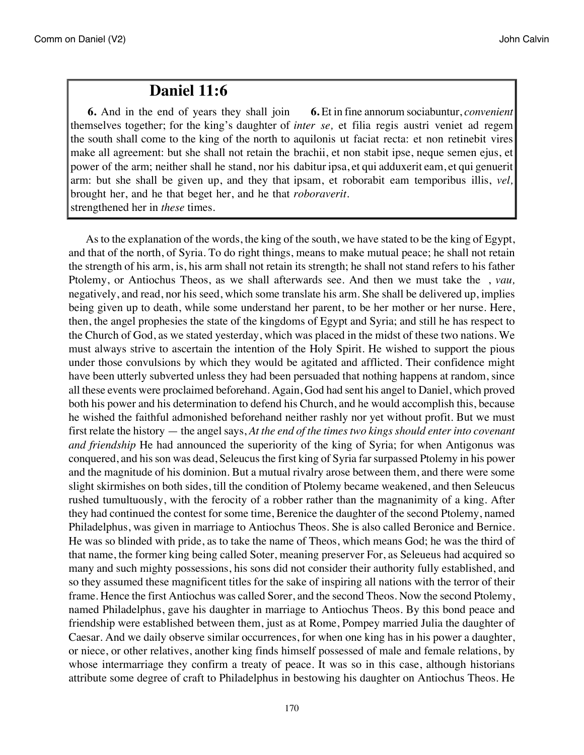#### **Daniel 11:6**

**6.** Et in fine annorum sociabuntur, *convenient* themselves together; for the king's daughter of *inter se*, et filia regis austri veniet ad regem **6.** And in the end of years they shall join the south shall come to the king of the north to aquilonis ut faciat recta: et non retinebit vires make all agreement: but she shall not retain the brachii, et non stabit ipse, neque semen ejus, et power of the arm; neither shall he stand, nor his dabitur ipsa, et qui adduxerit eam, et qui genuerit arm: but she shall be given up, and they that ipsam, et roborabit eam temporibus illis, vel, brought her, and he that beget her, and he that *roboraverit*. strengthened her in *these* times.

As to the explanation of the words, the king of the south, we have stated to be the king of Egypt, and that of the north, of Syria. To do right things, means to make mutual peace; he shall not retain the strength of his arm, is, his arm shall not retain its strength; he shall not stand refers to his father Ptolemy, or Antiochus Theos, as we shall afterwards see. And then we must take the , *vau,* negatively, and read, nor his seed, which some translate his arm. She shall be delivered up, implies being given up to death, while some understand her parent, to be her mother or her nurse. Here, then, the angel prophesies the state of the kingdoms of Egypt and Syria; and still he has respect to the Church of God, as we stated yesterday, which was placed in the midst of these two nations. We must always strive to ascertain the intention of the Holy Spirit. He wished to support the pious under those convulsions by which they would be agitated and afflicted. Their confidence might have been utterly subverted unless they had been persuaded that nothing happens at random, since all these events were proclaimed beforehand. Again, God had sent his angel to Daniel, which proved both his power and his determination to defend his Church, and he would accomplish this, because he wished the faithful admonished beforehand neither rashly nor yet without profit. But we must first relate the history — the angel says, *At the end of the times two kings should enter into covenant and friendship* He had announced the superiority of the king of Syria; for when Antigonus was conquered, and his son was dead, Seleucus the first king of Syria far surpassed Ptolemy in his power and the magnitude of his dominion. But a mutual rivalry arose between them, and there were some slight skirmishes on both sides, till the condition of Ptolemy became weakened, and then Seleucus rushed tumultuously, with the ferocity of a robber rather than the magnanimity of a king. After they had continued the contest for some time, Berenice the daughter of the second Ptolemy, named Philadelphus, was given in marriage to Antiochus Theos. She is also called Beronice and Bernice. He was so blinded with pride, as to take the name of Theos, which means God; he was the third of that name, the former king being called Soter, meaning preserver For, as Seleueus had acquired so many and such mighty possessions, his sons did not consider their authority fully established, and so they assumed these magnificent titles for the sake of inspiring all nations with the terror of their frame. Hence the first Antiochus was called Sorer, and the second Theos. Now the second Ptolemy, named Philadelphus, gave his daughter in marriage to Antiochus Theos. By this bond peace and friendship were established between them, just as at Rome, Pompey married Julia the daughter of Caesar. And we daily observe similar occurrences, for when one king has in his power a daughter, or niece, or other relatives, another king finds himself possessed of male and female relations, by whose intermarriage they confirm a treaty of peace. It was so in this case, although historians attribute some degree of craft to Philadelphus in bestowing his daughter on Antiochus Theos. He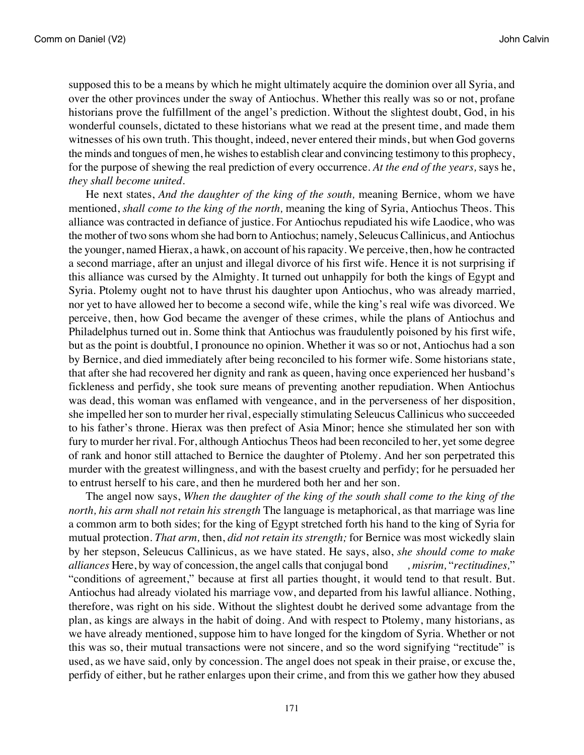supposed this to be a means by which he might ultimately acquire the dominion over all Syria, and over the other provinces under the sway of Antiochus. Whether this really was so or not, profane historians prove the fulfillment of the angel's prediction. Without the slightest doubt, God, in his wonderful counsels, dictated to these historians what we read at the present time, and made them witnesses of his own truth. This thought, indeed, never entered their minds, but when God governs the minds and tongues of men, he wishes to establish clear and convincing testimony to this prophecy, for the purpose of shewing the real prediction of every occurrence. *At the end of the years,* says he, *they shall become united.*

He next states, *And the daughter of the king of the south,* meaning Bernice, whom we have mentioned, *shall come to the king of the north,* meaning the king of Syria, Antiochus Theos. This alliance was contracted in defiance of justice. For Antiochus repudiated his wife Laodice, who was the mother of two sons whom she had born to Antiochus; namely, Seleucus Callinicus, and Antiochus the younger, named Hierax, a hawk, on account of his rapacity. We perceive, then, how he contracted a second marriage, after an unjust and illegal divorce of his first wife. Hence it is not surprising if this alliance was cursed by the Almighty. It turned out unhappily for both the kings of Egypt and Syria. Ptolemy ought not to have thrust his daughter upon Antiochus, who was already married, nor yet to have allowed her to become a second wife, while the king's real wife was divorced. We perceive, then, how God became the avenger of these crimes, while the plans of Antiochus and Philadelphus turned out in. Some think that Antiochus was fraudulently poisoned by his first wife, but as the point is doubtful, I pronounce no opinion. Whether it was so or not, Antiochus had a son by Bernice, and died immediately after being reconciled to his former wife. Some historians state, that after she had recovered her dignity and rank as queen, having once experienced her husband's fickleness and perfidy, she took sure means of preventing another repudiation. When Antiochus was dead, this woman was enflamed with vengeance, and in the perverseness of her disposition, she impelled her son to murder her rival, especially stimulating Seleucus Callinicus who succeeded to his father's throne. Hierax was then prefect of Asia Minor; hence she stimulated her son with fury to murder her rival. For, although Antiochus Theos had been reconciled to her, yet some degree of rank and honor still attached to Bernice the daughter of Ptolemy. And her son perpetrated this murder with the greatest willingness, and with the basest cruelty and perfidy; for he persuaded her to entrust herself to his care, and then he murdered both her and her son.

The angel now says, *When the daughter of the king of the south shall come to the king of the north, his arm shall not retain his strength* The language is metaphorical, as that marriage was line a common arm to both sides; for the king of Egypt stretched forth his hand to the king of Syria for mutual protection. *That arm,* then, *did not retain its strength;* for Bernice was most wickedly slain by her stepson, Seleucus Callinicus, as we have stated. He says, also, *she should come to make alliances* Here, by way of concession, the angel calls that conjugal bond *, misrim,* "*rectitudines,*" "conditions of agreement," because at first all parties thought, it would tend to that result. But. Antiochus had already violated his marriage vow, and departed from his lawful alliance. Nothing, therefore, was right on his side. Without the slightest doubt he derived some advantage from the plan, as kings are always in the habit of doing. And with respect to Ptolemy, many historians, as we have already mentioned, suppose him to have longed for the kingdom of Syria. Whether or not this was so, their mutual transactions were not sincere, and so the word signifying "rectitude" is used, as we have said, only by concession. The angel does not speak in their praise, or excuse the, perfidy of either, but he rather enlarges upon their crime, and from this we gather how they abused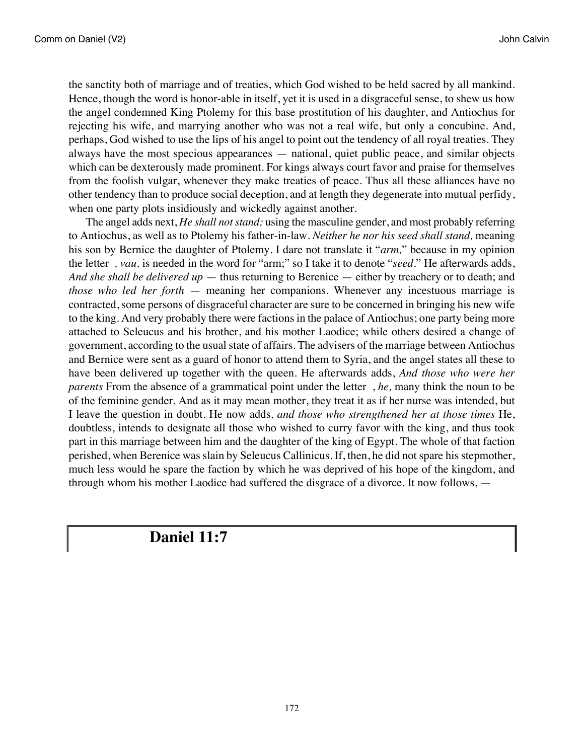the sanctity both of marriage and of treaties, which God wished to be held sacred by all mankind. Hence, though the word is honor-able in itself, yet it is used in a disgraceful sense, to shew us how the angel condemned King Ptolemy for this base prostitution of his daughter, and Antiochus for rejecting his wife, and marrying another who was not a real wife, but only a concubine. And, perhaps, God wished to use the lips of his angel to point out the tendency of all royal treaties. They always have the most specious appearances — national, quiet public peace, and similar objects which can be dexterously made prominent. For kings always court favor and praise for themselves from the foolish vulgar, whenever they make treaties of peace. Thus all these alliances have no other tendency than to produce social deception, and at length they degenerate into mutual perfidy, when one party plots insidiously and wickedly against another.

The angel adds next, *He shall not stand;* using the masculine gender, and most probably referring to Antiochus, as well as to Ptolemy his father-in-law. *Neither he nor his seed shall stand,* meaning his son by Bernice the daughter of Ptolemy. I dare not translate it "*arm,*" because in my opinion the letter *, vau,* is needed in the word for "arm;" so I take it to denote "*seed.*" He afterwards adds, *And she shall be delivered up* — thus returning to Berenice — either by treachery or to death; and *those who led her forth* — meaning her companions. Whenever any incestuous marriage is contracted, some persons of disgraceful character are sure to be concerned in bringing his new wife to the king. And very probably there were factions in the palace of Antiochus; one party being more attached to Seleucus and his brother, and his mother Laodice; while others desired a change of government, according to the usual state of affairs. The advisers of the marriage between Antiochus and Bernice were sent as a guard of honor to attend them to Syria, and the angel states all these to have been delivered up together with the queen. He afterwards adds, *And those who were her parents* From the absence of a grammatical point under the letter , *he,* many think the noun to be of the feminine gender. And as it may mean mother, they treat it as if her nurse was intended, but I leave the question in doubt. He now adds*, and those who strengthened her at those times* He, doubtless, intends to designate all those who wished to curry favor with the king, and thus took part in this marriage between him and the daughter of the king of Egypt. The whole of that faction perished, when Berenice was slain by Seleucus Callinicus. If, then, he did not spare his stepmother, much less would he spare the faction by which he was deprived of his hope of the kingdom, and through whom his mother Laodice had suffered the disgrace of a divorce. It now follows, —

#### **Daniel 11:7**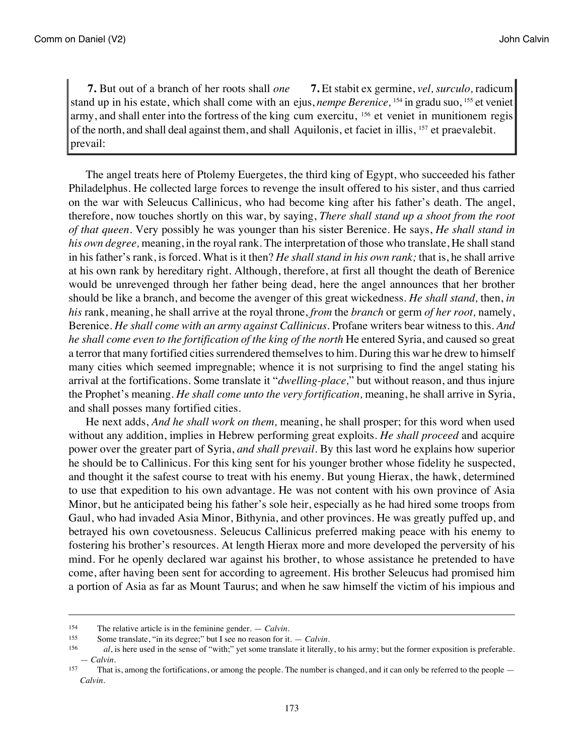**7.** Et stabit ex germine, *vel, surculo,* radicum stand up in his estate, which shall come with an ejus, *nempe Berenice*, <sup>154</sup> in gradu suo, <sup>155</sup> et veniet **7.** But out of a branch of her roots shall *one* army, and shall enter into the fortress of the king cum exercitu, <sup>156</sup> et veniet in munitionem regis of the north, and shall deal against them, and shall Aquilonis, et faciet in illis, <sup>157</sup> et praevalebit. prevail:

The angel treats here of Ptolemy Euergetes, the third king of Egypt, who succeeded his father Philadelphus. He collected large forces to revenge the insult offered to his sister, and thus carried on the war with Seleucus Callinicus, who had become king after his father's death. The angel, therefore, now touches shortly on this war, by saying, *There shall stand up a shoot from the root of that queen.* Very possibly he was younger than his sister Berenice. He says, *He shall stand in his own degree,* meaning, in the royal rank. The interpretation of those who translate, He shall stand in his father's rank, is forced. What is it then? *He shall stand in his own rank;* that is, he shall arrive at his own rank by hereditary right. Although, therefore, at first all thought the death of Berenice would be unrevenged through her father being dead, here the angel announces that her brother should be like a branch, and become the avenger of this great wickedness. *He shall stand,* then, *in his* rank, meaning, he shall arrive at the royal throne, *from* the *branch* or germ *of her root,* namely, Berenice. *He shall come with an army against Callinicus.* Profane writers bear witness to this. *And he shall come even to the fortification of the king of the north* He entered Syria, and caused so great a terror that many fortified cities surrendered themselves to him. During this war he drew to himself many cities which seemed impregnable; whence it is not surprising to find the angel stating his arrival at the fortifications. Some translate it "*dwelling-place,*" but without reason, and thus injure the Prophet's meaning. *He shall come unto the very fortification,* meaning, he shall arrive in Syria, and shall posses many fortified cities.

He next adds, *And he shall work on them,* meaning, he shall prosper; for this word when used without any addition, implies in Hebrew performing great exploits. *He shall proceed* and acquire power over the greater part of Syria, *and shall prevail.* By this last word he explains how superior he should be to Callinicus. For this king sent for his younger brother whose fidelity he suspected, and thought it the safest course to treat with his enemy. But young Hierax, the hawk, determined to use that expedition to his own advantage. He was not content with his own province of Asia Minor, but he anticipated being his father's sole heir, especially as he had hired some troops from Gaul, who had invaded Asia Minor, Bithynia, and other provinces. He was greatly puffed up, and betrayed his own covetousness. Seleucus Callinicus preferred making peace with his enemy to fostering his brother's resources. At length Hierax more and more developed the perversity of his mind. For he openly declared war against his brother, to whose assistance he pretended to have come, after having been sent for according to agreement. His brother Seleucus had promised him a portion of Asia as far as Mount Taurus; and when he saw himself the victim of his impious and

<sup>154</sup> The relative article is in the feminine gender. — *Calvin*.<br>155 Some translate "in its degree" but I see no resear for it.

Some translate, "in its degree;" but I see no reason for it. — *Calvin*.

<sup>156</sup> *al*, is here used in the sense of "with;" yet some translate it literally, to his army; but the former exposition is preferable. — *Calvin.*

<sup>157</sup> That is, among the fortifications, or among the people. The number is changed, and it can only be referred to the people — *Calvin.*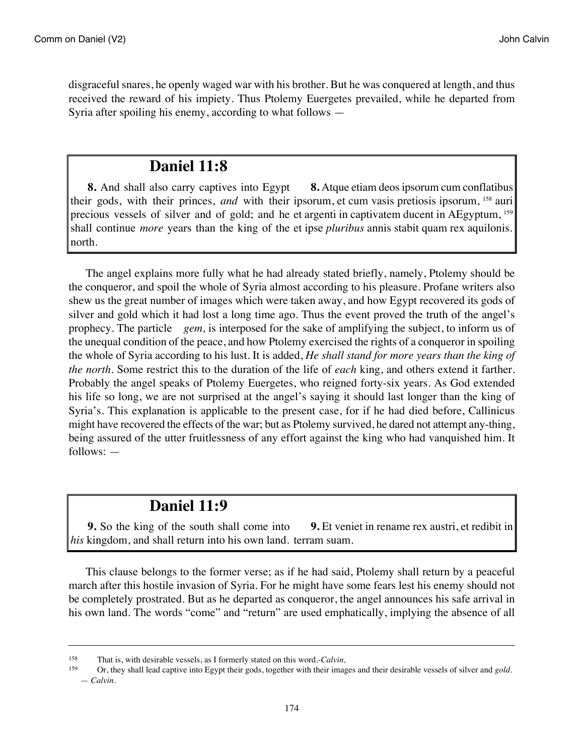disgraceful snares, he openly waged war with his brother. But he was conquered at length, and thus received the reward of his impiety. Thus Ptolemy Euergetes prevailed, while he departed from Syria after spoiling his enemy, according to what follows —

#### **Daniel 11:8**

**8.** Atque etiam deos ipsorum cum conflatibus their gods, with their princes, *and* with their ipsorum, et cum vasis pretiosis ipsorum, <sup>158</sup> auri **8.** And shall also carry captives into Egypt precious vessels of silver and of gold; and he et argenti in captivatem ducent in AEgyptum, 159 shall continue *more* years than the king of the et ipse *pluribus* annis stabit quam rex aquilonis. north.

The angel explains more fully what he had already stated briefly, namely, Ptolemy should be the conqueror, and spoil the whole of Syria almost according to his pleasure. Profane writers also shew us the great number of images which were taken away, and how Egypt recovered its gods of silver and gold which it had lost a long time ago. Thus the event proved the truth of the angel's prophecy. The particle *gem,* is interposed for the sake of amplifying the subject, to inform us of the unequal condition of the peace, and how Ptolemy exercised the rights of a conqueror in spoiling the whole of Syria according to his lust. It is added, *He shall stand for more years than the king of the north.* Some restrict this to the duration of the life of *each* king, and others extend it farther. Probably the angel speaks of Ptolemy Euergetes, who reigned forty-six years. As God extended his life so long, we are not surprised at the angel's saying it should last longer than the king of Syria's. This explanation is applicable to the present case, for if he had died before, Callinicus might have recovered the effects of the war; but as Ptolemy survived, he dared not attempt any-thing, being assured of the utter fruitlessness of any effort against the king who had vanquished him. It follows: —

#### **Daniel 11:9**

**9.** Et veniet in rename rex austri, et redibit in his kingdom, and shall return into his own land. terram suam. **9.** So the king of the south shall come into

This clause belongs to the former verse; as if he had said, Ptolemy shall return by a peaceful march after this hostile invasion of Syria. For he might have some fears lest his enemy should not be completely prostrated. But as he departed as conqueror, the angel announces his safe arrival in his own land. The words "come" and "return" are used emphatically, implying the absence of all

<sup>158</sup> That is, with desirable vessels, as I formerly stated on this word.-*Calvin,*

<sup>159</sup> Or, they shall lead captive into Egypt their gods, together with their images and their desirable vessels of silver and *gold.* — *Calvin.*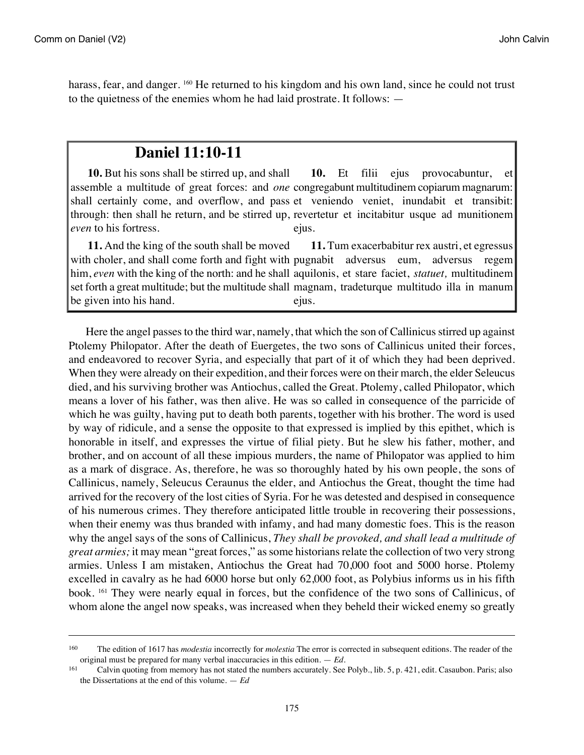harass, fear, and danger. <sup>160</sup> He returned to his kingdom and his own land, since he could not trust to the quietness of the enemies whom he had laid prostrate. It follows: —

### **Daniel 11:10-11**

**10.** Et filii ejus provocabuntur, et assemble a multitude of great forces: and *one* congregabunt multitudinem copiarum magnarum: **10.** But his sons shall be stirred up, and shall shall certainly come, and overflow, and pass et veniendo veniet, inundabit et transibit: through: then shall he return, and be stirred up, revertetur et incitabitur usque ad munitionem ejus. *even* to his fortress.

**11.** Tum exacerbabitur rex austri, et egressus with choler, and shall come forth and fight with pugnabit adversus eum, adversus regem **11.** And the king of the south shall be moved him, *even* with the king of the north: and he shall aquilonis, et stare faciet, *statuet,* multitudinem set forth a great multitude; but the multitude shall magnam, tradeturque multitudo illa in manum ejus. be given into his hand.

Here the angel passes to the third war, namely, that which the son of Callinicus stirred up against Ptolemy Philopator. After the death of Euergetes, the two sons of Callinicus united their forces, and endeavored to recover Syria, and especially that part of it of which they had been deprived. When they were already on their expedition, and their forces were on their march, the elder Seleucus died, and his surviving brother was Antiochus, called the Great. Ptolemy, called Philopator, which means a lover of his father, was then alive. He was so called in consequence of the parricide of which he was guilty, having put to death both parents, together with his brother. The word is used by way of ridicule, and a sense the opposite to that expressed is implied by this epithet, which is honorable in itself, and expresses the virtue of filial piety. But he slew his father, mother, and brother, and on account of all these impious murders, the name of Philopator was applied to him as a mark of disgrace. As, therefore, he was so thoroughly hated by his own people, the sons of Callinicus, namely, Seleucus Ceraunus the elder, and Antiochus the Great, thought the time had arrived for the recovery of the lost cities of Syria. For he was detested and despised in consequence of his numerous crimes. They therefore anticipated little trouble in recovering their possessions, when their enemy was thus branded with infamy, and had many domestic foes. This is the reason why the angel says of the sons of Callinicus, *They shall be provoked, and shall lead a multitude of great armies;* it may mean "great forces," as some historians relate the collection of two very strong armies. Unless I am mistaken, Antiochus the Great had 70,000 foot and 5000 horse. Ptolemy excelled in cavalry as he had 6000 horse but only 62,000 foot, as Polybius informs us in his fifth book. 161 They were nearly equal in forces, but the confidence of the two sons of Callinicus, of whom alone the angel now speaks, was increased when they beheld their wicked enemy so greatly

<sup>160</sup> The edition of 1617 has *modestia* incorrectly for *molestia* The error is corrected in subsequent editions. The reader of the original must be prepared for many verbal inaccuracies in this edition. — *Ed*.

<sup>161</sup> Calvin quoting from memory has not stated the numbers accurately. See Polyb., lib. 5, p. 421, edit. Casaubon. Paris; also the Dissertations at the end of this volume. — *Ed*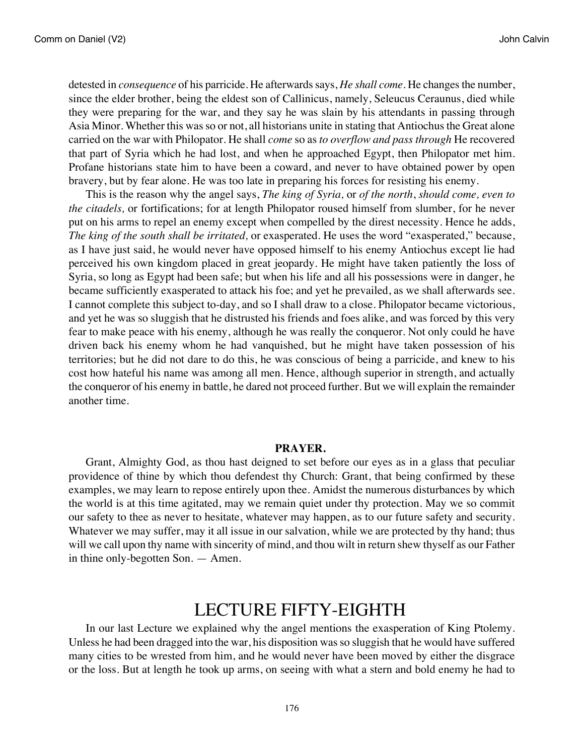detested in *consequence* of his parricide. He afterwards says, *He shall come.* He changes the number, since the elder brother, being the eldest son of Callinicus, namely, Seleucus Ceraunus, died while they were preparing for the war, and they say he was slain by his attendants in passing through Asia Minor. Whether this was so or not, all historians unite in stating that Antiochus the Great alone carried on the war with Philopator. He shall *come* so as *to overflow and pass through* He recovered that part of Syria which he had lost, and when he approached Egypt, then Philopator met him. Profane historians state him to have been a coward, and never to have obtained power by open bravery, but by fear alone. He was too late in preparing his forces for resisting his enemy.

This is the reason why the angel says, *The king of Syria,* or *of the north*, *should come, even to the citadels,* or fortifications; for at length Philopator roused himself from slumber, for he never put on his arms to repel an enemy except when compelled by the direst necessity. Hence he adds, *The king of the south shall be irritated,* or exasperated. He uses the word "exasperated," because, as I have just said, he would never have opposed himself to his enemy Antiochus except lie had perceived his own kingdom placed in great jeopardy. He might have taken patiently the loss of Syria, so long as Egypt had been safe; but when his life and all his possessions were in danger, he became sufficiently exasperated to attack his foe; and yet he prevailed, as we shall afterwards see. I cannot complete this subject to-day, and so I shall draw to a close. Philopator became victorious, and yet he was so sluggish that he distrusted his friends and foes alike, and was forced by this very fear to make peace with his enemy, although he was really the conqueror. Not only could he have driven back his enemy whom he had vanquished, but he might have taken possession of his territories; but he did not dare to do this, he was conscious of being a parricide, and knew to his cost how hateful his name was among all men. Hence, although superior in strength, and actually the conqueror of his enemy in battle, he dared not proceed further. But we will explain the remainder another time.

#### **PRAYER.**

Grant, Almighty God, as thou hast deigned to set before our eyes as in a glass that peculiar providence of thine by which thou defendest thy Church: Grant, that being confirmed by these examples, we may learn to repose entirely upon thee. Amidst the numerous disturbances by which the world is at this time agitated, may we remain quiet under thy protection. May we so commit our safety to thee as never to hesitate, whatever may happen, as to our future safety and security. Whatever we may suffer, may it all issue in our salvation, while we are protected by thy hand; thus will we call upon thy name with sincerity of mind, and thou wilt in return shew thyself as our Father in thine only-begotten Son. — Amen.

## LECTURE FIFTY-EIGHTH

In our last Lecture we explained why the angel mentions the exasperation of King Ptolemy. Unless he had been dragged into the war, his disposition was so sluggish that he would have suffered many cities to be wrested from him, and he would never have been moved by either the disgrace or the loss. But at length he took up arms, on seeing with what a stern and bold enemy he had to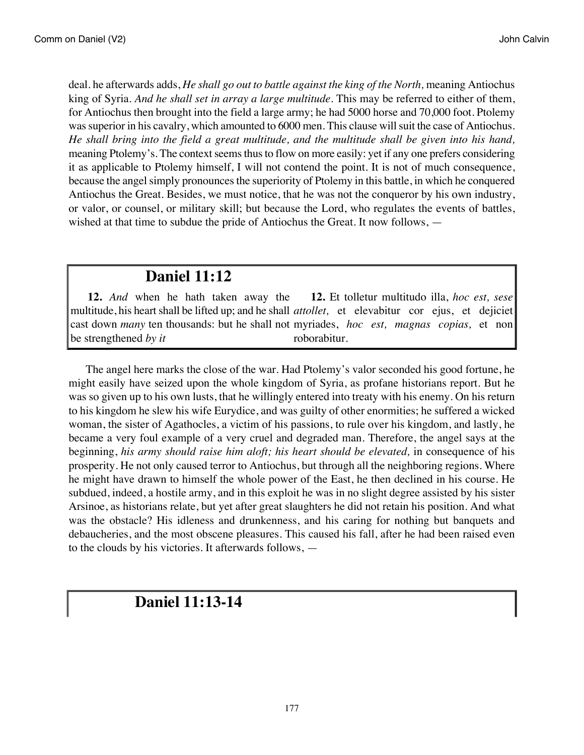deal. he afterwards adds, *He shall go out to battle against the king of the North*, meaning Antiochus king of Syria. *And he shall set in array a large multitude.* This may be referred to either of them, for Antiochus then brought into the field a large army; he had 5000 horse and 70,000 foot. Ptolemy was superior in his cavalry, which amounted to 6000 men. This clause will suit the case of Antiochus. *He shall bring into the field a great multitude, and the multitude shall be given into his hand,* meaning Ptolemy's. The context seems thus to flow on more easily: yet if any one prefers considering it as applicable to Ptolemy himself, I will not contend the point. It is not of much consequence, because the angel simply pronounces the superiority of Ptolemy in this battle, in which he conquered Antiochus the Great. Besides, we must notice, that he was not the conqueror by his own industry, or valor, or counsel, or military skill; but because the Lord, who regulates the events of battles, wished at that time to subdue the pride of Antiochus the Great. It now follows, —

### **Daniel 11:12**

**12.** Et tolletur multitudo illa, *hoc est, sese* multitude, his heart shall be lifted up; and he shall *attollet*, et elevabitur cor ejus, et dejiciet **12.** *And* when he hath taken away the cast down *many* ten thousands: but he shall not myriades, *hoc est, magnas copias*, et non roborabitur. be strengthened *by it*

The angel here marks the close of the war. Had Ptolemy's valor seconded his good fortune, he might easily have seized upon the whole kingdom of Syria, as profane historians report. But he was so given up to his own lusts, that he willingly entered into treaty with his enemy. On his return to his kingdom he slew his wife Eurydice, and was guilty of other enormities; he suffered a wicked woman, the sister of Agathocles, a victim of his passions, to rule over his kingdom, and lastly, he became a very foul example of a very cruel and degraded man. Therefore, the angel says at the beginning, *his army should raise him aloft; his heart should be elevated,* in consequence of his prosperity. He not only caused terror to Antiochus, but through all the neighboring regions. Where he might have drawn to himself the whole power of the East, he then declined in his course. He subdued, indeed, a hostile army, and in this exploit he was in no slight degree assisted by his sister Arsinoe, as historians relate, but yet after great slaughters he did not retain his position. And what was the obstacle? His idleness and drunkenness, and his caring for nothing but banquets and debaucheries, and the most obscene pleasures. This caused his fall, after he had been raised even to the clouds by his victories. It afterwards follows, —

### **Daniel 11:13-14**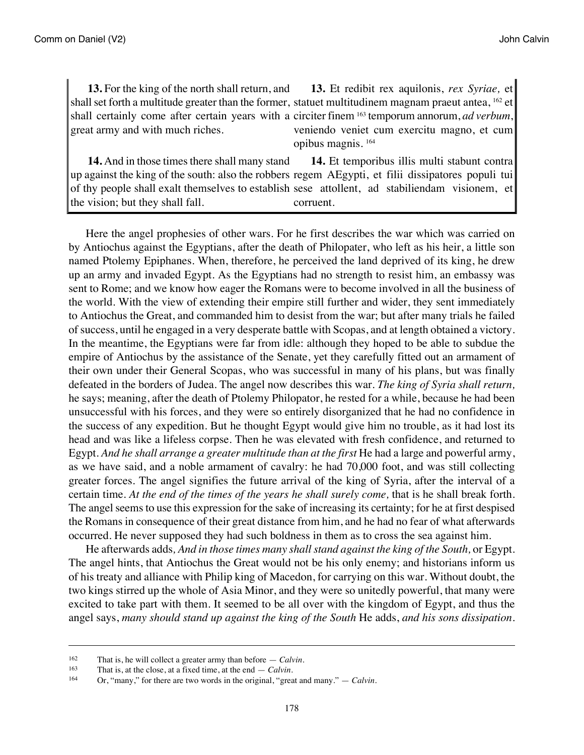**13.** Et redibit rex aquilonis, *rex Syriae,* et shall set forth a multitude greater than the former, statuet multitudinem magnam praeut antea, <sup>162</sup> et **13.** For the king of the north shall return, and shall certainly come after certain years with a circiter finem <sup>163</sup> temporum annorum, *ad verbum*, great army and with much riches. veniendo veniet cum exercitu magno, et cum

opibus magnis. 164 **14.** Et temporibus illis multi stabunt contra up against the king of the south: also the robbers regem AEgypti, et filii dissipatores populi tui **14.** And in those times there shall many stand of thy people shall exalt themselves to establish sese attollent, ad stabiliendam visionem, et corruent. the vision; but they shall fall.

Here the angel prophesies of other wars. For he first describes the war which was carried on by Antiochus against the Egyptians, after the death of Philopater, who left as his heir, a little son named Ptolemy Epiphanes. When, therefore, he perceived the land deprived of its king, he drew up an army and invaded Egypt. As the Egyptians had no strength to resist him, an embassy was sent to Rome; and we know how eager the Romans were to become involved in all the business of the world. With the view of extending their empire still further and wider, they sent immediately to Antiochus the Great, and commanded him to desist from the war; but after many trials he failed of success, until he engaged in a very desperate battle with Scopas, and at length obtained a victory. In the meantime, the Egyptians were far from idle: although they hoped to be able to subdue the empire of Antiochus by the assistance of the Senate, yet they carefully fitted out an armament of their own under their General Scopas, who was successful in many of his plans, but was finally defeated in the borders of Judea. The angel now describes this war. *The king of Syria shall return,* he says; meaning, after the death of Ptolemy Philopator, he rested for a while, because he had been unsuccessful with his forces, and they were so entirely disorganized that he had no confidence in the success of any expedition. But he thought Egypt would give him no trouble, as it had lost its head and was like a lifeless corpse. Then he was elevated with fresh confidence, and returned to Egypt. *And he shall arrange a greater multitude than at the first* He had a large and powerful army, as we have said, and a noble armament of cavalry: he had 70,000 foot, and was still collecting greater forces. The angel signifies the future arrival of the king of Syria, after the interval of a certain time. *At the end of the times of the years he shall surely come,* that is he shall break forth. The angel seems to use this expression for the sake of increasing its certainty; for he at first despised the Romans in consequence of their great distance from him, and he had no fear of what afterwards occurred. He never supposed they had such boldness in them as to cross the sea against him.

He afterwards adds*, And in those times many shall stand against the king of the South,* or Egypt. The angel hints, that Antiochus the Great would not be his only enemy; and historians inform us of his treaty and alliance with Philip king of Macedon, for carrying on this war. Without doubt, the two kings stirred up the whole of Asia Minor, and they were so unitedly powerful, that many were excited to take part with them. It seemed to be all over with the kingdom of Egypt, and thus the angel says, *many should stand up against the king of the South* He adds, *and his sons dissipation.*

<sup>162</sup> That is, he will collect a greater army than before — *Calvin.*

<sup>&</sup>lt;sup>163</sup> That is, at the close, at a fixed time, at the end  $-$  *Calvin*.<br><sup>164</sup> Or "many" for there are two words in the original "greating"

Or, "many," for there are two words in the original, "great and many." — *Calvin*.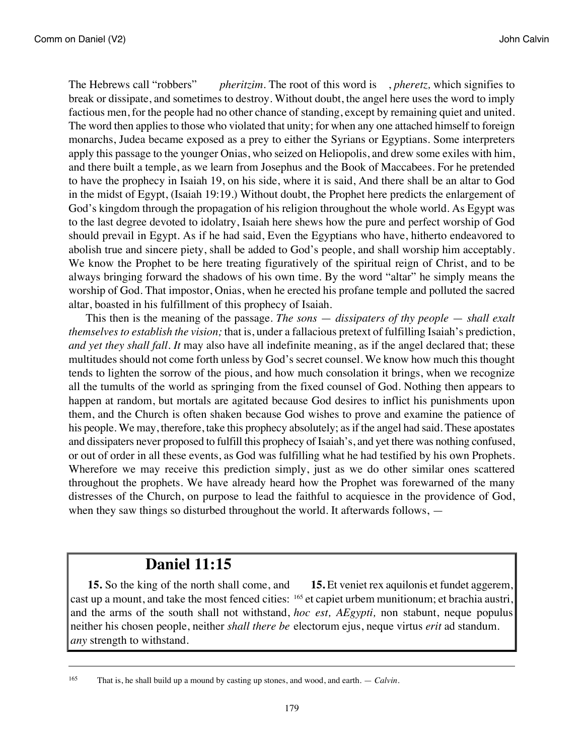The Hebrews call "robbers" *pheritzim.* The root of this word is , *pheretz,* which signifies to break or dissipate, and sometimes to destroy. Without doubt, the angel here uses the word to imply factious men, for the people had no other chance of standing, except by remaining quiet and united. The word then applies to those who violated that unity; for when any one attached himself to foreign monarchs, Judea became exposed as a prey to either the Syrians or Egyptians. Some interpreters apply this passage to the younger Onias, who seized on Heliopolis, and drew some exiles with him, and there built a temple, as we learn from Josephus and the Book of Maccabees. For he pretended to have the prophecy in Isaiah 19, on his side, where it is said, And there shall be an altar to God in the midst of Egypt, (Isaiah 19:19.) Without doubt, the Prophet here predicts the enlargement of God's kingdom through the propagation of his religion throughout the whole world. As Egypt was to the last degree devoted to idolatry, Isaiah here shews how the pure and perfect worship of God should prevail in Egypt. As if he had said, Even the Egyptians who have, hitherto endeavored to abolish true and sincere piety, shall be added to God's people, and shall worship him acceptably. We know the Prophet to be here treating figuratively of the spiritual reign of Christ, and to be always bringing forward the shadows of his own time. By the word "altar" he simply means the worship of God. That impostor, Onias, when he erected his profane temple and polluted the sacred altar, boasted in his fulfillment of this prophecy of Isaiah.

This then is the meaning of the passage. *The sons* — *dissipaters of thy people* — *shall exalt themselves to establish the vision;* that is, under a fallacious pretext of fulfilling Isaiah's prediction, *and yet they shall fall. It* may also have all indefinite meaning, as if the angel declared that; these multitudes should not come forth unless by God's secret counsel. We know how much this thought tends to lighten the sorrow of the pious, and how much consolation it brings, when we recognize all the tumults of the world as springing from the fixed counsel of God. Nothing then appears to happen at random, but mortals are agitated because God desires to inflict his punishments upon them, and the Church is often shaken because God wishes to prove and examine the patience of his people. We may, therefore, take this prophecy absolutely; as if the angel had said. These apostates and dissipaters never proposed to fulfill this prophecy of Isaiah's, and yet there was nothing confused, or out of order in all these events, as God was fulfilling what he had testified by his own Prophets. Wherefore we may receive this prediction simply, just as we do other similar ones scattered throughout the prophets. We have already heard how the Prophet was forewarned of the many distresses of the Church, on purpose to lead the faithful to acquiesce in the providence of God, when they saw things so disturbed throughout the world. It afterwards follows, —

### **Daniel 11:15**

**15.** Et veniet rex aquilonis et fundet aggerem, cast up a mount, and take the most fenced cities: <sup>165</sup> et capiet urbem munitionum; et brachia austri, **15.** So the king of the north shall come, and and the arms of the south shall not withstand, *hoc est, AEgypti*, non stabunt, neque populus neither his chosen people, neither *shall there be* electorum ejus, neque virtus *erit* ad standum. *any* strength to withstand.

<sup>165</sup> That is, he shall build up a mound by casting up stones, and wood, and earth. — *Calvin.*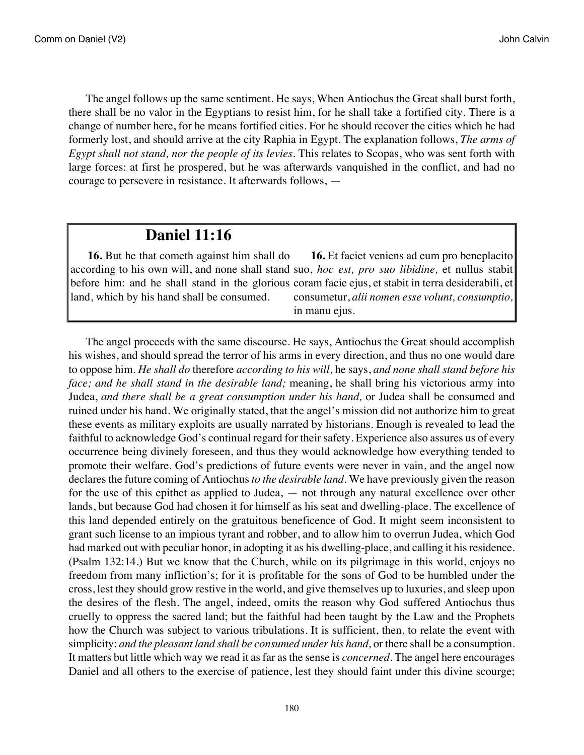The angel follows up the same sentiment. He says, When Antiochus the Great shall burst forth, there shall be no valor in the Egyptians to resist him, for he shall take a fortified city. There is a change of number here, for he means fortified cities. For he should recover the cities which he had formerly lost, and should arrive at the city Raphia in Egypt. The explanation follows, *The arms of Egypt shall not stand, nor the people of its levies.* This relates to Scopas, who was sent forth with large forces: at first he prospered, but he was afterwards vanquished in the conflict, and had no courage to persevere in resistance. It afterwards follows, —

#### **Daniel 11:16**

**16.** Et faciet veniens ad eum pro beneplacito according to his own will, and none shall stand suo, *hoc est, pro suo libidine*, et nullus stabit **16.** But he that cometh against him shall do before him: and he shall stand in the glorious coram facie ejus, et stabit in terra desiderabili, et land, which by his hand shall be consumed. consumetur, *alii nomen esse volunt, consumptio*, in manu ejus.

The angel proceeds with the same discourse. He says, Antiochus the Great should accomplish his wishes, and should spread the terror of his arms in every direction, and thus no one would dare to oppose him. *He shall do* therefore *according to his will,* he says, *and none shall stand before his face; and he shall stand in the desirable land;* meaning, he shall bring his victorious army into Judea, *and there shall be a great consumption under his hand,* or Judea shall be consumed and ruined under his hand. We originally stated, that the angel's mission did not authorize him to great these events as military exploits are usually narrated by historians. Enough is revealed to lead the faithful to acknowledge God's continual regard for their safety. Experience also assures us of every occurrence being divinely foreseen, and thus they would acknowledge how everything tended to promote their welfare. God's predictions of future events were never in vain, and the angel now declares the future coming of Antiochus *to the desirable land.* We have previously given the reason for the use of this epithet as applied to Judea, — not through any natural excellence over other lands, but because God had chosen it for himself as his seat and dwelling-place. The excellence of this land depended entirely on the gratuitous beneficence of God. It might seem inconsistent to grant such license to an impious tyrant and robber, and to allow him to overrun Judea, which God had marked out with peculiar honor, in adopting it as his dwelling-place, and calling it his residence. (Psalm 132:14.) But we know that the Church, while on its pilgrimage in this world, enjoys no freedom from many infliction's; for it is profitable for the sons of God to be humbled under the cross, lest they should grow restive in the world, and give themselves up to luxuries, and sleep upon the desires of the flesh. The angel, indeed, omits the reason why God suffered Antiochus thus cruelly to oppress the sacred land; but the faithful had been taught by the Law and the Prophets how the Church was subject to various tribulations. It is sufficient, then, to relate the event with simplicity: *and the pleasant land shall be consumed under his hand*, or there shall be a consumption. It matters but little which way we read it as far as the sense is *concerned.* The angel here encourages Daniel and all others to the exercise of patience, lest they should faint under this divine scourge;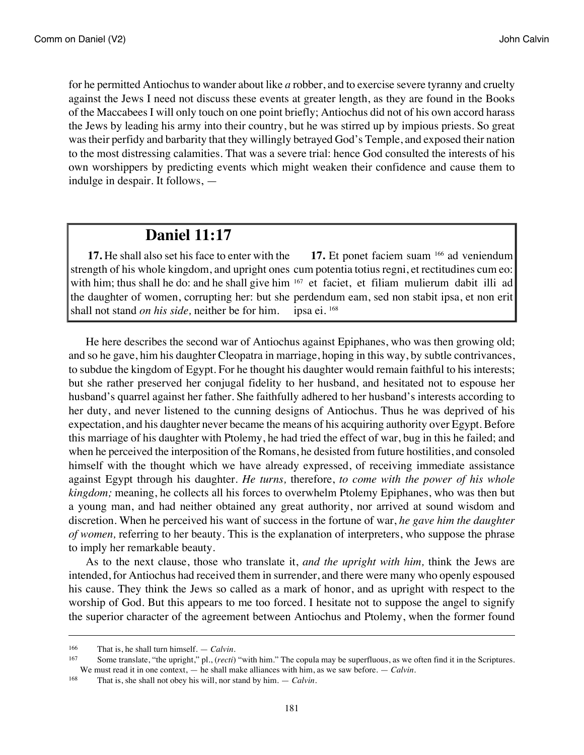for he permitted Antiochus to wander about like *a* robber, and to exercise severe tyranny and cruelty against the Jews I need not discuss these events at greater length, as they are found in the Books of the Maccabees I will only touch on one point briefly; Antiochus did not of his own accord harass the Jews by leading his army into their country, but he was stirred up by impious priests. So great was their perfidy and barbarity that they willingly betrayed God's Temple, and exposed their nation to the most distressing calamities. That was a severe trial: hence God consulted the interests of his own worshippers by predicting events which might weaken their confidence and cause them to indulge in despair. It follows, —

#### **Daniel 11:17**

**17.** Et ponet faciem suam 166 ad veniendum strength of his whole kingdom, and upright ones cum potentia totius regni, et rectitudines cum eo: **17.** He shall also set his face to enter with the with him; thus shall he do: and he shall give him  $167$  et faciet, et filiam mulierum dabit illi ad the daughter of women, corrupting her: but she perdendum eam, sed non stabit ipsa, et non erit shall not stand *on his side,* neither be for him. ipsa ei. 168

He here describes the second war of Antiochus against Epiphanes, who was then growing old; and so he gave, him his daughter Cleopatra in marriage, hoping in this way, by subtle contrivances, to subdue the kingdom of Egypt. For he thought his daughter would remain faithful to his interests; but she rather preserved her conjugal fidelity to her husband, and hesitated not to espouse her husband's quarrel against her father. She faithfully adhered to her husband's interests according to her duty, and never listened to the cunning designs of Antiochus. Thus he was deprived of his expectation, and his daughter never became the means of his acquiring authority over Egypt. Before this marriage of his daughter with Ptolemy, he had tried the effect of war, bug in this he failed; and when he perceived the interposition of the Romans, he desisted from future hostilities, and consoled himself with the thought which we have already expressed, of receiving immediate assistance against Egypt through his daughter. *He turns,* therefore, *to come with the power of his whole kingdom;* meaning, he collects all his forces to overwhelm Ptolemy Epiphanes, who was then but a young man, and had neither obtained any great authority, nor arrived at sound wisdom and discretion. When he perceived his want of success in the fortune of war, *he gave him the daughter of women,* referring to her beauty. This is the explanation of interpreters, who suppose the phrase to imply her remarkable beauty.

As to the next clause, those who translate it, *and the upright with him,* think the Jews are intended, for Antiochus had received them in surrender, and there were many who openly espoused his cause. They think the Jews so called as a mark of honor, and as upright with respect to the worship of God. But this appears to me too forced. I hesitate not to suppose the angel to signify the superior character of the agreement between Antiochus and Ptolemy, when the former found

<sup>166</sup> That is, he shall turn himself. — *Calvin*.<br>167 Some translate "the unright" pl. (recti)

<sup>167</sup> Some translate, "the upright," pl., (*recti*) "with him." The copula may be superfluous, as we often find it in the Scriptures. We must read it in one context, — he shall make alliances with him, as we saw before. — *Calvin*.

<sup>168</sup> That is, she shall not obey his will, nor stand by him. — *Calvin.*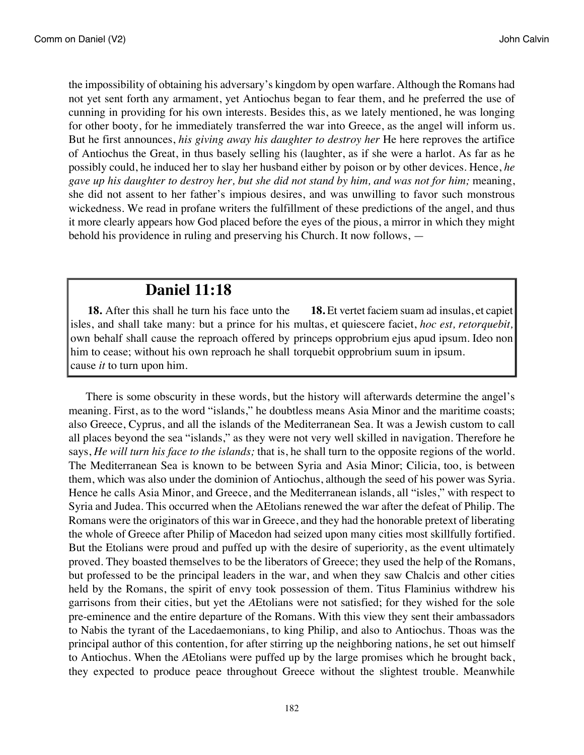the impossibility of obtaining his adversary's kingdom by open warfare. Although the Romans had not yet sent forth any armament, yet Antiochus began to fear them, and he preferred the use of cunning in providing for his own interests. Besides this, as we lately mentioned, he was longing for other booty, for he immediately transferred the war into Greece, as the angel will inform us. But he first announces, *his giving away his daughter to destroy her* He here reproves the artifice of Antiochus the Great, in thus basely selling his (laughter, as if she were a harlot. As far as he possibly could, he induced her to slay her husband either by poison or by other devices. Hence, *he gave up his daughter to destroy her, but she did not stand by him, and was not for him;* meaning, she did not assent to her father's impious desires, and was unwilling to favor such monstrous wickedness. We read in profane writers the fulfillment of these predictions of the angel, and thus it more clearly appears how God placed before the eyes of the pious, a mirror in which they might behold his providence in ruling and preserving his Church. It now follows, —

### **Daniel 11:18**

**18.** Et vertet faciem suam ad insulas, et capiet isles, and shall take many: but a prince for his multas, et quiescere faciet, *hoc est, retorquebit,* **18.** After this shall he turn his face unto the own behalf shall cause the reproach offered by princeps opprobrium ejus apud ipsum. Ideo non him to cease; without his own reproach he shall torquebit opprobrium suum in ipsum. cause *it* to turn upon him.

There is some obscurity in these words, but the history will afterwards determine the angel's meaning. First, as to the word "islands," he doubtless means Asia Minor and the maritime coasts; also Greece, Cyprus, and all the islands of the Mediterranean Sea. It was a Jewish custom to call all places beyond the sea "islands," as they were not very well skilled in navigation. Therefore he says, *He will turn his face to the islands;* that is, he shall turn to the opposite regions of the world. The Mediterranean Sea is known to be between Syria and Asia Minor; Cilicia, too, is between them, which was also under the dominion of Antiochus, although the seed of his power was Syria. Hence he calls Asia Minor, and Greece, and the Mediterranean islands, all "isles," with respect to Syria and Judea. This occurred when the AEtolians renewed the war after the defeat of Philip. The Romans were the originators of this war in Greece, and they had the honorable pretext of liberating the whole of Greece after Philip of Macedon had seized upon many cities most skillfully fortified. But the Etolians were proud and puffed up with the desire of superiority, as the event ultimately proved. They boasted themselves to be the liberators of Greece; they used the help of the Romans, but professed to be the principal leaders in the war, and when they saw Chalcis and other cities held by the Romans, the spirit of envy took possession of them. Titus Flaminius withdrew his garrisons from their cities, but yet the *A*Etolians were not satisfied; for they wished for the sole pre-eminence and the entire departure of the Romans. With this view they sent their ambassadors to Nabis the tyrant of the Lacedaemonians, to king Philip, and also to Antiochus. Thoas was the principal author of this contention, for after stirring up the neighboring nations, he set out himself to Antiochus. When the *A*Etolians were puffed up by the large promises which he brought back, they expected to produce peace throughout Greece without the slightest trouble. Meanwhile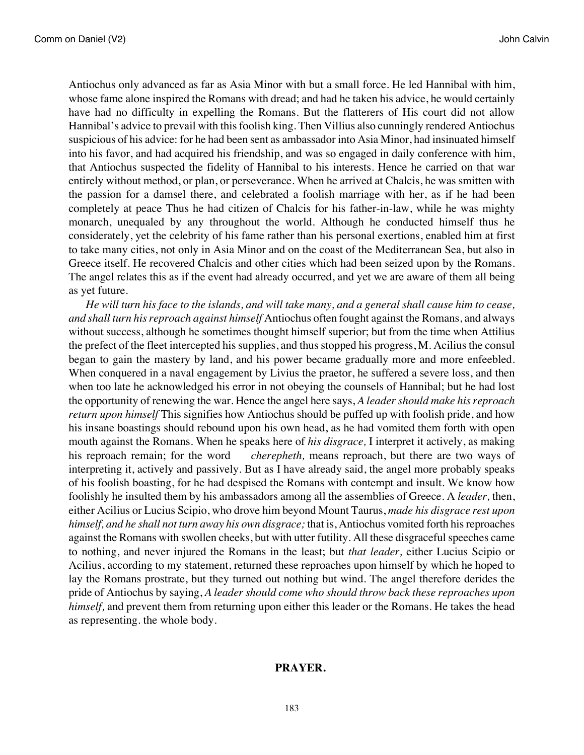Antiochus only advanced as far as Asia Minor with but a small force. He led Hannibal with him, whose fame alone inspired the Romans with dread; and had he taken his advice, he would certainly have had no difficulty in expelling the Romans. But the flatterers of His court did not allow Hannibal's advice to prevail with this foolish king. Then Villius also cunningly rendered Antiochus suspicious of his advice: for he had been sent as ambassador into Asia Minor, had insinuated himself into his favor, and had acquired his friendship, and was so engaged in daily conference with him, that Antiochus suspected the fidelity of Hannibal to his interests. Hence he carried on that war entirely without method, or plan, or perseverance. When he arrived at Chalcis, he was smitten with the passion for a damsel there, and celebrated a foolish marriage with her, as if he had been completely at peace Thus he had citizen of Chalcis for his father-in-law, while he was mighty monarch, unequaled by any throughout the world. Although he conducted himself thus he considerately, yet the celebrity of his fame rather than his personal exertions, enabled him at first to take many cities, not only in Asia Minor and on the coast of the Mediterranean Sea, but also in Greece itself. He recovered Chalcis and other cities which had been seized upon by the Romans. The angel relates this as if the event had already occurred, and yet we are aware of them all being as yet future.

*He will turn his face to the islands, and will take many, and a general shall cause him to cease, and shall turn his reproach against himself* Antiochus often fought against the Romans, and always without success, although he sometimes thought himself superior; but from the time when Attilius the prefect of the fleet intercepted his supplies, and thus stopped his progress, M. Acilius the consul began to gain the mastery by land, and his power became gradually more and more enfeebled. When conquered in a naval engagement by Livius the praetor, he suffered a severe loss, and then when too late he acknowledged his error in not obeying the counsels of Hannibal; but he had lost the opportunity of renewing the war. Hence the angel here says, *A leader should make his reproach return upon himself* This signifies how Antiochus should be puffed up with foolish pride, and how his insane boastings should rebound upon his own head, as he had vomited them forth with open mouth against the Romans. When he speaks here of *his disgrace,* I interpret it actively, as making his reproach remain; for the word *cherepheth,* means reproach, but there are two ways of interpreting it, actively and passively. But as I have already said, the angel more probably speaks of his foolish boasting, for he had despised the Romans with contempt and insult. We know how foolishly he insulted them by his ambassadors among all the assemblies of Greece. A *leader,* then, either Acilius or Lucius Scipio, who drove him beyond Mount Taurus, *made his disgrace rest upon himself, and he shall not turn away his own disgrace;* that is, Antiochus vomited forth his reproaches against the Romans with swollen cheeks, but with utter futility. All these disgraceful speeches came to nothing, and never injured the Romans in the least; but *that leader,* either Lucius Scipio or Acilius, according to my statement, returned these reproaches upon himself by which he hoped to lay the Romans prostrate, but they turned out nothing but wind. The angel therefore derides the pride of Antiochus by saying, *A leader should come who should throw back these reproaches upon himself*, and prevent them from returning upon either this leader or the Romans. He takes the head as representing. the whole body.

#### **PRAYER.**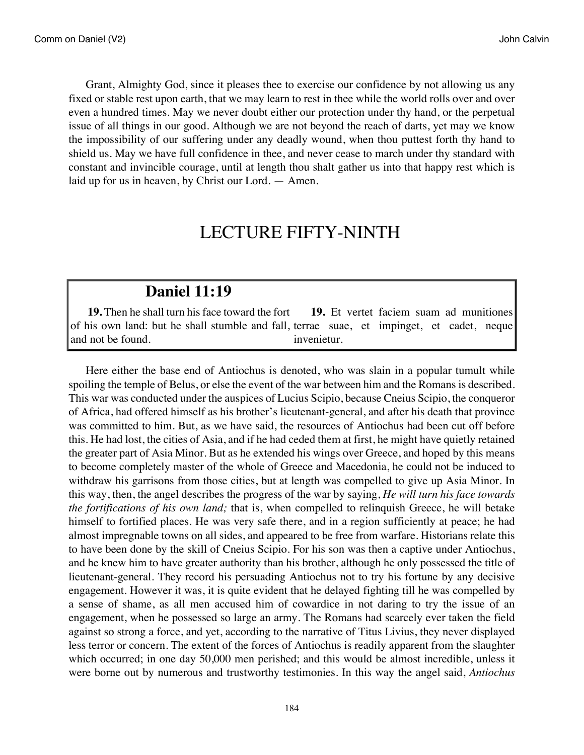Grant, Almighty God, since it pleases thee to exercise our confidence by not allowing us any fixed or stable rest upon earth, that we may learn to rest in thee while the world rolls over and over even a hundred times. May we never doubt either our protection under thy hand, or the perpetual issue of all things in our good. Although we are not beyond the reach of darts, yet may we know the impossibility of our suffering under any deadly wound, when thou puttest forth thy hand to shield us. May we have full confidence in thee, and never cease to march under thy standard with constant and invincible courage, until at length thou shalt gather us into that happy rest which is laid up for us in heaven, by Christ our Lord. — Amen.

## LECTURE FIFTY-NINTH

#### **Daniel 11:19**

**19.** Et vertet faciem suam ad munitiones of his own land: but he shall stumble and fall, terrae suae, et impinget, et cadet, neque invenietur. **19.** Then he shall turn his face toward the fort and not be found.

Here either the base end of Antiochus is denoted, who was slain in a popular tumult while spoiling the temple of Belus, or else the event of the war between him and the Romans is described. This war was conducted under the auspices of Lucius Scipio, because Cneius Scipio, the conqueror of Africa, had offered himself as his brother's lieutenant-general, and after his death that province was committed to him. But, as we have said, the resources of Antiochus had been cut off before this. He had lost, the cities of Asia, and if he had ceded them at first, he might have quietly retained the greater part of Asia Minor. But as he extended his wings over Greece, and hoped by this means to become completely master of the whole of Greece and Macedonia, he could not be induced to withdraw his garrisons from those cities, but at length was compelled to give up Asia Minor. In this way, then, the angel describes the progress of the war by saying, *He will turn his face towards the fortifications of his own land;* that is, when compelled to relinquish Greece, he will betake himself to fortified places. He was very safe there, and in a region sufficiently at peace; he had almost impregnable towns on all sides, and appeared to be free from warfare. Historians relate this to have been done by the skill of Cneius Scipio. For his son was then a captive under Antiochus, and he knew him to have greater authority than his brother, although he only possessed the title of lieutenant-general. They record his persuading Antiochus not to try his fortune by any decisive engagement. However it was, it is quite evident that he delayed fighting till he was compelled by a sense of shame, as all men accused him of cowardice in not daring to try the issue of an engagement, when he possessed so large an army. The Romans had scarcely ever taken the field against so strong a force, and yet, according to the narrative of Titus Livius, they never displayed less terror or concern. The extent of the forces of Antiochus is readily apparent from the slaughter which occurred; in one day 50,000 men perished; and this would be almost incredible, unless it were borne out by numerous and trustworthy testimonies. In this way the angel said, *Antiochus*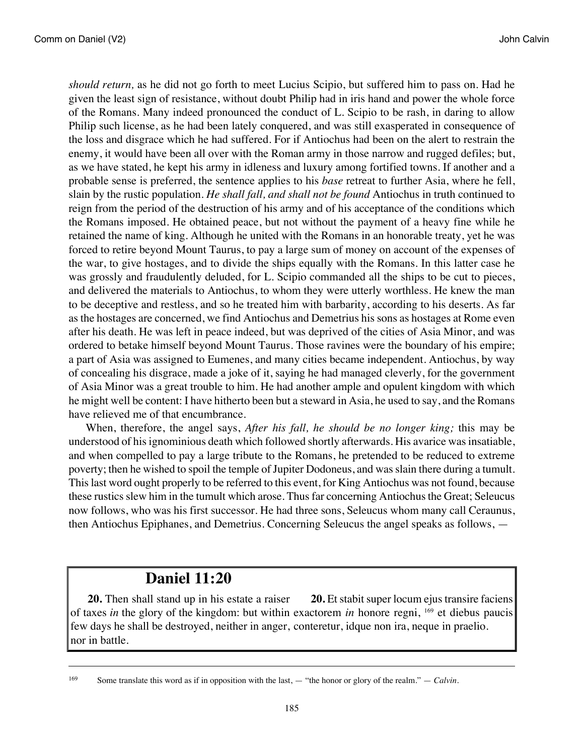*should return,* as he did not go forth to meet Lucius Scipio, but suffered him to pass on. Had he given the least sign of resistance, without doubt Philip had in iris hand and power the whole force of the Romans. Many indeed pronounced the conduct of L. Scipio to be rash, in daring to allow Philip such license, as he had been lately conquered, and was still exasperated in consequence of the loss and disgrace which he had suffered. For if Antiochus had been on the alert to restrain the enemy, it would have been all over with the Roman army in those narrow and rugged defiles; but, as we have stated, he kept his army in idleness and luxury among fortified towns. If another and a probable sense is preferred, the sentence applies to his *base* retreat to further Asia, where he fell, slain by the rustic population. *He shall fall, and shall not be found* Antiochus in truth continued to reign from the period of the destruction of his army and of his acceptance of the conditions which the Romans imposed. He obtained peace, but not without the payment of a heavy fine while he retained the name of king. Although he united with the Romans in an honorable treaty, yet he was forced to retire beyond Mount Taurus, to pay a large sum of money on account of the expenses of the war, to give hostages, and to divide the ships equally with the Romans. In this latter case he was grossly and fraudulently deluded, for L. Scipio commanded all the ships to be cut to pieces, and delivered the materials to Antiochus, to whom they were utterly worthless. He knew the man to be deceptive and restless, and so he treated him with barbarity, according to his deserts. As far as the hostages are concerned, we find Antiochus and Demetrius his sons as hostages at Rome even after his death. He was left in peace indeed, but was deprived of the cities of Asia Minor, and was ordered to betake himself beyond Mount Taurus. Those ravines were the boundary of his empire; a part of Asia was assigned to Eumenes, and many cities became independent. Antiochus, by way of concealing his disgrace, made a joke of it, saying he had managed cleverly, for the government of Asia Minor was a great trouble to him. He had another ample and opulent kingdom with which he might well be content: I have hitherto been but a steward in Asia, he used to say, and the Romans have relieved me of that encumbrance.

When, therefore, the angel says, *After his fall, he should be no longer king;* this may be understood of his ignominious death which followed shortly afterwards. His avarice was insatiable, and when compelled to pay a large tribute to the Romans, he pretended to be reduced to extreme poverty; then he wished to spoil the temple of Jupiter Dodoneus, and was slain there during a tumult. This last word ought properly to be referred to this event, for King Antiochus was not found, because these rustics slew him in the tumult which arose. Thus far concerning Antiochus the Great; Seleucus now follows, who was his first successor. He had three sons, Seleucus whom many call Ceraunus, then Antiochus Epiphanes, and Demetrius. Concerning Seleucus the angel speaks as follows, —

#### **Daniel 11:20**

**20.** Et stabit super locum ejus transire faciens of taxes *in* the glory of the kingdom: but within exactorem *in* honore regni, <sup>169</sup> et diebus paucis few days he shall be destroyed, neither in anger, conteretur, idque non ira, neque in praelio. **20.** Then shall stand up in his estate a raiser nor in battle.

<sup>169</sup> Some translate this word as if in opposition with the last, — "the honor or glory of the realm." — *Calvin.*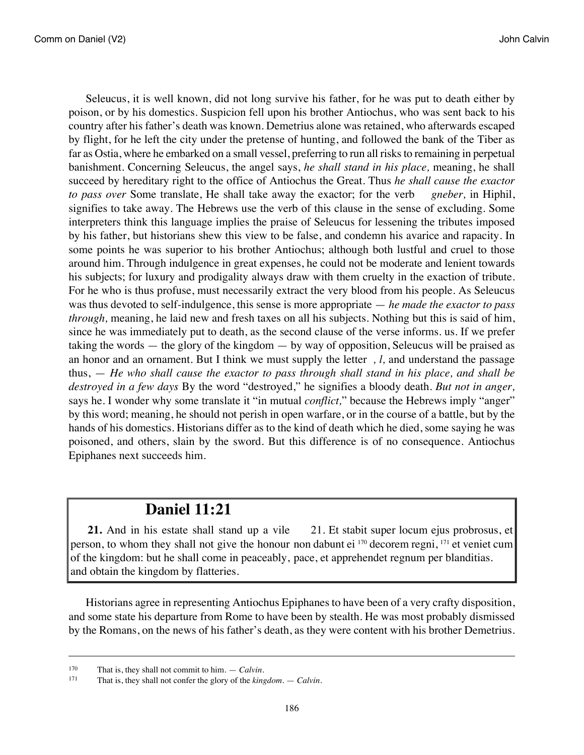Seleucus, it is well known, did not long survive his father, for he was put to death either by poison, or by his domestics. Suspicion fell upon his brother Antiochus, who was sent back to his country after his father's death was known. Demetrius alone was retained, who afterwards escaped by flight, for he left the city under the pretense of hunting, and followed the bank of the Tiber as far as Ostia, where he embarked on a small vessel, preferring to run all risks to remaining in perpetual banishment. Concerning Seleucus, the angel says, *he shall stand in his place,* meaning, he shall succeed by hereditary right to the office of Antiochus the Great. Thus *he shall cause the exactor to pass over* Some translate, He shall take away the exactor; for the verb *gneber,* in Hiphil, signifies to take away. The Hebrews use the verb of this clause in the sense of excluding. Some interpreters think this language implies the praise of Seleucus for lessening the tributes imposed by his father, but historians shew this view to be false, and condemn his avarice and rapacity. In some points he was superior to his brother Antiochus; although both lustful and cruel to those around him. Through indulgence in great expenses, he could not be moderate and lenient towards his subjects; for luxury and prodigality always draw with them cruelty in the exaction of tribute. For he who is thus profuse, must necessarily extract the very blood from his people. As Seleucus was thus devoted to self-indulgence, this sense is more appropriate — *he made the exactor to pass through,* meaning, he laid new and fresh taxes on all his subjects. Nothing but this is said of him, since he was immediately put to death, as the second clause of the verse informs. us. If we prefer taking the words — the glory of the kingdom — by way of opposition, Seleucus will be praised as an honor and an ornament. But I think we must supply the letter *, l,* and understand the passage thus, — *He who shall cause the exactor to pass through shall stand in his place, and shall be destroyed in a few days* By the word "destroyed," he signifies a bloody death. *But not in anger,* says he. I wonder why some translate it "in mutual *conflict,*" because the Hebrews imply "anger" by this word; meaning, he should not perish in open warfare, or in the course of a battle, but by the hands of his domestics. Historians differ as to the kind of death which he died, some saying he was poisoned, and others, slain by the sword. But this difference is of no consequence. Antiochus Epiphanes next succeeds him.

### **Daniel 11:21**

21. Et stabit super locum ejus probrosus, et person, to whom they shall not give the honour non dabunt ei <sup>170</sup> decorem regni, <sup>171</sup> et veniet cum of the kingdom: but he shall come in peaceably, pace, et apprehendet regnum per blanditias. **21.** And in his estate shall stand up a vile and obtain the kingdom by flatteries.

Historians agree in representing Antiochus Epiphanes to have been of a very crafty disposition, and some state his departure from Rome to have been by stealth. He was most probably dismissed by the Romans, on the news of his father's death, as they were content with his brother Demetrius.

<sup>171</sup> That is, they shall not confer the glory of the *kingdom.* — *Calvin.*

<sup>170</sup> That is, they shall not commit to him. — *Calvin*.<br>171 That is, they shall not confer the glory of the kine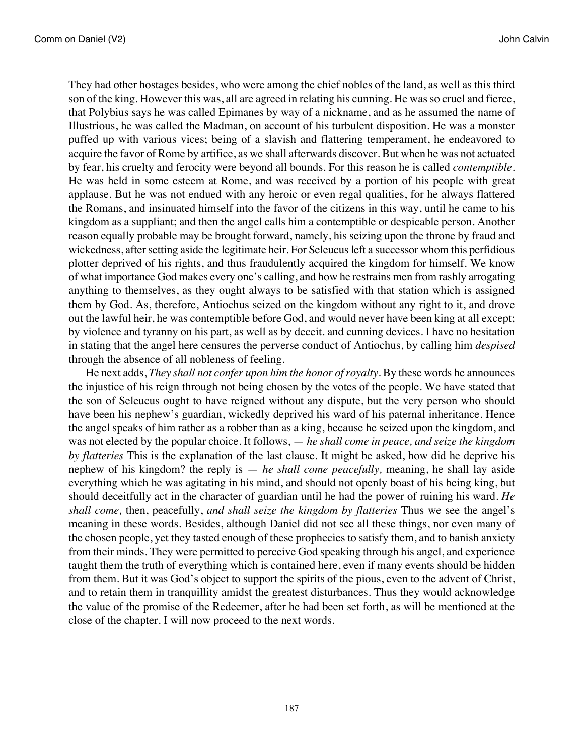They had other hostages besides, who were among the chief nobles of the land, as well as this third son of the king. However this was, all are agreed in relating his cunning. He was so cruel and fierce, that Polybius says he was called Epimanes by way of a nickname, and as he assumed the name of Illustrious, he was called the Madman, on account of his turbulent disposition. He was a monster puffed up with various vices; being of a slavish and flattering temperament, he endeavored to acquire the favor of Rome by artifice, as we shall afterwards discover. But when he was not actuated by fear, his cruelty and ferocity were beyond all bounds. For this reason he is called *contemptible.* He was held in some esteem at Rome, and was received by a portion of his people with great applause. But he was not endued with any heroic or even regal qualities, for he always flattered the Romans, and insinuated himself into the favor of the citizens in this way, until he came to his kingdom as a suppliant; and then the angel calls him a contemptible or despicable person. Another reason equally probable may be brought forward, namely, his seizing upon the throne by fraud and wickedness, after setting aside the legitimate heir. For Seleucus left a successor whom this perfidious plotter deprived of his rights, and thus fraudulently acquired the kingdom for himself. We know of what importance God makes every one's calling, and how he restrains men from rashly arrogating anything to themselves, as they ought always to be satisfied with that station which is assigned them by God. As, therefore, Antiochus seized on the kingdom without any right to it, and drove out the lawful heir, he was contemptible before God, and would never have been king at all except; by violence and tyranny on his part, as well as by deceit. and cunning devices. I have no hesitation in stating that the angel here censures the perverse conduct of Antiochus, by calling him *despised* through the absence of all nobleness of feeling.

He next adds, *They shall not confer upon him the honor of royalty.* By these words he announces the injustice of his reign through not being chosen by the votes of the people. We have stated that the son of Seleucus ought to have reigned without any dispute, but the very person who should have been his nephew's guardian, wickedly deprived his ward of his paternal inheritance. Hence the angel speaks of him rather as a robber than as a king, because he seized upon the kingdom, and was not elected by the popular choice. It follows, — *he shall come in peace, and seize the kingdom by flatteries* This is the explanation of the last clause. It might be asked, how did he deprive his nephew of his kingdom? the reply is — *he shall come peacefully,* meaning, he shall lay aside everything which he was agitating in his mind, and should not openly boast of his being king, but should deceitfully act in the character of guardian until he had the power of ruining his ward. *He shall come,* then, peacefully, *and shall seize the kingdom by flatteries* Thus we see the angel's meaning in these words. Besides, although Daniel did not see all these things, nor even many of the chosen people, yet they tasted enough of these prophecies to satisfy them, and to banish anxiety from their minds. They were permitted to perceive God speaking through his angel, and experience taught them the truth of everything which is contained here, even if many events should be hidden from them. But it was God's object to support the spirits of the pious, even to the advent of Christ, and to retain them in tranquillity amidst the greatest disturbances. Thus they would acknowledge the value of the promise of the Redeemer, after he had been set forth, as will be mentioned at the close of the chapter. I will now proceed to the next words.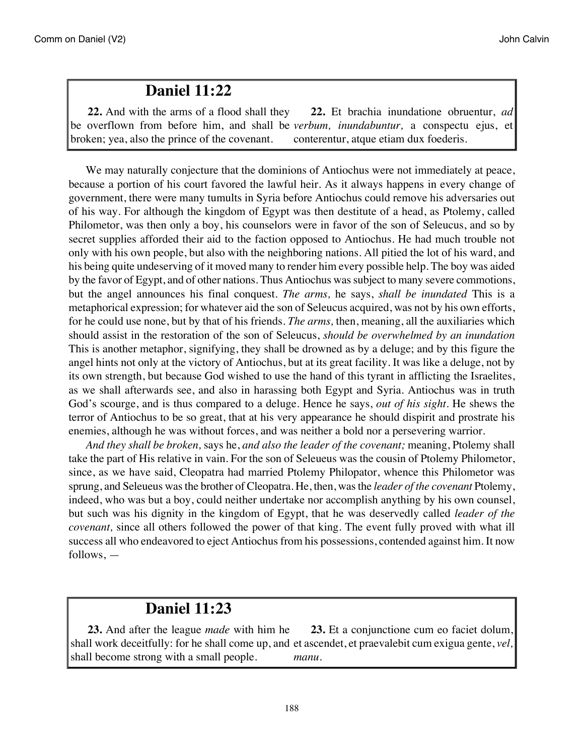### **Daniel 11:22**

**22.** Et brachia inundatione obruentur, *ad* be overflown from before him, and shall be *verbum, inundabuntur*, a conspectu ejus, et conterentur, atque etiam dux foederis. **22.** And with the arms of a flood shall they broken; yea, also the prince of the covenant.

We may naturally conjecture that the dominions of Antiochus were not immediately at peace, because a portion of his court favored the lawful heir. As it always happens in every change of government, there were many tumults in Syria before Antiochus could remove his adversaries out of his way. For although the kingdom of Egypt was then destitute of a head, as Ptolemy, called Philometor, was then only a boy, his counselors were in favor of the son of Seleucus, and so by secret supplies afforded their aid to the faction opposed to Antiochus. He had much trouble not only with his own people, but also with the neighboring nations. All pitied the lot of his ward, and his being quite undeserving of it moved many to render him every possible help. The boy was aided by the favor of Egypt, and of other nations. Thus Antiochus was subject to many severe commotions, but the angel announces his final conquest. *The arms,* he says, *shall be inundated* This is a metaphorical expression; for whatever aid the son of Seleucus acquired, was not by his own efforts, for he could use none, but by that of his friends. *The arms,* then, meaning, all the auxiliaries which should assist in the restoration of the son of Seleucus, *should be overwhelmed by an inundation* This is another metaphor, signifying, they shall be drowned as by a deluge; and by this figure the angel hints not only at the victory of Antiochus, but at its great facility. It was like a deluge, not by its own strength, but because God wished to use the hand of this tyrant in afflicting the Israelites, as we shall afterwards see, and also in harassing both Egypt and Syria. Antiochus was in truth God's scourge, and is thus compared to a deluge. Hence he says, *out of his sight.* He shews the terror of Antiochus to be so great, that at his very appearance he should dispirit and prostrate his enemies, although he was without forces, and was neither a bold nor a persevering warrior.

*And they shall be broken,* says he, *and also the leader of the covenant;* meaning, Ptolemy shall take the part of His relative in vain. For the son of Seleueus was the cousin of Ptolemy Philometor, since, as we have said, Cleopatra had married Ptolemy Philopator, whence this Philometor was sprung, and Seleueus was the brother of Cleopatra. He, then, was the *leader of the covenant* Ptolemy, indeed, who was but a boy, could neither undertake nor accomplish anything by his own counsel, but such was his dignity in the kingdom of Egypt, that he was deservedly called *leader of the covenant,* since all others followed the power of that king. The event fully proved with what ill success all who endeavored to eject Antiochus from his possessions, contended against him. It now follows, —

### **Daniel 11:23**

**23.** Et a conjunctione cum eo faciet dolum, shall work deceitfully: for he shall come up, and et ascendet, et praevalebit cum exigua gente, vel, *manu.* **23.** And after the league *made* with him he shall become strong with a small people.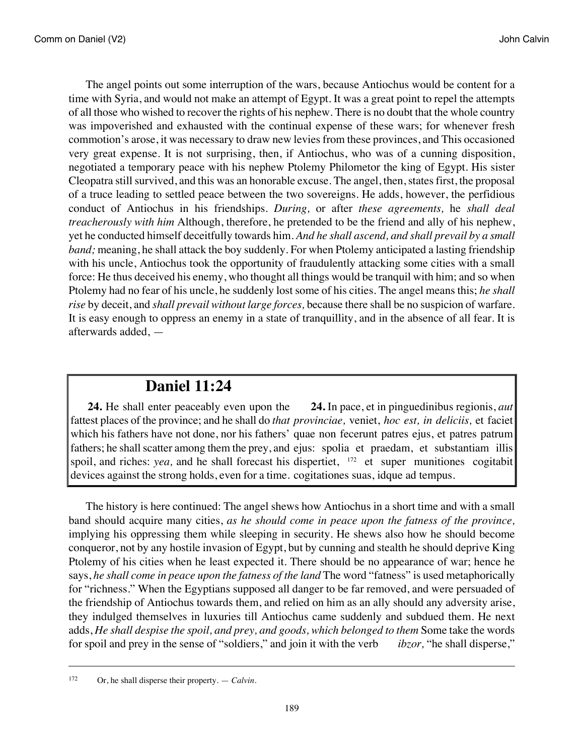The angel points out some interruption of the wars, because Antiochus would be content for a time with Syria, and would not make an attempt of Egypt. It was a great point to repel the attempts of all those who wished to recover the rights of his nephew. There is no doubt that the whole country was impoverished and exhausted with the continual expense of these wars; for whenever fresh commotion's arose, it was necessary to draw new levies from these provinces, and This occasioned very great expense. It is not surprising, then, if Antiochus, who was of a cunning disposition, negotiated a temporary peace with his nephew Ptolemy Philometor the king of Egypt. His sister Cleopatra still survived, and this was an honorable excuse. The angel, then, states first, the proposal of a truce leading to settled peace between the two sovereigns. He adds, however, the perfidious conduct of Antiochus in his friendships. *During,* or after *these agreements,* he *shall deal treacherously with him* Although, therefore, he pretended to be the friend and ally of his nephew, yet he conducted himself deceitfully towards him. *And he shall ascend, and shall prevail by a small band*; meaning, he shall attack the boy suddenly. For when Ptolemy anticipated a lasting friendship with his uncle, Antiochus took the opportunity of fraudulently attacking some cities with a small force: He thus deceived his enemy, who thought all things would be tranquil with him; and so when Ptolemy had no fear of his uncle, he suddenly lost some of his cities. The angel means this; *he shall rise* by deceit, and *shall prevail without large forces,* because there shall be no suspicion of warfare. It is easy enough to oppress an enemy in a state of tranquillity, and in the absence of all fear. It is afterwards added, —

### **Daniel 11:24**

**24.** In pace, et in pinguedinibus regionis, *aut* fattest places of the province; and he shall do *that provinciae*, veniet, *hoc est, in deliciis*, et faciet **24.** He shall enter peaceably even upon the which his fathers have not done, nor his fathers' quae non fecerunt patres ejus, et patres patrum fathers; he shall scatter among them the prey, and ejus: spolia et praedam, et substantiam illis spoil, and riches: *yea*, and he shall forecast his dispertiet, <sup>172</sup> et super munitiones cogitabit devices against the strong holds, even for a time. cogitationes suas, idque ad tempus.

The history is here continued: The angel shews how Antiochus in a short time and with a small band should acquire many cities, *as he should come in peace upon the fatness of the province,* implying his oppressing them while sleeping in security. He shews also how he should become conqueror, not by any hostile invasion of Egypt, but by cunning and stealth he should deprive King Ptolemy of his cities when he least expected it. There should be no appearance of war; hence he says, *he shall come in peace upon the fatness of the land* The word "fatness" is used metaphorically for "richness." When the Egyptians supposed all danger to be far removed, and were persuaded of the friendship of Antiochus towards them, and relied on him as an ally should any adversity arise, they indulged themselves in luxuries till Antiochus came suddenly and subdued them. He next adds, *He shall despise the spoil, and prey, and goods, which belonged to them* Some take the words for spoil and prey in the sense of "soldiers," and join it with the verb *ibzor,* "he shall disperse,"

<sup>172</sup> Or, he shall disperse their property. — *Calvin.*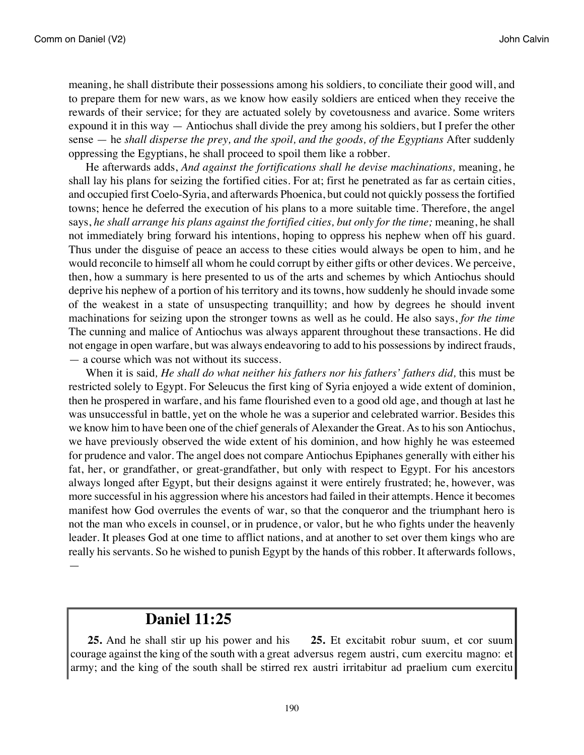meaning, he shall distribute their possessions among his soldiers, to conciliate their good will, and to prepare them for new wars, as we know how easily soldiers are enticed when they receive the rewards of their service; for they are actuated solely by covetousness and avarice. Some writers expound it in this way — Antiochus shall divide the prey among his soldiers, but I prefer the other sense — he *shall disperse the prey, and the spoil, and the goods, of the Egyptians* After suddenly oppressing the Egyptians, he shall proceed to spoil them like a robber.

He afterwards adds, *And against the fortifications shall he devise machinations,* meaning, he shall lay his plans for seizing the fortified cities. For at; first he penetrated as far as certain cities, and occupied first Coelo-Syria, and afterwards Phoenica, but could not quickly possess the fortified towns; hence he deferred the execution of his plans to a more suitable time. Therefore, the angel says, *he shall arrange his plans against the fortified cities, but only for the time;* meaning, he shall not immediately bring forward his intentions, hoping to oppress his nephew when off his guard. Thus under the disguise of peace an access to these cities would always be open to him, and he would reconcile to himself all whom he could corrupt by either gifts or other devices. We perceive, then, how a summary is here presented to us of the arts and schemes by which Antiochus should deprive his nephew of a portion of his territory and its towns, how suddenly he should invade some of the weakest in a state of unsuspecting tranquillity; and how by degrees he should invent machinations for seizing upon the stronger towns as well as he could. He also says, *for the time* The cunning and malice of Antiochus was always apparent throughout these transactions. He did not engage in open warfare, but was always endeavoring to add to his possessions by indirect frauds, — a course which was not without its success.

When it is said, *He shall do what neither his fathers nor his fathers' fathers did*, this must be restricted solely to Egypt. For Seleucus the first king of Syria enjoyed a wide extent of dominion, then he prospered in warfare, and his fame flourished even to a good old age, and though at last he was unsuccessful in battle, yet on the whole he was a superior and celebrated warrior. Besides this we know him to have been one of the chief generals of Alexander the Great. As to his son Antiochus, we have previously observed the wide extent of his dominion, and how highly he was esteemed for prudence and valor. The angel does not compare Antiochus Epiphanes generally with either his fat, her, or grandfather, or great-grandfather, but only with respect to Egypt. For his ancestors always longed after Egypt, but their designs against it were entirely frustrated; he, however, was more successful in his aggression where his ancestors had failed in their attempts. Hence it becomes manifest how God overrules the events of war, so that the conqueror and the triumphant hero is not the man who excels in counsel, or in prudence, or valor, but he who fights under the heavenly leader. It pleases God at one time to afflict nations, and at another to set over them kings who are really his servants. So he wished to punish Egypt by the hands of this robber. It afterwards follows, —

#### **Daniel 11:25**

**25.** Et excitabit robur suum, et cor suum courage against the king of the south with a great adversus regem austri, cum exercitu magno: et **25.** And he shall stir up his power and his army; and the king of the south shall be stirred rex austri irritabitur ad praelium cum exercitu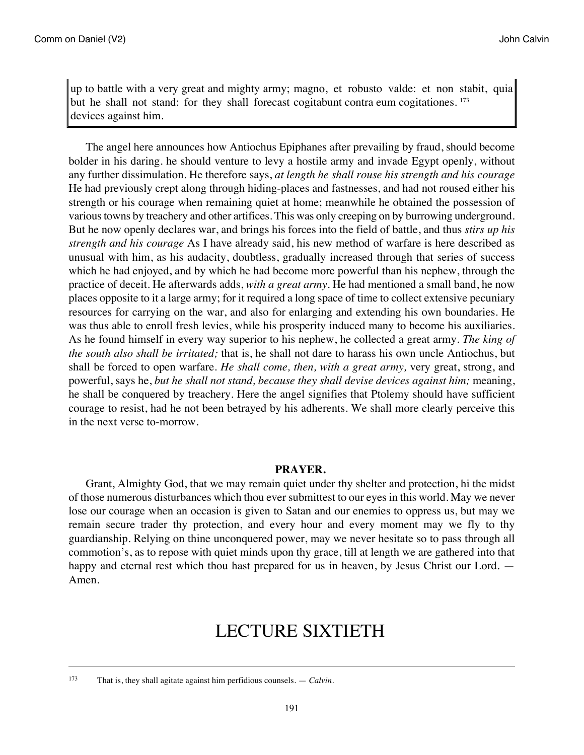up to battle with a very great and mighty army; magno, et robusto valde: et non stabit, quia but he shall not stand: for they shall forecast cogitabunt contra eum cogitationes.<sup>173</sup> devices against him.

The angel here announces how Antiochus Epiphanes after prevailing by fraud, should become bolder in his daring. he should venture to levy a hostile army and invade Egypt openly, without any further dissimulation. He therefore says, *at length he shall rouse his strength and his courage* He had previously crept along through hiding-places and fastnesses, and had not roused either his strength or his courage when remaining quiet at home; meanwhile he obtained the possession of various towns by treachery and other artifices. This was only creeping on by burrowing underground. But he now openly declares war, and brings his forces into the field of battle, and thus *stirs up his strength and his courage* As I have already said, his new method of warfare is here described as unusual with him, as his audacity, doubtless, gradually increased through that series of success which he had enjoyed, and by which he had become more powerful than his nephew, through the practice of deceit. He afterwards adds, *with a great army.* He had mentioned a small band, he now places opposite to it a large army; for it required a long space of time to collect extensive pecuniary resources for carrying on the war, and also for enlarging and extending his own boundaries. He was thus able to enroll fresh levies, while his prosperity induced many to become his auxiliaries. As he found himself in every way superior to his nephew, he collected a great army. *The king of the south also shall be irritated;* that is, he shall not dare to harass his own uncle Antiochus, but shall be forced to open warfare. *He shall come, then, with a great army,* very great, strong, and powerful, says he, *but he shall not stand, because they shall devise devices against him;* meaning, he shall be conquered by treachery. Here the angel signifies that Ptolemy should have sufficient courage to resist, had he not been betrayed by his adherents. We shall more clearly perceive this in the next verse to-morrow.

#### **PRAYER.**

Grant, Almighty God, that we may remain quiet under thy shelter and protection, hi the midst of those numerous disturbances which thou ever submittest to our eyes in this world. May we never lose our courage when an occasion is given to Satan and our enemies to oppress us, but may we remain secure trader thy protection, and every hour and every moment may we fly to thy guardianship. Relying on thine unconquered power, may we never hesitate so to pass through all commotion's, as to repose with quiet minds upon thy grace, till at length we are gathered into that happy and eternal rest which thou hast prepared for us in heaven, by Jesus Christ our Lord. — Amen.

## LECTURE SIXTIETH

<sup>173</sup> That is, they shall agitate against him perfidious counsels. — *Calvin.*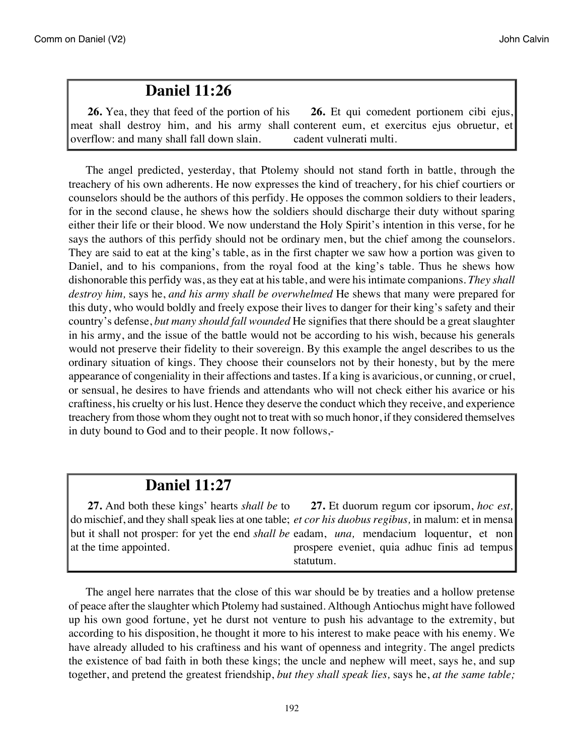### **Daniel 11:26**

**26.** Et qui comedent portionem cibi ejus, meat shall destroy him, and his army shall conterent eum, et exercitus ejus obruetur, et cadent vulnerati multi. **26.** Yea, they that feed of the portion of his overflow: and many shall fall down slain.

The angel predicted, yesterday, that Ptolemy should not stand forth in battle, through the treachery of his own adherents. He now expresses the kind of treachery, for his chief courtiers or counselors should be the authors of this perfidy. He opposes the common soldiers to their leaders, for in the second clause, he shews how the soldiers should discharge their duty without sparing either their life or their blood. We now understand the Holy Spirit's intention in this verse, for he says the authors of this perfidy should not be ordinary men, but the chief among the counselors. They are said to eat at the king's table, as in the first chapter we saw how a portion was given to Daniel, and to his companions, from the royal food at the king's table. Thus he shews how dishonorable this perfidy was, as they eat at his table, and were his intimate companions. *They shall destroy him,* says he, *and his army shall be overwhelmed* He shews that many were prepared for this duty, who would boldly and freely expose their lives to danger for their king's safety and their country's defense, *but many should fall wounded* He signifies that there should be a great slaughter in his army, and the issue of the battle would not be according to his wish, because his generals would not preserve their fidelity to their sovereign. By this example the angel describes to us the ordinary situation of kings. They choose their counselors not by their honesty, but by the mere appearance of congeniality in their affections and tastes. If a king is avaricious, or cunning, or cruel, or sensual, he desires to have friends and attendants who will not check either his avarice or his craftiness, his cruelty or his lust. Hence they deserve the conduct which they receive, and experience treachery from those whom they ought not to treat with so much honor, if they considered themselves in duty bound to God and to their people. It now follows,-

#### **Daniel 11:27**

**27.** Et duorum regum cor ipsorum, *hoc est,* do mischief, and they shall speak lies at one table; *et cor his duobus regibus*, in malum: et in mensa **27.** And both these kings' hearts *shall be* to but it shall not prosper: for yet the end *shall be* eadam, *una,* mendacium loquentur, et non at the time appointed. prospere eveniet, quia adhuc finis ad tempus statutum.

The angel here narrates that the close of this war should be by treaties and a hollow pretense of peace after the slaughter which Ptolemy had sustained. Although Antiochus might have followed up his own good fortune, yet he durst not venture to push his advantage to the extremity, but according to his disposition, he thought it more to his interest to make peace with his enemy. We have already alluded to his craftiness and his want of openness and integrity. The angel predicts the existence of bad faith in both these kings; the uncle and nephew will meet, says he, and sup together, and pretend the greatest friendship, *but they shall speak lies,* says he, *at the same table;*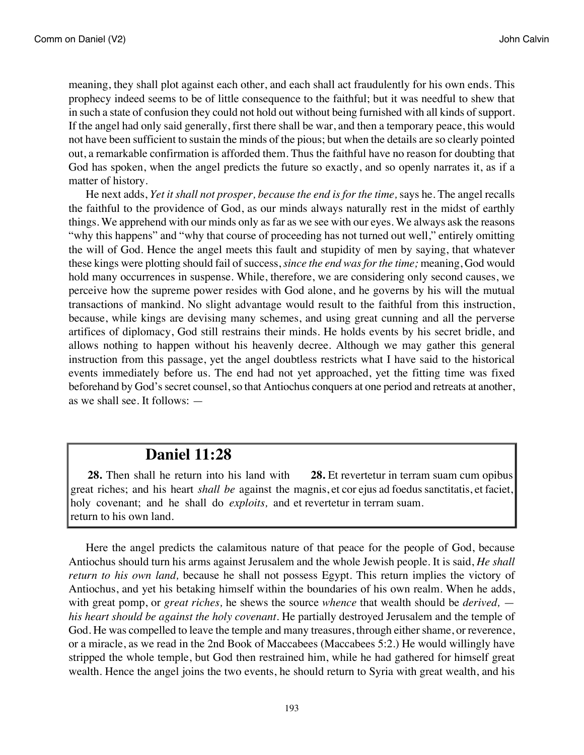meaning, they shall plot against each other, and each shall act fraudulently for his own ends. This prophecy indeed seems to be of little consequence to the faithful; but it was needful to shew that in such a state of confusion they could not hold out without being furnished with all kinds of support. If the angel had only said generally, first there shall be war, and then a temporary peace, this would not have been sufficient to sustain the minds of the pious; but when the details are so clearly pointed out, a remarkable confirmation is afforded them. Thus the faithful have no reason for doubting that God has spoken, when the angel predicts the future so exactly, and so openly narrates it, as if a matter of history.

He next adds, *Yet it shall not prosper, because the end is for the time,* says he. The angel recalls the faithful to the providence of God, as our minds always naturally rest in the midst of earthly things. We apprehend with our minds only as far as we see with our eyes. We always ask the reasons "why this happens" and "why that course of proceeding has not turned out well," entirely omitting the will of God. Hence the angel meets this fault and stupidity of men by saying, that whatever these kings were plotting should fail of success, *since the end was for the time;* meaning, God would hold many occurrences in suspense. While, therefore, we are considering only second causes, we perceive how the supreme power resides with God alone, and he governs by his will the mutual transactions of mankind. No slight advantage would result to the faithful from this instruction, because, while kings are devising many schemes, and using great cunning and all the perverse artifices of diplomacy, God still restrains their minds. He holds events by his secret bridle, and allows nothing to happen without his heavenly decree. Although we may gather this general instruction from this passage, yet the angel doubtless restricts what I have said to the historical events immediately before us. The end had not yet approached, yet the fitting time was fixed beforehand by God's secret counsel, so that Antiochus conquers at one period and retreats at another, as we shall see. It follows: —

### **Daniel 11:28**

**28.** Et revertetur in terram suam cum opibus great riches; and his heart *shall be* against the magnis, et cor ejus ad foedus sanctitatis, et faciet, holy covenant; and he shall do *exploits*, and et revertetur in terram suam. **28.** Then shall he return into his land with return to his own land.

Here the angel predicts the calamitous nature of that peace for the people of God, because Antiochus should turn his arms against Jerusalem and the whole Jewish people. It is said, *He shall return to his own land,* because he shall not possess Egypt. This return implies the victory of Antiochus, and yet his betaking himself within the boundaries of his own realm. When he adds, with great pomp, or *great riches,* he shews the source *whence* that wealth should be *derived, his heart should be against the holy covenant.* He partially destroyed Jerusalem and the temple of God. He was compelled to leave the temple and many treasures, through either shame, or reverence, or a miracle, as we read in the 2nd Book of Maccabees (Maccabees 5:2.) He would willingly have stripped the whole temple, but God then restrained him, while he had gathered for himself great wealth. Hence the angel joins the two events, he should return to Syria with great wealth, and his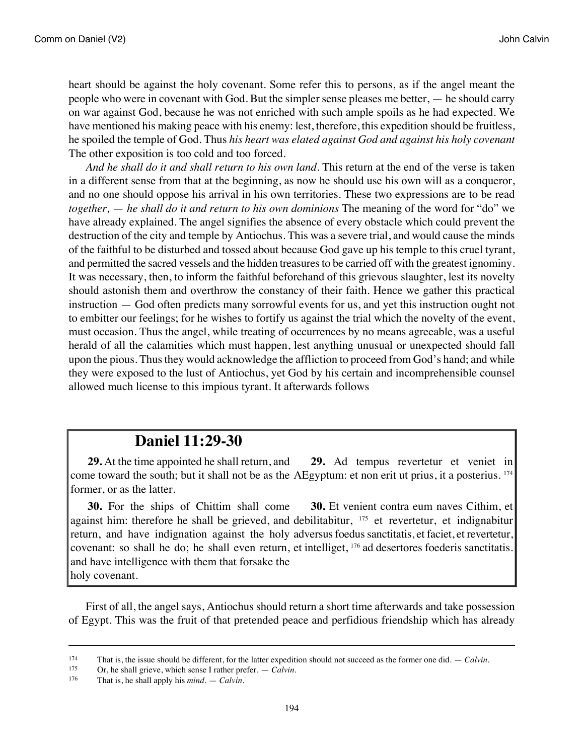heart should be against the holy covenant. Some refer this to persons, as if the angel meant the people who were in covenant with God. But the simpler sense pleases me better, — he should carry on war against God, because he was not enriched with such ample spoils as he had expected. We have mentioned his making peace with his enemy: lest, therefore, this expedition should be fruitless, he spoiled the temple of God. Thus *his heart was elated against God and against his holy covenant* The other exposition is too cold and too forced.

*And he shall do it and shall return to his own land.* This return at the end of the verse is taken in a different sense from that at the beginning, as now he should use his own will as a conqueror, and no one should oppose his arrival in his own territories. These two expressions are to be read *together,* — *he shall do it and return to his own dominions* The meaning of the word for "do" we have already explained. The angel signifies the absence of every obstacle which could prevent the destruction of the city and temple by Antiochus. This was a severe trial, and would cause the minds of the faithful to be disturbed and tossed about because God gave up his temple to this cruel tyrant, and permitted the sacred vessels and the hidden treasures to be carried off with the greatest ignominy. It was necessary, then, to inform the faithful beforehand of this grievous slaughter, lest its novelty should astonish them and overthrow the constancy of their faith. Hence we gather this practical instruction — God often predicts many sorrowful events for us, and yet this instruction ought not to embitter our feelings; for he wishes to fortify us against the trial which the novelty of the event, must occasion. Thus the angel, while treating of occurrences by no means agreeable, was a useful herald of all the calamities which must happen, lest anything unusual or unexpected should fall upon the pious. Thus they would acknowledge the affliction to proceed from God's hand; and while they were exposed to the lust of Antiochus, yet God by his certain and incomprehensible counsel allowed much license to this impious tyrant. It afterwards follows

#### **Daniel 11:29-30**

**29.** Ad tempus revertetur et veniet in come toward the south; but it shall not be as the AEgyptum: et non erit ut prius, it a posterius. <sup>174</sup> **29.** At the time appointed he shall return, and former, or as the latter.

**30.** Et venient contra eum naves Cithim, et against him: therefore he shall be grieved, and debilitabitur, <sup>175</sup> et revertetur, et indignabitur **30.** For the ships of Chittim shall come return, and have indignation against the holy adversus foedus sanctitatis, et faciet, et revertetur, covenant: so shall he do; he shall even return, et intelliget, <sup>176</sup> ad desertores foederis sanctitatis. and have intelligence with them that forsake the holy covenant.

First of all, the angel says, Antiochus should return a short time afterwards and take possession of Egypt. This was the fruit of that pretended peace and perfidious friendship which has already

<sup>174</sup> That is, the issue should be different, for the latter expedition should not succeed as the former one did. — *Calvin.*

<sup>175</sup> Or, he shall grieve, which sense I rather prefer.  $-$  *Calvin*.<br>176 That is he shall apply his *mind*  $-$  *Calvin* 

That is, he shall apply his *mind*. — *Calvin*.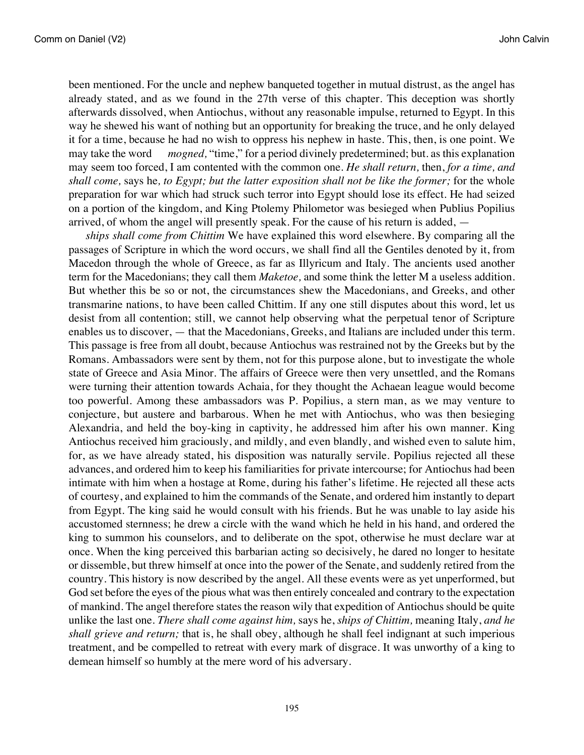been mentioned. For the uncle and nephew banqueted together in mutual distrust, as the angel has already stated, and as we found in the 27th verse of this chapter. This deception was shortly afterwards dissolved, when Antiochus, without any reasonable impulse, returned to Egypt. In this way he shewed his want of nothing but an opportunity for breaking the truce, and he only delayed it for a time, because he had no wish to oppress his nephew in haste. This, then, is one point. We may take the word *mogned,* "time," for a period divinely predetermined; but. as this explanation may seem too forced, I am contented with the common one. *He shall return,* then, *for a time, and shall come,* says he*, to Egypt; but the latter exposition shall not be like the former;* for the whole preparation for war which had struck such terror into Egypt should lose its effect. He had seized on a portion of the kingdom, and King Ptolemy Philometor was besieged when Publius Popilius arrived, of whom the angel will presently speak. For the cause of his return is added, —

*ships shall come from Chittim* We have explained this word elsewhere. By comparing all the passages of Scripture in which the word occurs, we shall find all the Gentiles denoted by it, from Macedon through the whole of Greece, as far as Illyricum and Italy. The ancients used another term for the Macedonians; they call them *Maketoe,* and some think the letter M a useless addition. But whether this be so or not, the circumstances shew the Macedonians, and Greeks, and other transmarine nations, to have been called Chittim. If any one still disputes about this word, let us desist from all contention; still, we cannot help observing what the perpetual tenor of Scripture enables us to discover, — that the Macedonians, Greeks, and Italians are included under this term. This passage is free from all doubt, because Antiochus was restrained not by the Greeks but by the Romans. Ambassadors were sent by them, not for this purpose alone, but to investigate the whole state of Greece and Asia Minor. The affairs of Greece were then very unsettled, and the Romans were turning their attention towards Achaia, for they thought the Achaean league would become too powerful. Among these ambassadors was P. Popilius, a stern man, as we may venture to conjecture, but austere and barbarous. When he met with Antiochus, who was then besieging Alexandria, and held the boy-king in captivity, he addressed him after his own manner. King Antiochus received him graciously, and mildly, and even blandly, and wished even to salute him, for, as we have already stated, his disposition was naturally servile. Popilius rejected all these advances, and ordered him to keep his familiarities for private intercourse; for Antiochus had been intimate with him when a hostage at Rome, during his father's lifetime. He rejected all these acts of courtesy, and explained to him the commands of the Senate, and ordered him instantly to depart from Egypt. The king said he would consult with his friends. But he was unable to lay aside his accustomed sternness; he drew a circle with the wand which he held in his hand, and ordered the king to summon his counselors, and to deliberate on the spot, otherwise he must declare war at once. When the king perceived this barbarian acting so decisively, he dared no longer to hesitate or dissemble, but threw himself at once into the power of the Senate, and suddenly retired from the country. This history is now described by the angel. All these events were as yet unperformed, but God set before the eyes of the pious what was then entirely concealed and contrary to the expectation of mankind. The angel therefore states the reason wily that expedition of Antiochus should be quite unlike the last one. *There shall come against him,* says he, *ships of Chittim,* meaning Italy, *and he shall grieve and return;* that is, he shall obey, although he shall feel indignant at such imperious treatment, and be compelled to retreat with every mark of disgrace. It was unworthy of a king to demean himself so humbly at the mere word of his adversary.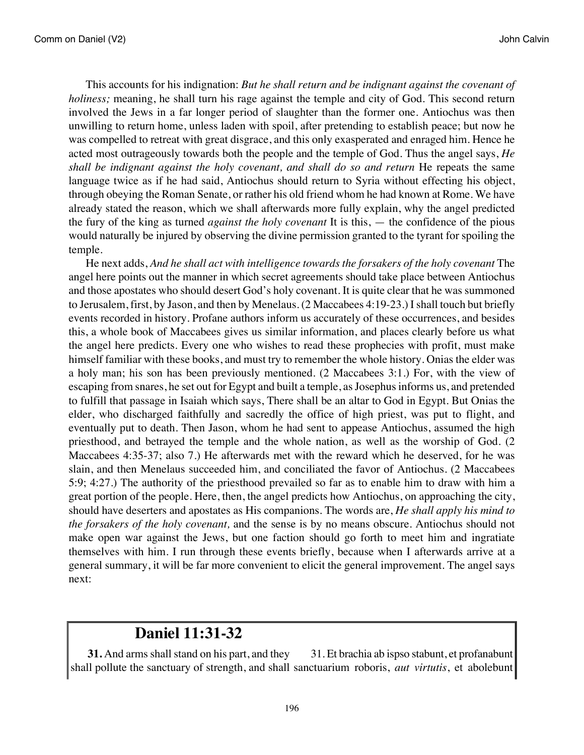This accounts for his indignation: *But he shall return and be indignant against the covenant of holiness;* meaning, he shall turn his rage against the temple and city of God. This second return involved the Jews in a far longer period of slaughter than the former one. Antiochus was then unwilling to return home, unless laden with spoil, after pretending to establish peace; but now he was compelled to retreat with great disgrace, and this only exasperated and enraged him. Hence he acted most outrageously towards both the people and the temple of God. Thus the angel says, *He shall be indignant against the holy covenant, and shall do so and return* He repeats the same language twice as if he had said, Antiochus should return to Syria without effecting his object, through obeying the Roman Senate, or rather his old friend whom he had known at Rome. We have already stated the reason, which we shall afterwards more fully explain, why the angel predicted the fury of the king as turned *against the holy covenant* It is this, — the confidence of the pious would naturally be injured by observing the divine permission granted to the tyrant for spoiling the temple.

He next adds, *And he shall act with intelligence towards the forsakers of the holy covenant* The angel here points out the manner in which secret agreements should take place between Antiochus and those apostates who should desert God's holy covenant. It is quite clear that he was summoned to Jerusalem, first, by Jason, and then by Menelaus. (2 Maccabees 4:19-23.) I shall touch but briefly events recorded in history. Profane authors inform us accurately of these occurrences, and besides this, a whole book of Maccabees gives us similar information, and places clearly before us what the angel here predicts. Every one who wishes to read these prophecies with profit, must make himself familiar with these books, and must try to remember the whole history. Onias the elder was a holy man; his son has been previously mentioned. (2 Maccabees 3:1.) For, with the view of escaping from snares, he set out for Egypt and built a temple, as Josephus informs us, and pretended to fulfill that passage in Isaiah which says, There shall be an altar to God in Egypt. But Onias the elder, who discharged faithfully and sacredly the office of high priest, was put to flight, and eventually put to death. Then Jason, whom he had sent to appease Antiochus, assumed the high priesthood, and betrayed the temple and the whole nation, as well as the worship of God. (2 Maccabees 4:35-37; also 7.) He afterwards met with the reward which he deserved, for he was slain, and then Menelaus succeeded him, and conciliated the favor of Antiochus. (2 Maccabees 5:9; 4:27.) The authority of the priesthood prevailed so far as to enable him to draw with him a great portion of the people. Here, then, the angel predicts how Antiochus, on approaching the city, should have deserters and apostates as His companions. The words are, *He shall apply his mind to the forsakers of the holy covenant,* and the sense is by no means obscure. Antiochus should not make open war against the Jews, but one faction should go forth to meet him and ingratiate themselves with him. I run through these events briefly, because when I afterwards arrive at a general summary, it will be far more convenient to elicit the general improvement. The angel says next:

#### **Daniel 11:31-32**

31. Et brachia ab ispso stabunt, et profanabunt shall pollute the sanctuary of strength, and shall sanctuarium roboris, *aut virtutis*, et abolebunt **31.** And arms shall stand on his part, and they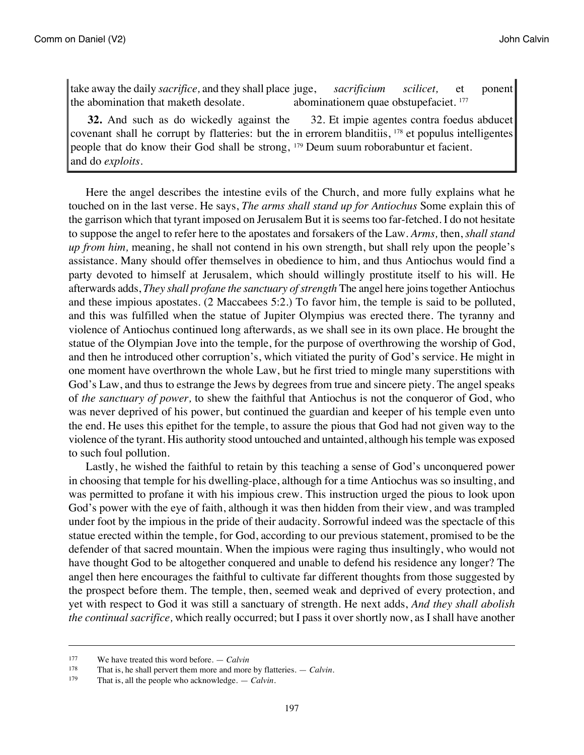take away the daily *sacrifice,* and they shall place the abomination that maketh desolate. sacrificium scilicet, et ponent abominationem quae obstupefaciet.<sup>177</sup>

32. Et impie agentes contra foedus abducet covenant shall he corrupt by flatteries: but the in errorem blanditiis, <sup>178</sup> et populus intelligentes people that do know their God shall be strong, <sup>179</sup> Deum suum roborabuntur et facient. **32.** And such as do wickedly against the and do *exploits.*

Here the angel describes the intestine evils of the Church, and more fully explains what he touched on in the last verse. He says, *The arms shall stand up for Antiochus* Some explain this of the garrison which that tyrant imposed on Jerusalem But it is seems too far-fetched. I do not hesitate to suppose the angel to refer here to the apostates and forsakers of the Law. *Arms,* then, *shall stand up from him,* meaning, he shall not contend in his own strength, but shall rely upon the people's assistance. Many should offer themselves in obedience to him, and thus Antiochus would find a party devoted to himself at Jerusalem, which should willingly prostitute itself to his will. He afterwards adds, *They shall profane the sanctuary of strength* The angel here joins together Antiochus and these impious apostates. (2 Maccabees 5:2.) To favor him, the temple is said to be polluted, and this was fulfilled when the statue of Jupiter Olympius was erected there. The tyranny and violence of Antiochus continued long afterwards, as we shall see in its own place. He brought the statue of the Olympian Jove into the temple, for the purpose of overthrowing the worship of God, and then he introduced other corruption's, which vitiated the purity of God's service. He might in one moment have overthrown the whole Law, but he first tried to mingle many superstitions with God's Law, and thus to estrange the Jews by degrees from true and sincere piety. The angel speaks of *the sanctuary of power,* to shew the faithful that Antiochus is not the conqueror of God, who was never deprived of his power, but continued the guardian and keeper of his temple even unto the end. He uses this epithet for the temple, to assure the pious that God had not given way to the violence of the tyrant. His authority stood untouched and untainted, although his temple was exposed to such foul pollution.

Lastly, he wished the faithful to retain by this teaching a sense of God's unconquered power in choosing that temple for his dwelling-place, although for a time Antiochus was so insulting, and was permitted to profane it with his impious crew. This instruction urged the pious to look upon God's power with the eye of faith, although it was then hidden from their view, and was trampled under foot by the impious in the pride of their audacity. Sorrowful indeed was the spectacle of this statue erected within the temple, for God, according to our previous statement, promised to be the defender of that sacred mountain. When the impious were raging thus insultingly, who would not have thought God to be altogether conquered and unable to defend his residence any longer? The angel then here encourages the faithful to cultivate far different thoughts from those suggested by the prospect before them. The temple, then, seemed weak and deprived of every protection, and yet with respect to God it was still a sanctuary of strength. He next adds, *And they shall abolish the continual sacrifice,* which really occurred; but I pass it over shortly now, as I shall have another

<sup>177</sup> We have treated this word before. — *Calvin*

<sup>178</sup> That is, he shall pervert them more and more by flatteries. — *Calvin*.<br>179 That is all the people who acknowledge — *Calvin* 

That is, all the people who acknowledge. — *Calvin*.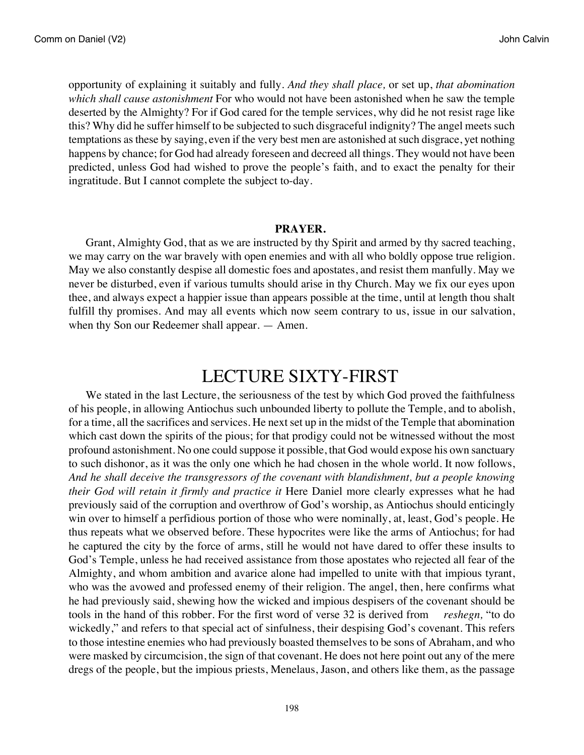opportunity of explaining it suitably and fully. *And they shall place,* or set up, *that abomination which shall cause astonishment* For who would not have been astonished when he saw the temple deserted by the Almighty? For if God cared for the temple services, why did he not resist rage like this? Why did he suffer himself to be subjected to such disgraceful indignity? The angel meets such temptations as these by saying, even if the very best men are astonished at such disgrace, yet nothing happens by chance; for God had already foreseen and decreed all things. They would not have been predicted, unless God had wished to prove the people's faith, and to exact the penalty for their ingratitude. But I cannot complete the subject to-day.

#### **PRAYER.**

Grant, Almighty God, that as we are instructed by thy Spirit and armed by thy sacred teaching, we may carry on the war bravely with open enemies and with all who boldly oppose true religion. May we also constantly despise all domestic foes and apostates, and resist them manfully. May we never be disturbed, even if various tumults should arise in thy Church. May we fix our eyes upon thee, and always expect a happier issue than appears possible at the time, until at length thou shalt fulfill thy promises. And may all events which now seem contrary to us, issue in our salvation, when thy Son our Redeemer shall appear. — Amen.

### LECTURE SIXTY-FIRST

We stated in the last Lecture, the seriousness of the test by which God proved the faithfulness of his people, in allowing Antiochus such unbounded liberty to pollute the Temple, and to abolish, for a time, all the sacrifices and services. He next set up in the midst of the Temple that abomination which cast down the spirits of the pious; for that prodigy could not be witnessed without the most profound astonishment. No one could suppose it possible, that God would expose his own sanctuary to such dishonor, as it was the only one which he had chosen in the whole world. It now follows, *And he shall deceive the transgressors of the covenant with blandishment, but a people knowing their God will retain it firmly and practice it* Here Daniel more clearly expresses what he had previously said of the corruption and overthrow of God's worship, as Antiochus should enticingly win over to himself a perfidious portion of those who were nominally, at, least, God's people. He thus repeats what we observed before. These hypocrites were like the arms of Antiochus; for had he captured the city by the force of arms, still he would not have dared to offer these insults to God's Temple, unless he had received assistance from those apostates who rejected all fear of the Almighty, and whom ambition and avarice alone had impelled to unite with that impious tyrant, who was the avowed and professed enemy of their religion. The angel, then, here confirms what he had previously said, shewing how the wicked and impious despisers of the covenant should be tools in the hand of this robber. For the first word of verse 32 is derived from *reshegn,* "to do wickedly," and refers to that special act of sinfulness, their despising God's covenant. This refers to those intestine enemies who had previously boasted themselves to be sons of Abraham, and who were masked by circumcision, the sign of that covenant. He does not here point out any of the mere dregs of the people, but the impious priests, Menelaus, Jason, and others like them, as the passage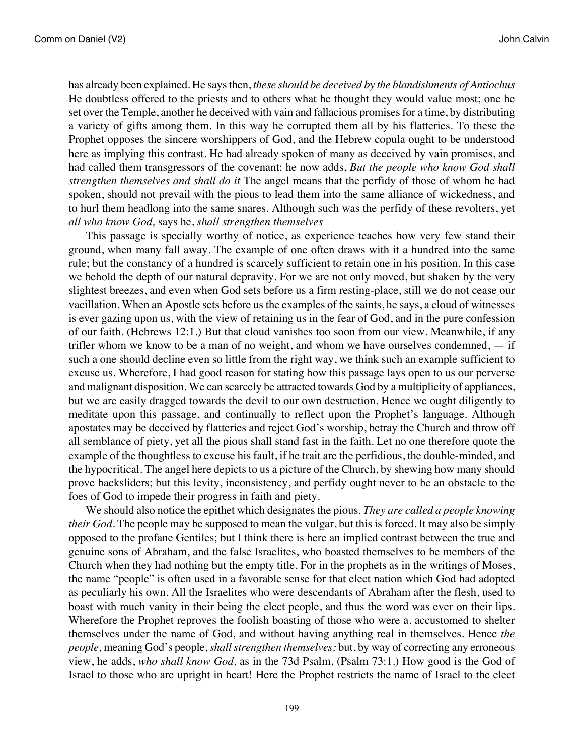has already been explained. He says then, *these should be deceived by the blandishments of Antiochus* He doubtless offered to the priests and to others what he thought they would value most; one he set over the Temple, another he deceived with vain and fallacious promises for a time, by distributing a variety of gifts among them. In this way he corrupted them all by his flatteries. To these the Prophet opposes the sincere worshippers of God, and the Hebrew copula ought to be understood here as implying this contrast. He had already spoken of many as deceived by vain promises, and had called them transgressors of the covenant: he now adds, *But the people who know God shall strengthen themselves and shall do it* The angel means that the perfidy of those of whom he had spoken, should not prevail with the pious to lead them into the same alliance of wickedness, and to hurl them headlong into the same snares. Although such was the perfidy of these revolters, yet *all who know God,* says he, *shall strengthen themselves*

This passage is specially worthy of notice, as experience teaches how very few stand their ground, when many fall away. The example of one often draws with it a hundred into the same rule; but the constancy of a hundred is scarcely sufficient to retain one in his position. In this case we behold the depth of our natural depravity. For we are not only moved, but shaken by the very slightest breezes, and even when God sets before us a firm resting-place, still we do not cease our vacillation. When an Apostle sets before us the examples of the saints, he says, a cloud of witnesses is ever gazing upon us, with the view of retaining us in the fear of God, and in the pure confession of our faith. (Hebrews 12:1.) But that cloud vanishes too soon from our view. Meanwhile, if any trifler whom we know to be a man of no weight, and whom we have ourselves condemned, — if such a one should decline even so little from the right way, we think such an example sufficient to excuse us. Wherefore, I had good reason for stating how this passage lays open to us our perverse and malignant disposition. We can scarcely be attracted towards God by a multiplicity of appliances, but we are easily dragged towards the devil to our own destruction. Hence we ought diligently to meditate upon this passage, and continually to reflect upon the Prophet's language. Although apostates may be deceived by flatteries and reject God's worship, betray the Church and throw off all semblance of piety, yet all the pious shall stand fast in the faith. Let no one therefore quote the example of the thoughtless to excuse his fault, if he trait are the perfidious, the double-minded, and the hypocritical. The angel here depicts to us a picture of the Church, by shewing how many should prove backsliders; but this levity, inconsistency, and perfidy ought never to be an obstacle to the foes of God to impede their progress in faith and piety.

We should also notice the epithet which designates the pious. *They are called a people knowing their God.* The people may be supposed to mean the vulgar, but this is forced. It may also be simply opposed to the profane Gentiles; but I think there is here an implied contrast between the true and genuine sons of Abraham, and the false Israelites, who boasted themselves to be members of the Church when they had nothing but the empty title. For in the prophets as in the writings of Moses, the name "people" is often used in a favorable sense for that elect nation which God had adopted as peculiarly his own. All the Israelites who were descendants of Abraham after the flesh, used to boast with much vanity in their being the elect people, and thus the word was ever on their lips. Wherefore the Prophet reproves the foolish boasting of those who were a. accustomed to shelter themselves under the name of God, and without having anything real in themselves. Hence *the people,* meaning God's people, *shall strengthen themselves;* but, by way of correcting any erroneous view, he adds, *who shall know God,* as in the 73d Psalm, (Psalm 73:1.) How good is the God of Israel to those who are upright in heart! Here the Prophet restricts the name of Israel to the elect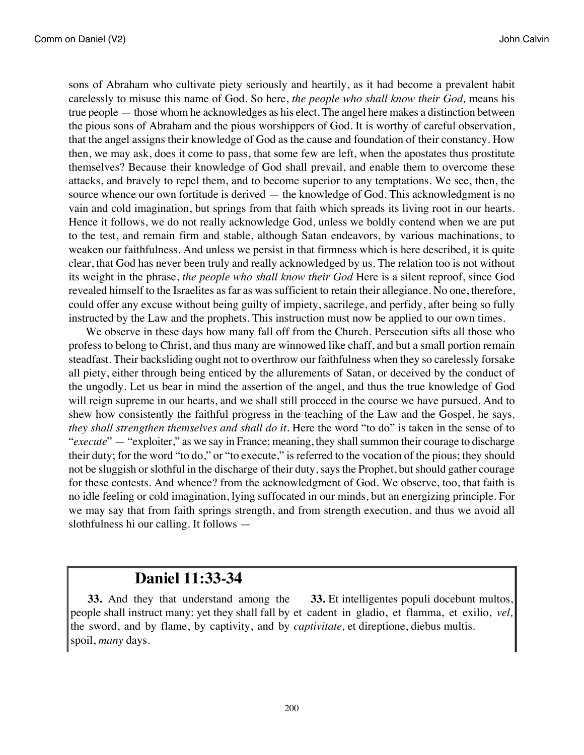sons of Abraham who cultivate piety seriously and heartily, as it had become a prevalent habit carelessly to misuse this name of God. So here, *the people who shall know their God,* means his true people — those whom he acknowledges as his elect. The angel here makes a distinction between the pious sons of Abraham and the pious worshippers of God. It is worthy of careful observation, that the angel assigns their knowledge of God as the cause and foundation of their constancy. How then, we may ask, does it come to pass, that some few are left, when the apostates thus prostitute themselves? Because their knowledge of God shall prevail, and enable them to overcome these attacks, and bravely to repel them, and to become superior to any temptations. We see, then, the source whence our own fortitude is derived — the knowledge of God. This acknowledgment is no vain and cold imagination, but springs from that faith which spreads its living root in our hearts. Hence it follows, we do not really acknowledge God, unless we boldly contend when we are put to the test, and remain firm and stable, although Satan endeavors, by various machinations, to weaken our faithfulness. And unless we persist in that firmness which is here described, it is quite clear, that God has never been truly and really acknowledged by us. The relation too is not without its weight in the phrase, *the people who shall know their God* Here is a silent reproof, since God revealed himself to the Israelites as far as was sufficient to retain their allegiance. No one, therefore, could offer any excuse without being guilty of impiety, sacrilege, and perfidy, after being so fully instructed by the Law and the prophets. This instruction must now be applied to our own times.

We observe in these days how many fall off from the Church. Persecution sifts all those who profess to belong to Christ, and thus many are winnowed like chaff, and but a small portion remain steadfast. Their backsliding ought not to overthrow our faithfulness when they so carelessly forsake all piety, either through being enticed by the allurements of Satan, or deceived by the conduct of the ungodly. Let us bear in mind the assertion of the angel, and thus the true knowledge of God will reign supreme in our hearts, and we shall still proceed in the course we have pursued. And to shew how consistently the faithful progress in the teaching of the Law and the Gospel, he says*, they shall strengthen themselves and shall do it.* Here the word "to do" is taken in the sense of to "*execute*" — "exploiter," as we say in France; meaning, they shall summon their courage to discharge their duty; for the word "to do," or "to execute," is referred to the vocation of the pious; they should not be sluggish or slothful in the discharge of their duty, says the Prophet, but should gather courage for these contests. And whence? from the acknowledgment of God. We observe, too, that faith is no idle feeling or cold imagination, lying suffocated in our minds, but an energizing principle. For we may say that from faith springs strength, and from strength execution, and thus we avoid all slothfulness hi our calling. It follows —

### **Daniel 11:33-34**

**33.** Et intelligentes populi docebunt multos, people shall instruct many: yet they shall fall by et cadent in gladio, et flamma, et exilio, *vel*, the sword, and by flame, by captivity, and by *captivitate*, et direptione, diebus multis. **33.** And they that understand among the spoil, *many* days.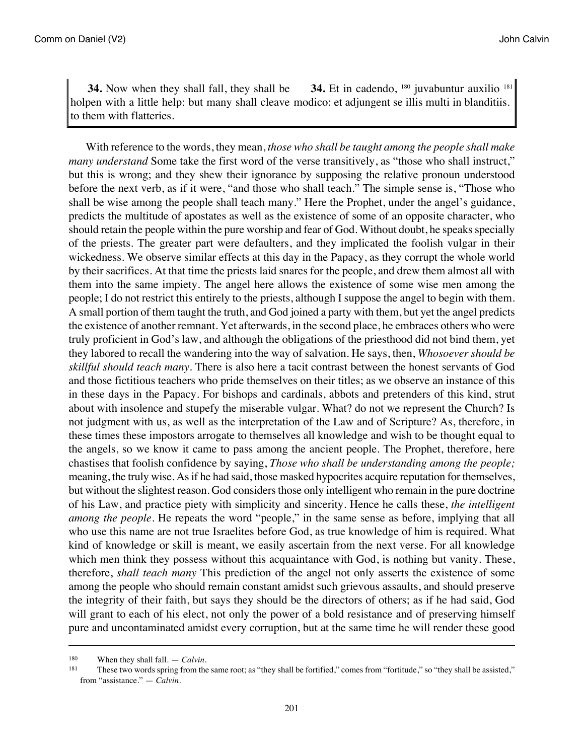34. Et in cadendo, <sup>180</sup> juvabuntur auxilio <sup>181</sup> holpen with a little help: but many shall cleave modico: et adjungent se illis multi in blanditiis. **34.** Now when they shall fall, they shall be to them with flatteries.

With reference to the words, they mean, *those who shall be taught among the people shall make many understand* Some take the first word of the verse transitively, as "those who shall instruct," but this is wrong; and they shew their ignorance by supposing the relative pronoun understood before the next verb, as if it were, "and those who shall teach." The simple sense is, "Those who shall be wise among the people shall teach many." Here the Prophet, under the angel's guidance, predicts the multitude of apostates as well as the existence of some of an opposite character, who should retain the people within the pure worship and fear of God. Without doubt, he speaks specially of the priests. The greater part were defaulters, and they implicated the foolish vulgar in their wickedness. We observe similar effects at this day in the Papacy, as they corrupt the whole world by their sacrifices. At that time the priests laid snares for the people, and drew them almost all with them into the same impiety. The angel here allows the existence of some wise men among the people; I do not restrict this entirely to the priests, although I suppose the angel to begin with them. A small portion of them taught the truth, and God joined a party with them, but yet the angel predicts the existence of another remnant. Yet afterwards, in the second place, he embraces others who were truly proficient in God's law, and although the obligations of the priesthood did not bind them, yet they labored to recall the wandering into the way of salvation. He says, then, *Whosoever should be skillful should teach many.* There is also here a tacit contrast between the honest servants of God and those fictitious teachers who pride themselves on their titles; as we observe an instance of this in these days in the Papacy. For bishops and cardinals, abbots and pretenders of this kind, strut about with insolence and stupefy the miserable vulgar. What? do not we represent the Church? Is not judgment with us, as well as the interpretation of the Law and of Scripture? As, therefore, in these times these impostors arrogate to themselves all knowledge and wish to be thought equal to the angels, so we know it came to pass among the ancient people. The Prophet, therefore, here chastises that foolish confidence by saying, *Those who shall be understanding among the people;* meaning, the truly wise. As if he had said, those masked hypocrites acquire reputation for themselves, but without the slightest reason. God considers those only intelligent who remain in the pure doctrine of his Law, and practice piety with simplicity and sincerity. Hence he calls these, *the intelligent among the people.* He repeats the word "people," in the same sense as before, implying that all who use this name are not true Israelites before God, as true knowledge of him is required. What kind of knowledge or skill is meant, we easily ascertain from the next verse. For all knowledge which men think they possess without this acquaintance with God, is nothing but vanity. These, therefore, *shall teach many* This prediction of the angel not only asserts the existence of some among the people who should remain constant amidst such grievous assaults, and should preserve the integrity of their faith, but says they should be the directors of others; as if he had said, God will grant to each of his elect, not only the power of a bold resistance and of preserving himself pure and uncontaminated amidst every corruption, but at the same time he will render these good

<sup>180</sup> When they shall fall. — *Calvin.*

<sup>181</sup> These two words spring from the same root; as "they shall be fortified," comes from "fortitude," so "they shall be assisted," from "assistance." — *Calvin.*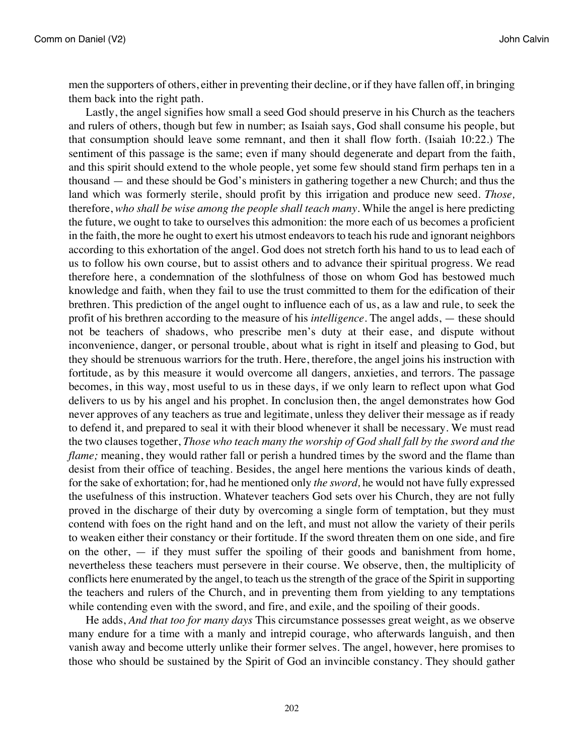men the supporters of others, either in preventing their decline, or if they have fallen off, in bringing them back into the right path.

Lastly, the angel signifies how small a seed God should preserve in his Church as the teachers and rulers of others, though but few in number; as Isaiah says, God shall consume his people, but that consumption should leave some remnant, and then it shall flow forth. (Isaiah 10:22.) The sentiment of this passage is the same; even if many should degenerate and depart from the faith, and this spirit should extend to the whole people, yet some few should stand firm perhaps ten in a thousand — and these should be God's ministers in gathering together a new Church; and thus the land which was formerly sterile, should profit by this irrigation and produce new seed. *Those,* therefore, *who shall be wise among the people shall teach many.* While the angel is here predicting the future, we ought to take to ourselves this admonition: the more each of us becomes a proficient in the faith, the more he ought to exert his utmost endeavors to teach his rude and ignorant neighbors according to this exhortation of the angel. God does not stretch forth his hand to us to lead each of us to follow his own course, but to assist others and to advance their spiritual progress. We read therefore here, a condemnation of the slothfulness of those on whom God has bestowed much knowledge and faith, when they fail to use the trust committed to them for the edification of their brethren. This prediction of the angel ought to influence each of us, as a law and rule, to seek the profit of his brethren according to the measure of his *intelligence.* The angel adds, — these should not be teachers of shadows, who prescribe men's duty at their ease, and dispute without inconvenience, danger, or personal trouble, about what is right in itself and pleasing to God, but they should be strenuous warriors for the truth. Here, therefore, the angel joins his instruction with fortitude, as by this measure it would overcome all dangers, anxieties, and terrors. The passage becomes, in this way, most useful to us in these days, if we only learn to reflect upon what God delivers to us by his angel and his prophet. In conclusion then, the angel demonstrates how God never approves of any teachers as true and legitimate, unless they deliver their message as if ready to defend it, and prepared to seal it with their blood whenever it shall be necessary. We must read the two clauses together, *Those who teach many the worship of God shall fall by the sword and the flame;* meaning, they would rather fall or perish a hundred times by the sword and the flame than desist from their office of teaching. Besides, the angel here mentions the various kinds of death, for the sake of exhortation; for, had he mentioned only *the sword,* he would not have fully expressed the usefulness of this instruction. Whatever teachers God sets over his Church, they are not fully proved in the discharge of their duty by overcoming a single form of temptation, but they must contend with foes on the right hand and on the left, and must not allow the variety of their perils to weaken either their constancy or their fortitude. If the sword threaten them on one side, and fire on the other, — if they must suffer the spoiling of their goods and banishment from home, nevertheless these teachers must persevere in their course. We observe, then, the multiplicity of conflicts here enumerated by the angel, to teach us the strength of the grace of the Spirit in supporting the teachers and rulers of the Church, and in preventing them from yielding to any temptations while contending even with the sword, and fire, and exile, and the spoiling of their goods.

He adds, *And that too for many days* This circumstance possesses great weight, as we observe many endure for a time with a manly and intrepid courage, who afterwards languish, and then vanish away and become utterly unlike their former selves. The angel, however, here promises to those who should be sustained by the Spirit of God an invincible constancy. They should gather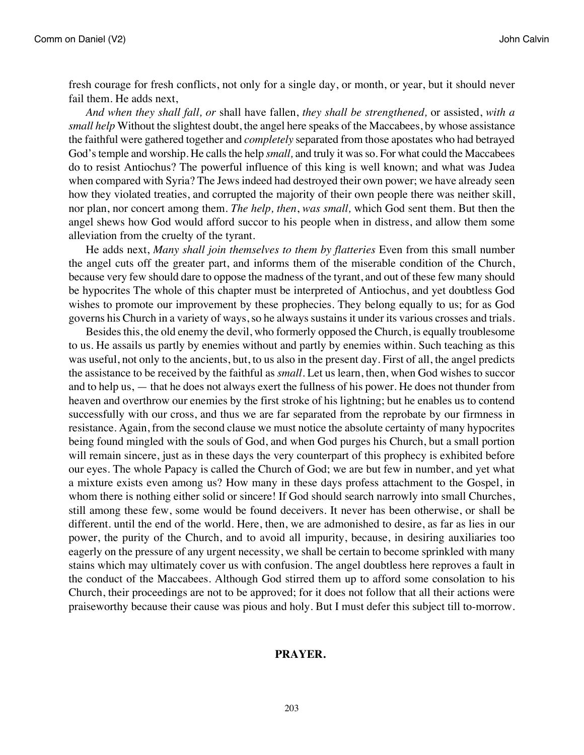fresh courage for fresh conflicts, not only for a single day, or month, or year, but it should never fail them. He adds next,

*And when they shall fall, or* shall have fallen, *they shall be strengthened,* or assisted, *with a small help* Without the slightest doubt, the angel here speaks of the Maccabees, by whose assistance the faithful were gathered together and *completely* separated from those apostates who had betrayed God's temple and worship. He calls the help *small,* and truly it was so. For what could the Maccabees do to resist Antiochus? The powerful influence of this king is well known; and what was Judea when compared with Syria? The Jews indeed had destroyed their own power; we have already seen how they violated treaties, and corrupted the majority of their own people there was neither skill, nor plan, nor concert among them. *The help, then*, *was small,* which God sent them. But then the angel shews how God would afford succor to his people when in distress, and allow them some alleviation from the cruelty of the tyrant.

He adds next, *Many shall join themselves to them by flatteries* Even from this small number the angel cuts off the greater part, and informs them of the miserable condition of the Church, because very few should dare to oppose the madness of the tyrant, and out of these few many should be hypocrites The whole of this chapter must be interpreted of Antiochus, and yet doubtless God wishes to promote our improvement by these prophecies. They belong equally to us; for as God governs his Church in a variety of ways, so he always sustains it under its various crosses and trials.

Besides this, the old enemy the devil, who formerly opposed the Church, is equally troublesome to us. He assails us partly by enemies without and partly by enemies within. Such teaching as this was useful, not only to the ancients, but, to us also in the present day. First of all, the angel predicts the assistance to be received by the faithful as *small.* Let us learn, then, when God wishes to succor and to help us, — that he does not always exert the fullness of his power. He does not thunder from heaven and overthrow our enemies by the first stroke of his lightning; but he enables us to contend successfully with our cross, and thus we are far separated from the reprobate by our firmness in resistance. Again, from the second clause we must notice the absolute certainty of many hypocrites being found mingled with the souls of God, and when God purges his Church, but a small portion will remain sincere, just as in these days the very counterpart of this prophecy is exhibited before our eyes. The whole Papacy is called the Church of God; we are but few in number, and yet what a mixture exists even among us? How many in these days profess attachment to the Gospel, in whom there is nothing either solid or sincere! If God should search narrowly into small Churches, still among these few, some would be found deceivers. It never has been otherwise, or shall be different. until the end of the world. Here, then, we are admonished to desire, as far as lies in our power, the purity of the Church, and to avoid all impurity, because, in desiring auxiliaries too eagerly on the pressure of any urgent necessity, we shall be certain to become sprinkled with many stains which may ultimately cover us with confusion. The angel doubtless here reproves a fault in the conduct of the Maccabees. Although God stirred them up to afford some consolation to his Church, their proceedings are not to be approved; for it does not follow that all their actions were praiseworthy because their cause was pious and holy. But I must defer this subject till to-morrow.

#### **PRAYER.**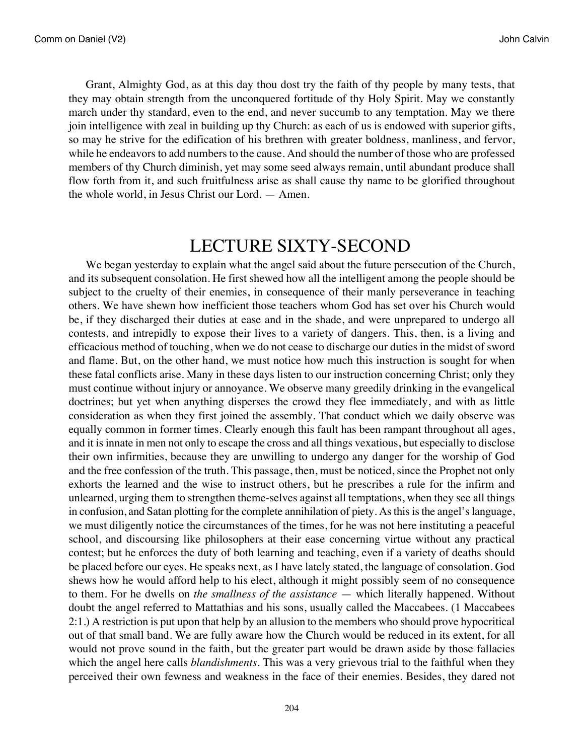Grant, Almighty God, as at this day thou dost try the faith of thy people by many tests, that they may obtain strength from the unconquered fortitude of thy Holy Spirit. May we constantly march under thy standard, even to the end, and never succumb to any temptation. May we there join intelligence with zeal in building up thy Church: as each of us is endowed with superior gifts, so may he strive for the edification of his brethren with greater boldness, manliness, and fervor, while he endeavors to add numbers to the cause. And should the number of those who are professed members of thy Church diminish, yet may some seed always remain, until abundant produce shall flow forth from it, and such fruitfulness arise as shall cause thy name to be glorified throughout the whole world, in Jesus Christ our Lord. — Amen.

## LECTURE SIXTY-SECOND

We began yesterday to explain what the angel said about the future persecution of the Church, and its subsequent consolation. He first shewed how all the intelligent among the people should be subject to the cruelty of their enemies, in consequence of their manly perseverance in teaching others. We have shewn how inefficient those teachers whom God has set over his Church would be, if they discharged their duties at ease and in the shade, and were unprepared to undergo all contests, and intrepidly to expose their lives to a variety of dangers. This, then, is a living and efficacious method of touching, when we do not cease to discharge our duties in the midst of sword and flame. But, on the other hand, we must notice how much this instruction is sought for when these fatal conflicts arise. Many in these days listen to our instruction concerning Christ; only they must continue without injury or annoyance. We observe many greedily drinking in the evangelical doctrines; but yet when anything disperses the crowd they flee immediately, and with as little consideration as when they first joined the assembly. That conduct which we daily observe was equally common in former times. Clearly enough this fault has been rampant throughout all ages, and it is innate in men not only to escape the cross and all things vexatious, but especially to disclose their own infirmities, because they are unwilling to undergo any danger for the worship of God and the free confession of the truth. This passage, then, must be noticed, since the Prophet not only exhorts the learned and the wise to instruct others, but he prescribes a rule for the infirm and unlearned, urging them to strengthen theme-selves against all temptations, when they see all things in confusion, and Satan plotting for the complete annihilation of piety. As this is the angel's language, we must diligently notice the circumstances of the times, for he was not here instituting a peaceful school, and discoursing like philosophers at their ease concerning virtue without any practical contest; but he enforces the duty of both learning and teaching, even if a variety of deaths should be placed before our eyes. He speaks next, as I have lately stated, the language of consolation. God shews how he would afford help to his elect, although it might possibly seem of no consequence to them. For he dwells on *the smallness of the assistance* — which literally happened. Without doubt the angel referred to Mattathias and his sons, usually called the Maccabees. (1 Maccabees 2:1.) A restriction is put upon that help by an allusion to the members who should prove hypocritical out of that small band. We are fully aware how the Church would be reduced in its extent, for all would not prove sound in the faith, but the greater part would be drawn aside by those fallacies which the angel here calls *blandishments.* This was a very grievous trial to the faithful when they perceived their own fewness and weakness in the face of their enemies. Besides, they dared not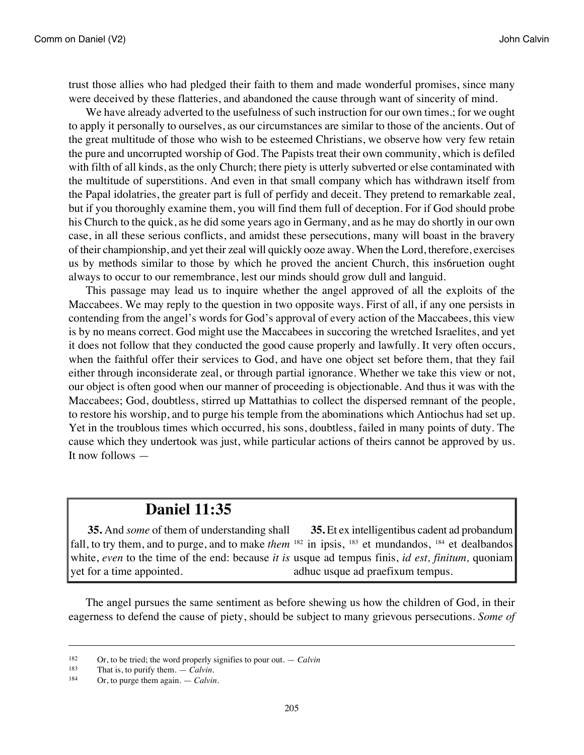trust those allies who had pledged their faith to them and made wonderful promises, since many were deceived by these flatteries, and abandoned the cause through want of sincerity of mind.

We have already adverted to the usefulness of such instruction for our own times.; for we ought to apply it personally to ourselves, as our circumstances are similar to those of the ancients. Out of the great multitude of those who wish to be esteemed Christians, we observe how very few retain the pure and uncorrupted worship of God. The Papists treat their own community, which is defiled with filth of all kinds, as the only Church; there piety is utterly subverted or else contaminated with the multitude of superstitions. And even in that small company which has withdrawn itself from the Papal idolatries, the greater part is full of perfidy and deceit. They pretend to remarkable zeal, but if you thoroughly examine them, you will find them full of deception. For if God should probe his Church to the quick, as he did some years ago in Germany, and as he may do shortly in our own case, in all these serious conflicts, and amidst these persecutions, many will boast in the bravery of their championship, and yet their zeal will quickly ooze away. When the Lord, therefore, exercises us by methods similar to those by which he proved the ancient Church, this ins6ruetion ought always to occur to our remembrance, lest our minds should grow dull and languid.

This passage may lead us to inquire whether the angel approved of all the exploits of the Maccabees. We may reply to the question in two opposite ways. First of all, if any one persists in contending from the angel's words for God's approval of every action of the Maccabees, this view is by no means correct. God might use the Maccabees in succoring the wretched Israelites, and yet it does not follow that they conducted the good cause properly and lawfully. It very often occurs, when the faithful offer their services to God, and have one object set before them, that they fail either through inconsiderate zeal, or through partial ignorance. Whether we take this view or not, our object is often good when our manner of proceeding is objectionable. And thus it was with the Maccabees; God, doubtless, stirred up Mattathias to collect the dispersed remnant of the people, to restore his worship, and to purge his temple from the abominations which Antiochus had set up. Yet in the troublous times which occurred, his sons, doubtless, failed in many points of duty. The cause which they undertook was just, while particular actions of theirs cannot be approved by us. It now follows —

#### **Daniel 11:35**

**35.** Et ex intelligentibus cadent ad probandum fall, to try them, and to purge, and to make *them* <sup>182</sup> in ipsis, <sup>183</sup> et mundandos, <sup>184</sup> et dealbandos **35.** And *some* of them of understanding shall white, *even* to the time of the end: because *it is* usque ad tempus finis, *id est*, *finitum*, quoniam adhuc usque ad praefixum tempus. yet for a time appointed.

The angel pursues the same sentiment as before shewing us how the children of God, in their eagerness to defend the cause of piety, should be subject to many grievous persecutions. *Some of*

<sup>182</sup> Or, to be tried; the word properly signifies to pour out. — *Calvin*

<sup>&</sup>lt;sup>183</sup> That is, to purify them.  $-\text{Calvin}$ .<br><sup>184</sup> Or to purge them again  $-\text{Calvin}$ .

Or, to purge them again.  $-$  *Calvin*.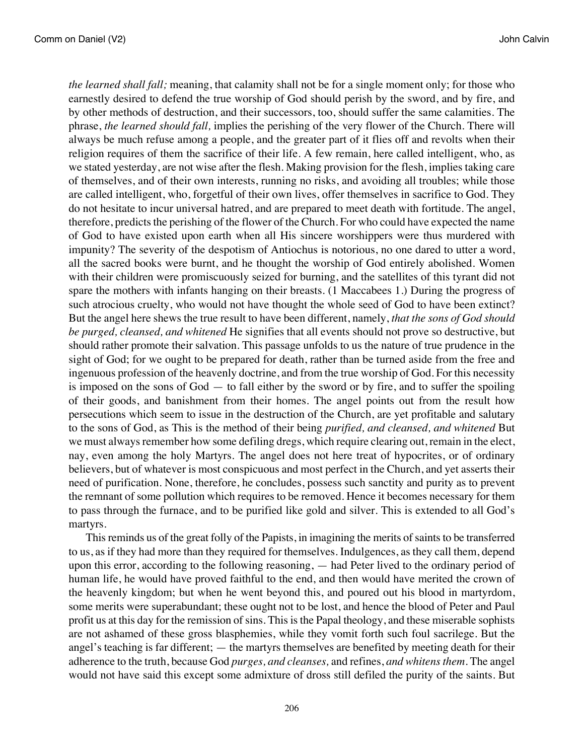*the learned shall fall;* meaning, that calamity shall not be for a single moment only; for those who earnestly desired to defend the true worship of God should perish by the sword, and by fire, and by other methods of destruction, and their successors, too, should suffer the same calamities. The phrase, *the learned should fall,* implies the perishing of the very flower of the Church. There will always be much refuse among a people, and the greater part of it flies off and revolts when their religion requires of them the sacrifice of their life. A few remain, here called intelligent, who, as we stated yesterday, are not wise after the flesh. Making provision for the flesh, implies taking care of themselves, and of their own interests, running no risks, and avoiding all troubles; while those are called intelligent, who, forgetful of their own lives, offer themselves in sacrifice to God. They do not hesitate to incur universal hatred, and are prepared to meet death with fortitude. The angel, therefore, predicts the perishing of the flower of the Church. For who could have expected the name of God to have existed upon earth when all His sincere worshippers were thus murdered with impunity? The severity of the despotism of Antiochus is notorious, no one dared to utter a word, all the sacred books were burnt, and he thought the worship of God entirely abolished. Women with their children were promiscuously seized for burning, and the satellites of this tyrant did not spare the mothers with infants hanging on their breasts. (1 Maccabees 1.) During the progress of such atrocious cruelty, who would not have thought the whole seed of God to have been extinct? But the angel here shews the true result to have been different, namely, *that the sons of God should be purged, cleansed, and whitened* He signifies that all events should not prove so destructive, but should rather promote their salvation. This passage unfolds to us the nature of true prudence in the sight of God; for we ought to be prepared for death, rather than be turned aside from the free and ingenuous profession of the heavenly doctrine, and from the true worship of God. For this necessity is imposed on the sons of God — to fall either by the sword or by fire, and to suffer the spoiling of their goods, and banishment from their homes. The angel points out from the result how persecutions which seem to issue in the destruction of the Church, are yet profitable and salutary to the sons of God, as This is the method of their being *purified, and cleansed, and whitened* But we must always remember how some defiling dregs, which require clearing out, remain in the elect, nay, even among the holy Martyrs. The angel does not here treat of hypocrites, or of ordinary believers, but of whatever is most conspicuous and most perfect in the Church, and yet asserts their need of purification. None, therefore, he concludes, possess such sanctity and purity as to prevent the remnant of some pollution which requires to be removed. Hence it becomes necessary for them to pass through the furnace, and to be purified like gold and silver. This is extended to all God's martyrs.

This reminds us of the great folly of the Papists, in imagining the merits of saints to be transferred to us, as if they had more than they required for themselves. Indulgences, as they call them, depend upon this error, according to the following reasoning, — had Peter lived to the ordinary period of human life, he would have proved faithful to the end, and then would have merited the crown of the heavenly kingdom; but when he went beyond this, and poured out his blood in martyrdom, some merits were superabundant; these ought not to be lost, and hence the blood of Peter and Paul profit us at this day for the remission of sins. This is the Papal theology, and these miserable sophists are not ashamed of these gross blasphemies, while they vomit forth such foul sacrilege. But the angel's teaching is far different; — the martyrs themselves are benefited by meeting death for their adherence to the truth, because God *purges, and cleanses,* and refines, *and whitens them.* The angel would not have said this except some admixture of dross still defiled the purity of the saints. But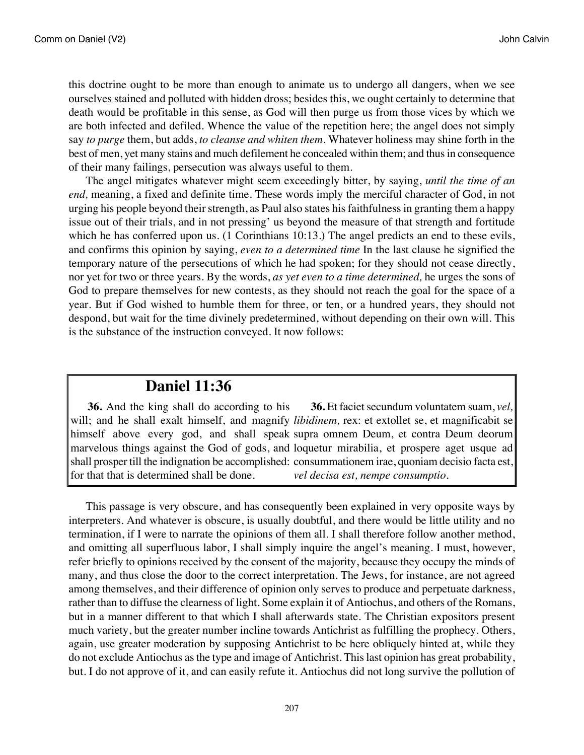this doctrine ought to be more than enough to animate us to undergo all dangers, when we see ourselves stained and polluted with hidden dross; besides this, we ought certainly to determine that death would be profitable in this sense, as God will then purge us from those vices by which we are both infected and defiled. Whence the value of the repetition here; the angel does not simply say *to purge* them, but adds, *to cleanse and whiten them.* Whatever holiness may shine forth in the best of men, yet many stains and much defilement he concealed within them; and thus in consequence of their many failings, persecution was always useful to them.

The angel mitigates whatever might seem exceedingly bitter, by saying, *until the time of an end,* meaning, a fixed and definite time. These words imply the merciful character of God, in not urging his people beyond their strength, as Paul also states his faithfulness in granting them a happy issue out of their trials, and in not pressing' us beyond the measure of that strength and fortitude which he has conferred upon us. (1 Corinthians 10:13.) The angel predicts an end to these evils, and confirms this opinion by saying, *even to a determined time* In the last clause he signified the temporary nature of the persecutions of which he had spoken; for they should not cease directly, nor yet for two or three years. By the words, *as yet even to a time determined,* he urges the sons of God to prepare themselves for new contests, as they should not reach the goal for the space of a year. But if God wished to humble them for three, or ten, or a hundred years, they should not despond, but wait for the time divinely predetermined, without depending on their own will. This is the substance of the instruction conveyed. It now follows:

#### **Daniel 11:36**

**36.** Et faciet secundum voluntatem suam, *vel,* will; and he shall exalt himself, and magnify *libidinem*, rex: et extollet se, et magnificabit se **36.** And the king shall do according to his himself above every god, and shall speak supra omnem Deum, et contra Deum deorum marvelous things against the God of gods, and loquetur mirabilia, et prospere aget usque ad shall prosper till the indignation be accomplished: consummationem irae, quoniam decisio facta est, *vel decisa est, nempe consumptio.* for that that is determined shall be done.

This passage is very obscure, and has consequently been explained in very opposite ways by interpreters. And whatever is obscure, is usually doubtful, and there would be little utility and no termination, if I were to narrate the opinions of them all. I shall therefore follow another method, and omitting all superfluous labor, I shall simply inquire the angel's meaning. I must, however, refer briefly to opinions received by the consent of the majority, because they occupy the minds of many, and thus close the door to the correct interpretation. The Jews, for instance, are not agreed among themselves, and their difference of opinion only serves to produce and perpetuate darkness, rather than to diffuse the clearness of light. Some explain it of Antiochus, and others of the Romans, but in a manner different to that which I shall afterwards state. The Christian expositors present much variety, but the greater number incline towards Antichrist as fulfilling the prophecy. Others, again, use greater moderation by supposing Antichrist to be here obliquely hinted at, while they do not exclude Antiochus as the type and image of Antichrist. This last opinion has great probability, but. I do not approve of it, and can easily refute it. Antiochus did not long survive the pollution of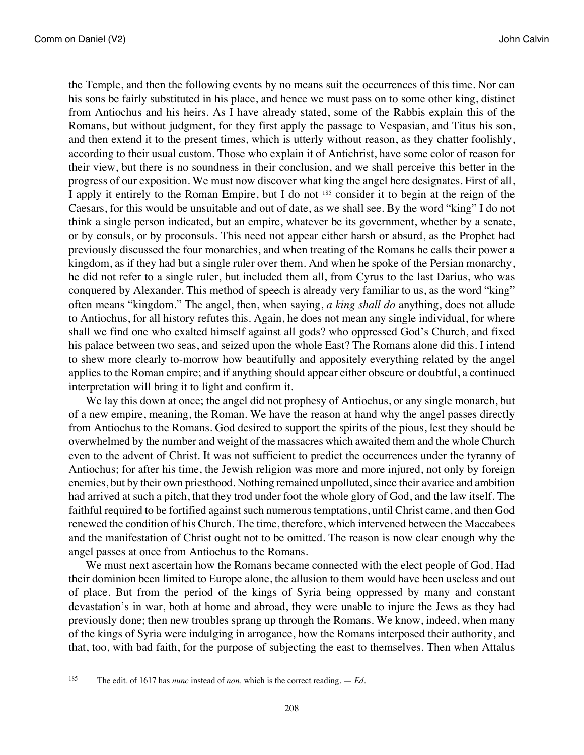the Temple, and then the following events by no means suit the occurrences of this time. Nor can his sons be fairly substituted in his place, and hence we must pass on to some other king, distinct from Antiochus and his heirs. As I have already stated, some of the Rabbis explain this of the Romans, but without judgment, for they first apply the passage to Vespasian, and Titus his son, and then extend it to the present times, which is utterly without reason, as they chatter foolishly, according to their usual custom. Those who explain it of Antichrist, have some color of reason for their view, but there is no soundness in their conclusion, and we shall perceive this better in the progress of our exposition. We must now discover what king the angel here designates. First of all, I apply it entirely to the Roman Empire, but I do not 185 consider it to begin at the reign of the Caesars, for this would be unsuitable and out of date, as we shall see. By the word "king" I do not think a single person indicated, but an empire, whatever be its government, whether by a senate, or by consuls, or by proconsuls. This need not appear either harsh or absurd, as the Prophet had previously discussed the four monarchies, and when treating of the Romans he calls their power a kingdom, as if they had but a single ruler over them. And when he spoke of the Persian monarchy, he did not refer to a single ruler, but included them all, from Cyrus to the last Darius, who was conquered by Alexander. This method of speech is already very familiar to us, as the word "king" often means "kingdom." The angel, then, when saying, *a king shall do* anything, does not allude to Antiochus, for all history refutes this. Again, he does not mean any single individual, for where shall we find one who exalted himself against all gods? who oppressed God's Church, and fixed his palace between two seas, and seized upon the whole East? The Romans alone did this. I intend to shew more clearly to-morrow how beautifully and appositely everything related by the angel applies to the Roman empire; and if anything should appear either obscure or doubtful, a continued interpretation will bring it to light and confirm it.

We lay this down at once; the angel did not prophesy of Antiochus, or any single monarch, but of a new empire, meaning, the Roman. We have the reason at hand why the angel passes directly from Antiochus to the Romans. God desired to support the spirits of the pious, lest they should be overwhelmed by the number and weight of the massacres which awaited them and the whole Church even to the advent of Christ. It was not sufficient to predict the occurrences under the tyranny of Antiochus; for after his time, the Jewish religion was more and more injured, not only by foreign enemies, but by their own priesthood. Nothing remained unpolluted, since their avarice and ambition had arrived at such a pitch, that they trod under foot the whole glory of God, and the law itself. The faithful required to be fortified against such numerous temptations, until Christ came, and then God renewed the condition of his Church. The time, therefore, which intervened between the Maccabees and the manifestation of Christ ought not to be omitted. The reason is now clear enough why the angel passes at once from Antiochus to the Romans.

We must next ascertain how the Romans became connected with the elect people of God. Had their dominion been limited to Europe alone, the allusion to them would have been useless and out of place. But from the period of the kings of Syria being oppressed by many and constant devastation's in war, both at home and abroad, they were unable to injure the Jews as they had previously done; then new troubles sprang up through the Romans. We know, indeed, when many of the kings of Syria were indulging in arrogance, how the Romans interposed their authority, and that, too, with bad faith, for the purpose of subjecting the east to themselves. Then when Attalus

<sup>185</sup> The edit. of 1617 has *nunc* instead of *non,* which is the correct reading. — *Ed*.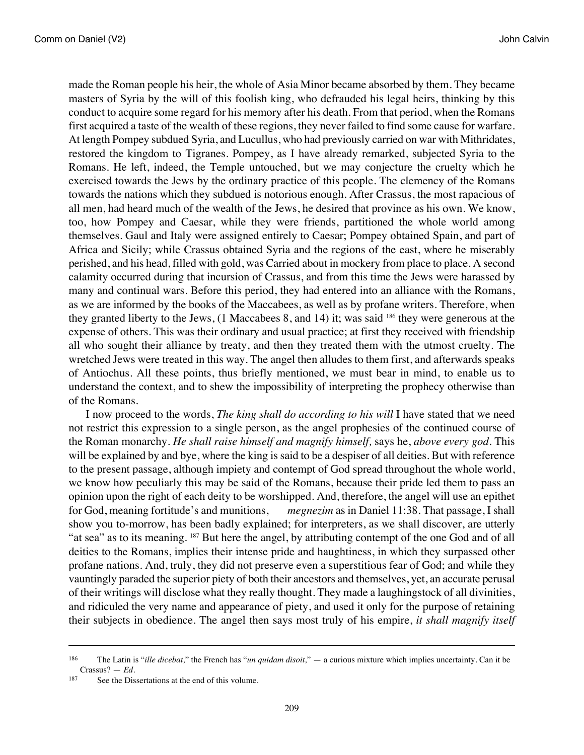made the Roman people his heir, the whole of Asia Minor became absorbed by them. They became masters of Syria by the will of this foolish king, who defrauded his legal heirs, thinking by this conduct to acquire some regard for his memory after his death. From that period, when the Romans first acquired a taste of the wealth of these regions, they never failed to find some cause for warfare. At length Pompey subdued Syria, and Lucullus, who had previously carried on war with Mithridates, restored the kingdom to Tigranes. Pompey, as I have already remarked, subjected Syria to the Romans. He left, indeed, the Temple untouched, but we may conjecture the cruelty which he exercised towards the Jews by the ordinary practice of this people. The clemency of the Romans towards the nations which they subdued is notorious enough. After Crassus, the most rapacious of all men, had heard much of the wealth of the Jews, he desired that province as his own. We know, too, how Pompey and Caesar, while they were friends, partitioned the whole world among themselves. Gaul and Italy were assigned entirely to Caesar; Pompey obtained Spain, and part of Africa and Sicily; while Crassus obtained Syria and the regions of the east, where he miserably perished, and his head, filled with gold, was Carried about in mockery from place to place. A second calamity occurred during that incursion of Crassus, and from this time the Jews were harassed by many and continual wars. Before this period, they had entered into an alliance with the Romans, as we are informed by the books of the Maccabees, as well as by profane writers. Therefore, when they granted liberty to the Jews, (1 Maccabees 8, and 14) it; was said 186 they were generous at the expense of others. This was their ordinary and usual practice; at first they received with friendship all who sought their alliance by treaty, and then they treated them with the utmost cruelty. The wretched Jews were treated in this way. The angel then alludes to them first, and afterwards speaks of Antiochus. All these points, thus briefly mentioned, we must bear in mind, to enable us to understand the context, and to shew the impossibility of interpreting the prophecy otherwise than of the Romans.

I now proceed to the words, *The king shall do according to his will* I have stated that we need not restrict this expression to a single person, as the angel prophesies of the continued course of the Roman monarchy. *He shall raise himself and magnify himself,* says he, *above every god.* This will be explained by and bye, where the king is said to be a despiser of all deities. But with reference to the present passage, although impiety and contempt of God spread throughout the whole world, we know how peculiarly this may be said of the Romans, because their pride led them to pass an opinion upon the right of each deity to be worshipped. And, therefore, the angel will use an epithet for God, meaning fortitude's and munitions, *megnezim* as in Daniel 11:38. That passage, I shall show you to-morrow, has been badly explained; for interpreters, as we shall discover, are utterly "at sea" as to its meaning. 187 But here the angel, by attributing contempt of the one God and of all deities to the Romans, implies their intense pride and haughtiness, in which they surpassed other profane nations. And, truly, they did not preserve even a superstitious fear of God; and while they vauntingly paraded the superior piety of both their ancestors and themselves, yet, an accurate perusal of their writings will disclose what they really thought. They made a laughingstock of all divinities, and ridiculed the very name and appearance of piety, and used it only for the purpose of retaining their subjects in obedience. The angel then says most truly of his empire, *it shall magnify itself*

<sup>186</sup> The Latin is "*ille dicebat,*" the French has "*un quidam disoit,*" — a curious mixture which implies uncertainty. Can it be Crassus? — *Ed*.

<sup>187</sup> See the Dissertations at the end of this volume.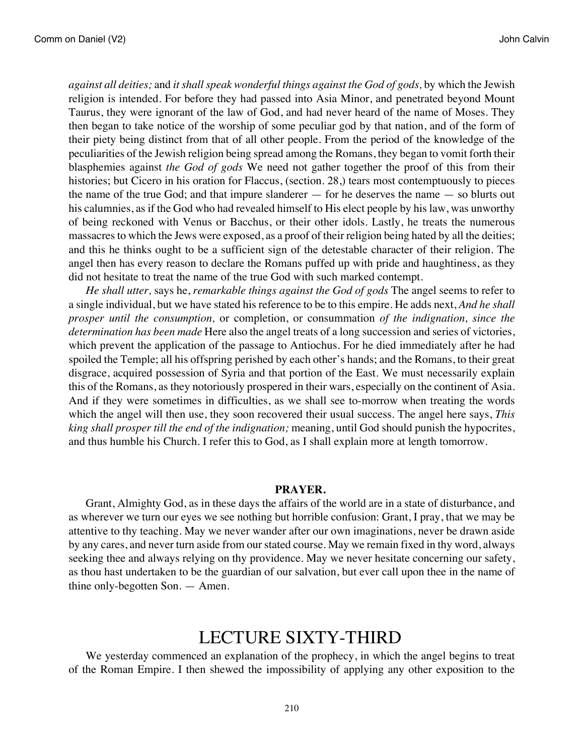*against all deities;* and *it shall speak wonderful things against the God of gods,* by which the Jewish religion is intended. For before they had passed into Asia Minor, and penetrated beyond Mount Taurus, they were ignorant of the law of God, and had never heard of the name of Moses. They then began to take notice of the worship of some peculiar god by that nation, and of the form of their piety being distinct from that of all other people. From the period of the knowledge of the peculiarities of the Jewish religion being spread among the Romans, they began to vomit forth their blasphemies against *the God of gods* We need not gather together the proof of this from their histories; but Cicero in his oration for Flaccus, (section. 28,) tears most contemptuously to pieces the name of the true God; and that impure slanderer  $-$  for he deserves the name  $-$  so blurts out his calumnies, as if the God who had revealed himself to His elect people by his law, was unworthy of being reckoned with Venus or Bacchus, or their other idols. Lastly, he treats the numerous massacres to which the Jews were exposed, as a proof of their religion being hated by all the deities; and this he thinks ought to be a sufficient sign of the detestable character of their religion. The angel then has every reason to declare the Romans puffed up with pride and haughtiness, as they did not hesitate to treat the name of the true God with such marked contempt.

*He shall utter,* says he, *remarkable things against the God of gods* The angel seems to refer to a single individual, but we have stated his reference to be to this empire. He adds next, *And he shall prosper until the consumption,* or completion, or consummation *of the indignation, since the determination has been made* Here also the angel treats of a long succession and series of victories, which prevent the application of the passage to Antiochus. For he died immediately after he had spoiled the Temple; all his offspring perished by each other's hands; and the Romans, to their great disgrace, acquired possession of Syria and that portion of the East. We must necessarily explain this of the Romans, as they notoriously prospered in their wars, especially on the continent of Asia. And if they were sometimes in difficulties, as we shall see to-morrow when treating the words which the angel will then use, they soon recovered their usual success. The angel here says, *This king shall prosper till the end of the indignation;* meaning, until God should punish the hypocrites, and thus humble his Church. I refer this to God, as I shall explain more at length tomorrow.

#### **PRAYER.**

Grant, Almighty God, as in these days the affairs of the world are in a state of disturbance, and as wherever we turn our eyes we see nothing but horrible confusion: Grant, I pray, that we may be attentive to thy teaching. May we never wander after our own imaginations, never be drawn aside by any cares, and never turn aside from our stated course. May we remain fixed in thy word, always seeking thee and always relying on thy providence. May we never hesitate concerning our safety, as thou hast undertaken to be the guardian of our salvation, but ever call upon thee in the name of thine only-begotten Son. — Amen.

## LECTURE SIXTY-THIRD

We yesterday commenced an explanation of the prophecy, in which the angel begins to treat of the Roman Empire. I then shewed the impossibility of applying any other exposition to the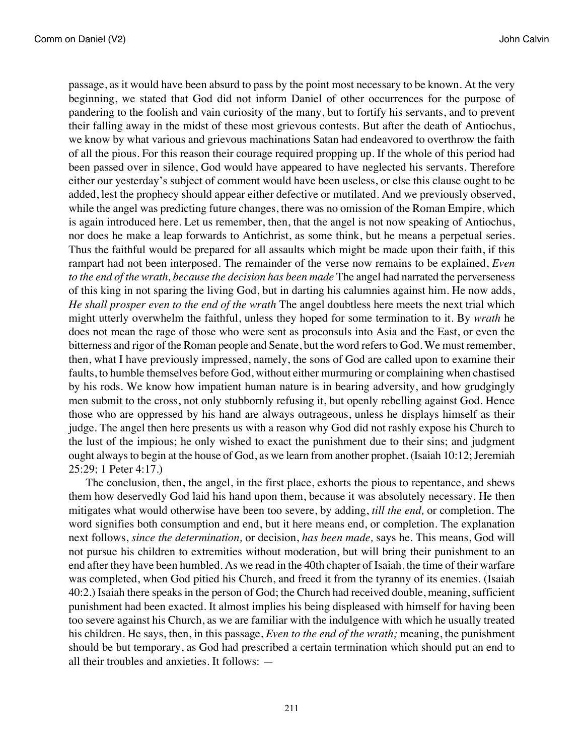passage, as it would have been absurd to pass by the point most necessary to be known. At the very beginning, we stated that God did not inform Daniel of other occurrences for the purpose of pandering to the foolish and vain curiosity of the many, but to fortify his servants, and to prevent their falling away in the midst of these most grievous contests. But after the death of Antiochus, we know by what various and grievous machinations Satan had endeavored to overthrow the faith of all the pious. For this reason their courage required propping up. If the whole of this period had been passed over in silence, God would have appeared to have neglected his servants. Therefore either our yesterday's subject of comment would have been useless, or else this clause ought to be added, lest the prophecy should appear either defective or mutilated. And we previously observed, while the angel was predicting future changes, there was no omission of the Roman Empire, which is again introduced here. Let us remember, then, that the angel is not now speaking of Antiochus, nor does he make a leap forwards to Antichrist, as some think, but he means a perpetual series. Thus the faithful would be prepared for all assaults which might be made upon their faith, if this rampart had not been interposed. The remainder of the verse now remains to be explained, *Even to the end of the wrath, because the decision has been made* The angel had narrated the perverseness of this king in not sparing the living God, but in darting his calumnies against him. He now adds, *He shall prosper even to the end of the wrath* The angel doubtless here meets the next trial which might utterly overwhelm the faithful, unless they hoped for some termination to it. By *wrath* he does not mean the rage of those who were sent as proconsuls into Asia and the East, or even the bitterness and rigor of the Roman people and Senate, but the word refers to God. We must remember, then, what I have previously impressed, namely, the sons of God are called upon to examine their faults, to humble themselves before God, without either murmuring or complaining when chastised by his rods. We know how impatient human nature is in bearing adversity, and how grudgingly men submit to the cross, not only stubbornly refusing it, but openly rebelling against God. Hence those who are oppressed by his hand are always outrageous, unless he displays himself as their judge. The angel then here presents us with a reason why God did not rashly expose his Church to the lust of the impious; he only wished to exact the punishment due to their sins; and judgment ought always to begin at the house of God, as we learn from another prophet. (Isaiah 10:12; Jeremiah 25:29; 1 Peter 4:17.)

The conclusion, then, the angel, in the first place, exhorts the pious to repentance, and shews them how deservedly God laid his hand upon them, because it was absolutely necessary. He then mitigates what would otherwise have been too severe, by adding, *till the end,* or completion. The word signifies both consumption and end, but it here means end, or completion. The explanation next follows, *since the determination,* or decision, *has been made,* says he. This means, God will not pursue his children to extremities without moderation, but will bring their punishment to an end after they have been humbled. As we read in the 40th chapter of Isaiah, the time of their warfare was completed, when God pitied his Church, and freed it from the tyranny of its enemies. (Isaiah 40:2.) Isaiah there speaks in the person of God; the Church had received double, meaning, sufficient punishment had been exacted. It almost implies his being displeased with himself for having been too severe against his Church, as we are familiar with the indulgence with which he usually treated his children. He says, then, in this passage, *Even to the end of the wrath;* meaning, the punishment should be but temporary, as God had prescribed a certain termination which should put an end to all their troubles and anxieties. It follows: —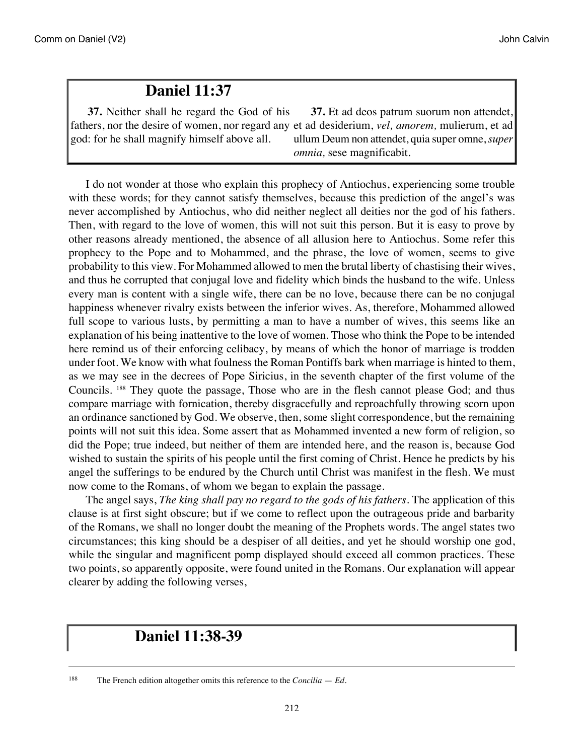### **Daniel 11:37**

**37.** Et ad deos patrum suorum non attendet, fathers, nor the desire of women, nor regard any et ad desiderium, vel, amorem, mulierum, et ad **37.** Neither shall he regard the God of his god: for he shall magnify himself above all. ullum Deum non attendet, quia super omne, *super omnia,* sese magnificabit.

I do not wonder at those who explain this prophecy of Antiochus, experiencing some trouble with these words; for they cannot satisfy themselves, because this prediction of the angel's was never accomplished by Antiochus, who did neither neglect all deities nor the god of his fathers. Then, with regard to the love of women, this will not suit this person. But it is easy to prove by other reasons already mentioned, the absence of all allusion here to Antiochus. Some refer this prophecy to the Pope and to Mohammed, and the phrase, the love of women, seems to give probability to this view. For Mohammed allowed to men the brutal liberty of chastising their wives, and thus he corrupted that conjugal love and fidelity which binds the husband to the wife. Unless every man is content with a single wife, there can be no love, because there can be no conjugal happiness whenever rivalry exists between the inferior wives. As, therefore, Mohammed allowed full scope to various lusts, by permitting a man to have a number of wives, this seems like an explanation of his being inattentive to the love of women. Those who think the Pope to be intended here remind us of their enforcing celibacy, by means of which the honor of marriage is trodden under foot. We know with what foulness the Roman Pontiffs bark when marriage is hinted to them, as we may see in the decrees of Pope Siricius, in the seventh chapter of the first volume of the Councils. 188 They quote the passage, Those who are in the flesh cannot please God; and thus compare marriage with fornication, thereby disgracefully and reproachfully throwing scorn upon an ordinance sanctioned by God. We observe, then, some slight correspondence, but the remaining points will not suit this idea. Some assert that as Mohammed invented a new form of religion, so did the Pope; true indeed, but neither of them are intended here, and the reason is, because God wished to sustain the spirits of his people until the first coming of Christ. Hence he predicts by his angel the sufferings to be endured by the Church until Christ was manifest in the flesh. We must now come to the Romans, of whom we began to explain the passage.

The angel says, *The king shall pay no regard to the gods of his fathers.* The application of this clause is at first sight obscure; but if we come to reflect upon the outrageous pride and barbarity of the Romans, we shall no longer doubt the meaning of the Prophets words. The angel states two circumstances; this king should be a despiser of all deities, and yet he should worship one god, while the singular and magnificent pomp displayed should exceed all common practices. These two points, so apparently opposite, were found united in the Romans. Our explanation will appear clearer by adding the following verses,

### **Daniel 11:38-39**

<sup>188</sup> The French edition altogether omits this reference to the *Concilia* — *Ed.*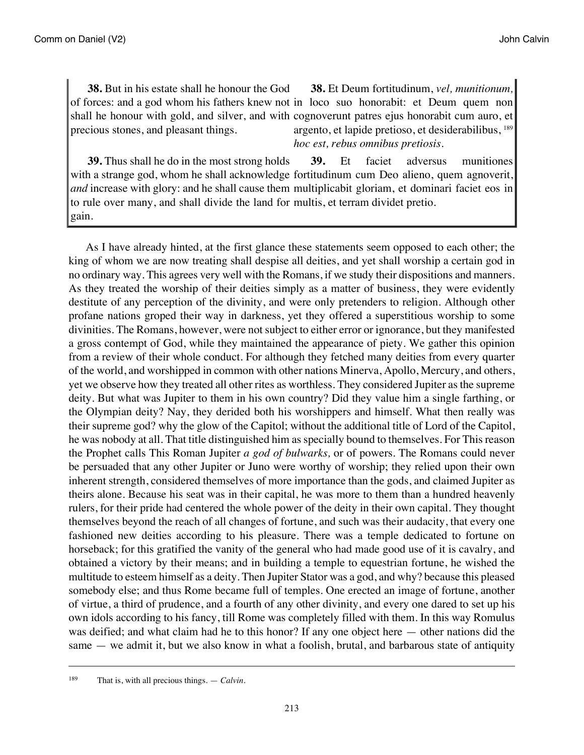**38.** Et Deum fortitudinum, *vel, munitionum,* of forces: and a god whom his fathers knew not in loco suo honorabit: et Deum quem non **38.** But in his estate shall he honour the God shall he honour with gold, and silver, and with cognoverunt patres ejus honorabit cum auro, et precious stones, and pleasant things. argento, et lapide pretioso, et desiderabilibus, 189

*hoc est, rebus omnibus pretiosis.*

**39.** Et faciet adversus munitiones with a strange god, whom he shall acknowledge fortitudinum cum Deo alieno, quem agnoverit, **39.** Thus shall he do in the most strong holds and increase with glory: and he shall cause them multiplicabit gloriam, et dominari faciet eos in to rule over many, and shall divide the land for multis, et terram dividet pretio. gain.

As I have already hinted, at the first glance these statements seem opposed to each other; the king of whom we are now treating shall despise all deities, and yet shall worship a certain god in no ordinary way. This agrees very well with the Romans, if we study their dispositions and manners. As they treated the worship of their deities simply as a matter of business, they were evidently destitute of any perception of the divinity, and were only pretenders to religion. Although other profane nations groped their way in darkness, yet they offered a superstitious worship to some divinities. The Romans, however, were not subject to either error or ignorance, but they manifested a gross contempt of God, while they maintained the appearance of piety. We gather this opinion from a review of their whole conduct. For although they fetched many deities from every quarter of the world, and worshipped in common with other nations Minerva, Apollo, Mercury, and others, yet we observe how they treated all other rites as worthless. They considered Jupiter as the supreme deity. But what was Jupiter to them in his own country? Did they value him a single farthing, or the Olympian deity? Nay, they derided both his worshippers and himself. What then really was their supreme god? why the glow of the Capitol; without the additional title of Lord of the Capitol, he was nobody at all. That title distinguished him as specially bound to themselves. For This reason the Prophet calls This Roman Jupiter *a god of bulwarks,* or of powers. The Romans could never be persuaded that any other Jupiter or Juno were worthy of worship; they relied upon their own inherent strength, considered themselves of more importance than the gods, and claimed Jupiter as theirs alone. Because his seat was in their capital, he was more to them than a hundred heavenly rulers, for their pride had centered the whole power of the deity in their own capital. They thought themselves beyond the reach of all changes of fortune, and such was their audacity, that every one fashioned new deities according to his pleasure. There was a temple dedicated to fortune on horseback; for this gratified the vanity of the general who had made good use of it is cavalry, and obtained a victory by their means; and in building a temple to equestrian fortune, he wished the multitude to esteem himself as a deity. Then Jupiter Stator was a god, and why? because this pleased somebody else; and thus Rome became full of temples. One erected an image of fortune, another of virtue, a third of prudence, and a fourth of any other divinity, and every one dared to set up his own idols according to his fancy, till Rome was completely filled with them. In this way Romulus was deified; and what claim had he to this honor? If any one object here — other nations did the same — we admit it, but we also know in what a foolish, brutal, and barbarous state of antiquity

<sup>189</sup> That is, with all precious things. — *Calvin.*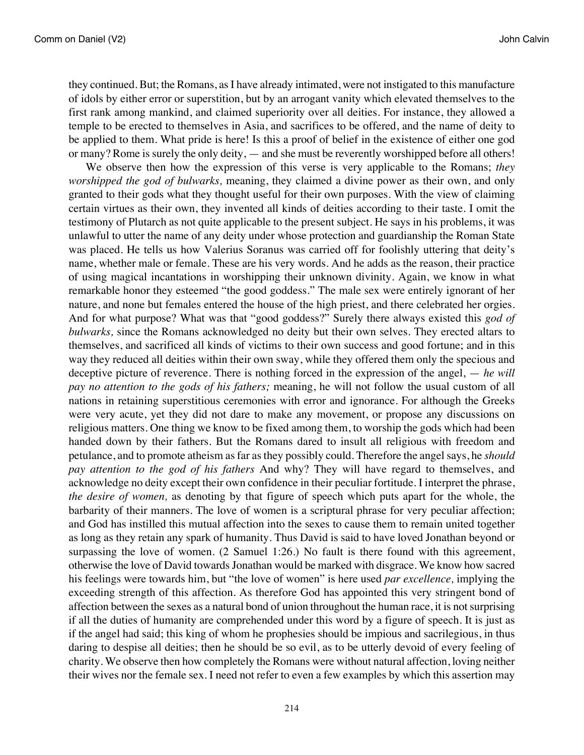they continued. But; the Romans, as I have already intimated, were not instigated to this manufacture of idols by either error or superstition, but by an arrogant vanity which elevated themselves to the first rank among mankind, and claimed superiority over all deities. For instance, they allowed a temple to be erected to themselves in Asia, and sacrifices to be offered, and the name of deity to be applied to them. What pride is here! Is this a proof of belief in the existence of either one god or many? Rome is surely the only deity, — and she must be reverently worshipped before all others!

We observe then how the expression of this verse is very applicable to the Romans; *they worshipped the god of bulwarks,* meaning, they claimed a divine power as their own, and only granted to their gods what they thought useful for their own purposes. With the view of claiming certain virtues as their own, they invented all kinds of deities according to their taste. I omit the testimony of Plutarch as not quite applicable to the present subject. He says in his problems, it was unlawful to utter the name of any deity under whose protection and guardianship the Roman State was placed. He tells us how Valerius Soranus was carried off for foolishly uttering that deity's name, whether male or female. These are his very words. And he adds as the reason, their practice of using magical incantations in worshipping their unknown divinity. Again, we know in what remarkable honor they esteemed "the good goddess." The male sex were entirely ignorant of her nature, and none but females entered the house of the high priest, and there celebrated her orgies. And for what purpose? What was that "good goddess?" Surely there always existed this *god of bulwarks,* since the Romans acknowledged no deity but their own selves. They erected altars to themselves, and sacrificed all kinds of victims to their own success and good fortune; and in this way they reduced all deities within their own sway, while they offered them only the specious and deceptive picture of reverence. There is nothing forced in the expression of the angel, — *he will pay no attention to the gods of his fathers;* meaning, he will not follow the usual custom of all nations in retaining superstitious ceremonies with error and ignorance. For although the Greeks were very acute, yet they did not dare to make any movement, or propose any discussions on religious matters. One thing we know to be fixed among them, to worship the gods which had been handed down by their fathers. But the Romans dared to insult all religious with freedom and petulance, and to promote atheism as far as they possibly could. Therefore the angel says, he *should pay attention to the god of his fathers* And why? They will have regard to themselves, and acknowledge no deity except their own confidence in their peculiar fortitude. I interpret the phrase, *the desire of women,* as denoting by that figure of speech which puts apart for the whole, the barbarity of their manners. The love of women is a scriptural phrase for very peculiar affection; and God has instilled this mutual affection into the sexes to cause them to remain united together as long as they retain any spark of humanity. Thus David is said to have loved Jonathan beyond or surpassing the love of women. (2 Samuel 1:26.) No fault is there found with this agreement, otherwise the love of David towards Jonathan would be marked with disgrace. We know how sacred his feelings were towards him, but "the love of women" is here used *par excellence,* implying the exceeding strength of this affection. As therefore God has appointed this very stringent bond of affection between the sexes as a natural bond of union throughout the human race, it is not surprising if all the duties of humanity are comprehended under this word by a figure of speech. It is just as if the angel had said; this king of whom he prophesies should be impious and sacrilegious, in thus daring to despise all deities; then he should be so evil, as to be utterly devoid of every feeling of charity. We observe then how completely the Romans were without natural affection, loving neither their wives nor the female sex. I need not refer to even a few examples by which this assertion may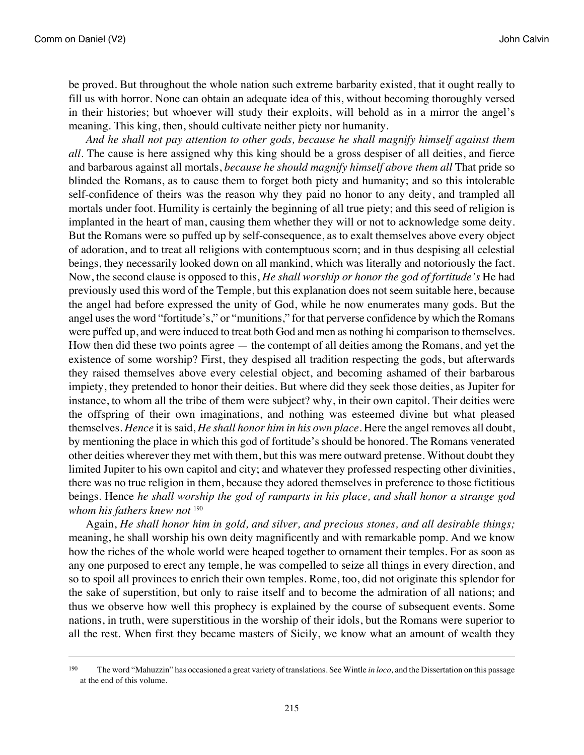be proved. But throughout the whole nation such extreme barbarity existed, that it ought really to fill us with horror. None can obtain an adequate idea of this, without becoming thoroughly versed in their histories; but whoever will study their exploits, will behold as in a mirror the angel's meaning. This king, then, should cultivate neither piety nor humanity.

*And he shall not pay attention to other gods, because he shall magnify himself against them all.* The cause is here assigned why this king should be a gross despiser of all deities, and fierce and barbarous against all mortals, *because he should magnify himself above them all* That pride so blinded the Romans, as to cause them to forget both piety and humanity; and so this intolerable self-confidence of theirs was the reason why they paid no honor to any deity, and trampled all mortals under foot. Humility is certainly the beginning of all true piety; and this seed of religion is implanted in the heart of man, causing them whether they will or not to acknowledge some deity. But the Romans were so puffed up by self-consequence, as to exalt themselves above every object of adoration, and to treat all religions with contemptuous scorn; and in thus despising all celestial beings, they necessarily looked down on all mankind, which was literally and notoriously the fact. Now, the second clause is opposed to this, *He shall worship or honor the god of fortitude's* He had previously used this word of the Temple, but this explanation does not seem suitable here, because the angel had before expressed the unity of God, while he now enumerates many gods. But the angel uses the word "fortitude's," or "munitions," for that perverse confidence by which the Romans were puffed up, and were induced to treat both God and men as nothing hi comparison to themselves. How then did these two points agree — the contempt of all deities among the Romans, and yet the existence of some worship? First, they despised all tradition respecting the gods, but afterwards they raised themselves above every celestial object, and becoming ashamed of their barbarous impiety, they pretended to honor their deities. But where did they seek those deities, as Jupiter for instance, to whom all the tribe of them were subject? why, in their own capitol. Their deities were the offspring of their own imaginations, and nothing was esteemed divine but what pleased themselves. *Hence* it is said, *He shall honor him in his own place.* Here the angel removes all doubt, by mentioning the place in which this god of fortitude's should be honored. The Romans venerated other deities wherever they met with them, but this was mere outward pretense. Without doubt they limited Jupiter to his own capitol and city; and whatever they professed respecting other divinities, there was no true religion in them, because they adored themselves in preference to those fictitious beings. Hence *he shall worship the god of ramparts in his place, and shall honor a strange god whom his fathers knew not* <sup>190</sup>

Again, *He shall honor him in gold, and silver, and precious stones, and all desirable things;* meaning, he shall worship his own deity magnificently and with remarkable pomp. And we know how the riches of the whole world were heaped together to ornament their temples. For as soon as any one purposed to erect any temple, he was compelled to seize all things in every direction, and so to spoil all provinces to enrich their own temples. Rome, too, did not originate this splendor for the sake of superstition, but only to raise itself and to become the admiration of all nations; and thus we observe how well this prophecy is explained by the course of subsequent events. Some nations, in truth, were superstitious in the worship of their idols, but the Romans were superior to all the rest. When first they became masters of Sicily, we know what an amount of wealth they

<sup>190</sup> The word "Mahuzzin" has occasioned a great variety of translations. See Wintle *in loco,* and the Dissertation on this passage at the end of this volume.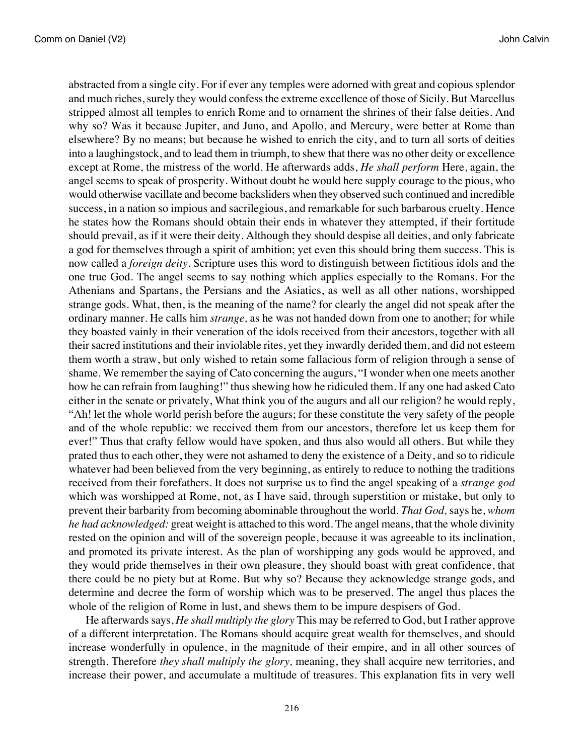abstracted from a single city. For if ever any temples were adorned with great and copious splendor and much riches, surely they would confess the extreme excellence of those of Sicily. But Marcellus stripped almost all temples to enrich Rome and to ornament the shrines of their false deities. And why so? Was it because Jupiter, and Juno, and Apollo, and Mercury, were better at Rome than elsewhere? By no means; but because he wished to enrich the city, and to turn all sorts of deities into a laughingstock, and to lead them in triumph, to shew that there was no other deity or excellence except at Rome, the mistress of the world. He afterwards adds, *He shall perform* Here, again, the angel seems to speak of prosperity. Without doubt he would here supply courage to the pious, who would otherwise vacillate and become backsliders when they observed such continued and incredible success, in a nation so impious and sacrilegious, and remarkable for such barbarous cruelty. Hence he states how the Romans should obtain their ends in whatever they attempted, if their fortitude should prevail, as if it were their deity. Although they should despise all deities, and only fabricate a god for themselves through a spirit of ambition; yet even this should bring them success. This is now called a *foreign deity.* Scripture uses this word to distinguish between fictitious idols and the one true God. The angel seems to say nothing which applies especially to the Romans. For the Athenians and Spartans, the Persians and the Asiatics, as well as all other nations, worshipped strange gods. What, then, is the meaning of the name? for clearly the angel did not speak after the ordinary manner. He calls him *strange,* as he was not handed down from one to another; for while they boasted vainly in their veneration of the idols received from their ancestors, together with all their sacred institutions and their inviolable rites, yet they inwardly derided them, and did not esteem them worth a straw, but only wished to retain some fallacious form of religion through a sense of shame. We remember the saying of Cato concerning the augurs, "I wonder when one meets another how he can refrain from laughing!" thus shewing how he ridiculed them. If any one had asked Cato either in the senate or privately, What think you of the augurs and all our religion? he would reply, "Ah! let the whole world perish before the augurs; for these constitute the very safety of the people and of the whole republic: we received them from our ancestors, therefore let us keep them for ever!" Thus that crafty fellow would have spoken, and thus also would all others. But while they prated thus to each other, they were not ashamed to deny the existence of a Deity, and so to ridicule whatever had been believed from the very beginning, as entirely to reduce to nothing the traditions received from their forefathers. It does not surprise us to find the angel speaking of a *strange god* which was worshipped at Rome, not, as I have said, through superstition or mistake, but only to prevent their barbarity from becoming abominable throughout the world. *That God,* says he, *whom he had acknowledged:* great weight is attached to this word. The angel means, that the whole divinity rested on the opinion and will of the sovereign people, because it was agreeable to its inclination, and promoted its private interest. As the plan of worshipping any gods would be approved, and they would pride themselves in their own pleasure, they should boast with great confidence, that there could be no piety but at Rome. But why so? Because they acknowledge strange gods, and determine and decree the form of worship which was to be preserved. The angel thus places the whole of the religion of Rome in lust, and shews them to be impure despisers of God.

He afterwards says, *He shall multiply the glory* This may be referred to God, but I rather approve of a different interpretation. The Romans should acquire great wealth for themselves, and should increase wonderfully in opulence, in the magnitude of their empire, and in all other sources of strength. Therefore *they shall multiply the glory,* meaning, they shall acquire new territories, and increase their power, and accumulate a multitude of treasures. This explanation fits in very well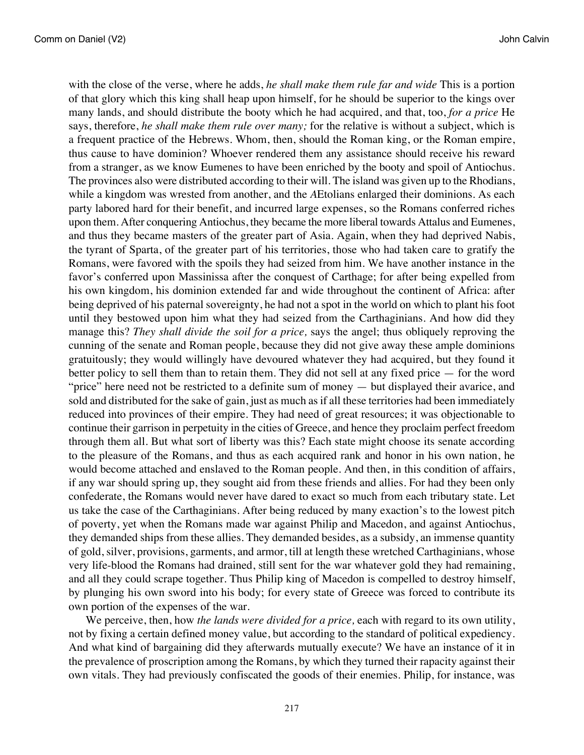with the close of the verse, where he adds, *he shall make them rule far and wide* This is a portion of that glory which this king shall heap upon himself, for he should be superior to the kings over many lands, and should distribute the booty which he had acquired, and that, too, *for a price* He says, therefore, *he shall make them rule over many;* for the relative is without a subject, which is a frequent practice of the Hebrews. Whom, then, should the Roman king, or the Roman empire, thus cause to have dominion? Whoever rendered them any assistance should receive his reward from a stranger, as we know Eumenes to have been enriched by the booty and spoil of Antiochus. The provinces also were distributed according to their will. The island was given up to the Rhodians, while a kingdom was wrested from another, and the *A*Etolians enlarged their dominions. As each party labored hard for their benefit, and incurred large expenses, so the Romans conferred riches upon them. After conquering Antiochus, they became the more liberal towards Attalus and Eumenes, and thus they became masters of the greater part of Asia. Again, when they had deprived Nabis, the tyrant of Sparta, of the greater part of his territories, those who had taken care to gratify the Romans, were favored with the spoils they had seized from him. We have another instance in the favor's conferred upon Massinissa after the conquest of Carthage; for after being expelled from his own kingdom, his dominion extended far and wide throughout the continent of Africa: after being deprived of his paternal sovereignty, he had not a spot in the world on which to plant his foot until they bestowed upon him what they had seized from the Carthaginians. And how did they manage this? *They shall divide the soil for a price,* says the angel; thus obliquely reproving the cunning of the senate and Roman people, because they did not give away these ample dominions gratuitously; they would willingly have devoured whatever they had acquired, but they found it better policy to sell them than to retain them. They did not sell at any fixed price — for the word "price" here need not be restricted to a definite sum of money — but displayed their avarice, and sold and distributed for the sake of gain, just as much as if all these territories had been immediately reduced into provinces of their empire. They had need of great resources; it was objectionable to continue their garrison in perpetuity in the cities of Greece, and hence they proclaim perfect freedom through them all. But what sort of liberty was this? Each state might choose its senate according to the pleasure of the Romans, and thus as each acquired rank and honor in his own nation, he would become attached and enslaved to the Roman people. And then, in this condition of affairs, if any war should spring up, they sought aid from these friends and allies. For had they been only confederate, the Romans would never have dared to exact so much from each tributary state. Let us take the case of the Carthaginians. After being reduced by many exaction's to the lowest pitch of poverty, yet when the Romans made war against Philip and Macedon, and against Antiochus, they demanded ships from these allies. They demanded besides, as a subsidy, an immense quantity of gold, silver, provisions, garments, and armor, till at length these wretched Carthaginians, whose very life-blood the Romans had drained, still sent for the war whatever gold they had remaining, and all they could scrape together. Thus Philip king of Macedon is compelled to destroy himself, by plunging his own sword into his body; for every state of Greece was forced to contribute its own portion of the expenses of the war.

We perceive, then, how *the lands were divided for a price,* each with regard to its own utility, not by fixing a certain defined money value, but according to the standard of political expediency. And what kind of bargaining did they afterwards mutually execute? We have an instance of it in the prevalence of proscription among the Romans, by which they turned their rapacity against their own vitals. They had previously confiscated the goods of their enemies. Philip, for instance, was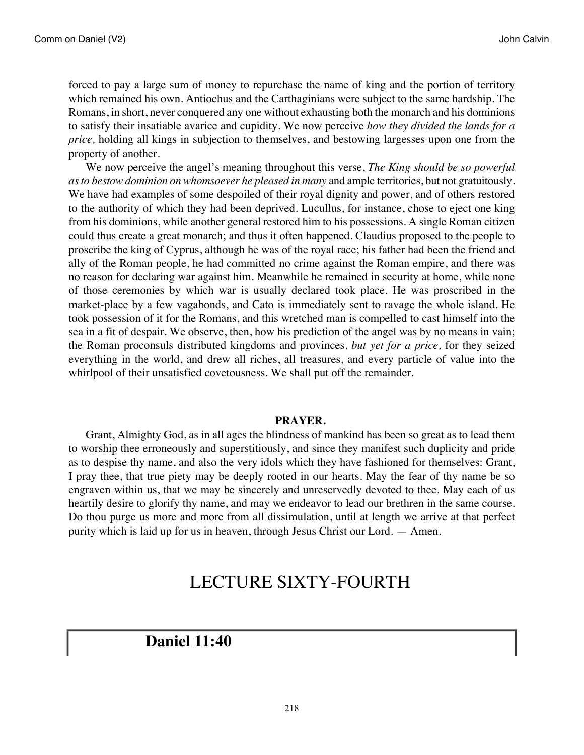forced to pay a large sum of money to repurchase the name of king and the portion of territory which remained his own. Antiochus and the Carthaginians were subject to the same hardship. The Romans, in short, never conquered any one without exhausting both the monarch and his dominions to satisfy their insatiable avarice and cupidity. We now perceive *how they divided the lands for a price,* holding all kings in subjection to themselves, and bestowing largesses upon one from the property of another.

We now perceive the angel's meaning throughout this verse, *The King should be so powerful as to bestow dominion on whomsoever he pleased in many* and ample territories, but not gratuitously. We have had examples of some despoiled of their royal dignity and power, and of others restored to the authority of which they had been deprived. Lucullus, for instance, chose to eject one king from his dominions, while another general restored him to his possessions. A single Roman citizen could thus create a great monarch; and thus it often happened. Claudius proposed to the people to proscribe the king of Cyprus, although he was of the royal race; his father had been the friend and ally of the Roman people, he had committed no crime against the Roman empire, and there was no reason for declaring war against him. Meanwhile he remained in security at home, while none of those ceremonies by which war is usually declared took place. He was proscribed in the market-place by a few vagabonds, and Cato is immediately sent to ravage the whole island. He took possession of it for the Romans, and this wretched man is compelled to cast himself into the sea in a fit of despair. We observe, then, how his prediction of the angel was by no means in vain; the Roman proconsuls distributed kingdoms and provinces, *but yet for a price,* for they seized everything in the world, and drew all riches, all treasures, and every particle of value into the whirlpool of their unsatisfied covetousness. We shall put off the remainder.

#### **PRAYER.**

Grant, Almighty God, as in all ages the blindness of mankind has been so great as to lead them to worship thee erroneously and superstitiously, and since they manifest such duplicity and pride as to despise thy name, and also the very idols which they have fashioned for themselves: Grant, I pray thee, that true piety may be deeply rooted in our hearts. May the fear of thy name be so engraven within us, that we may be sincerely and unreservedly devoted to thee. May each of us heartily desire to glorify thy name, and may we endeavor to lead our brethren in the same course. Do thou purge us more and more from all dissimulation, until at length we arrive at that perfect purity which is laid up for us in heaven, through Jesus Christ our Lord. — Amen.

## LECTURE SIXTY-FOURTH

### **Daniel 11:40**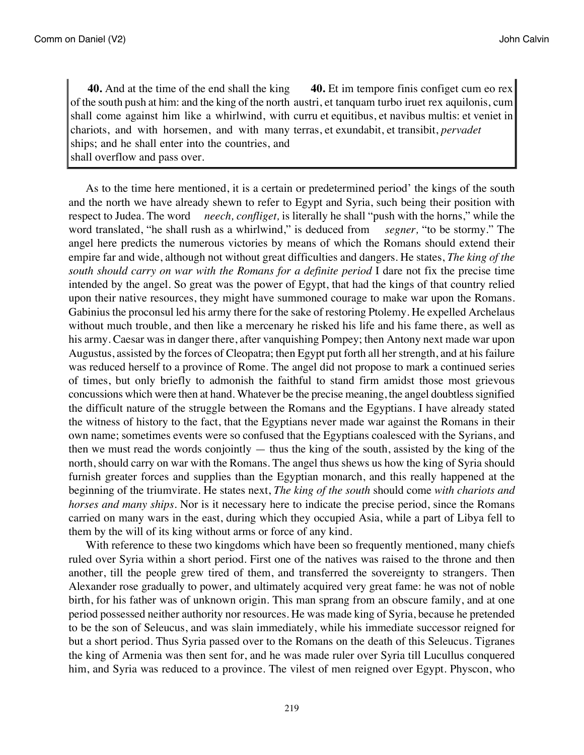**40.** Et im tempore finis configet cum eo rex of the south push at him: and the king of the north austri, et tanquam turbo iruet rex aquilonis, cum **40.** And at the time of the end shall the king shall come against him like a whirlwind, with curru et equitibus, et navibus multis: et veniet in chariots, and with horsemen, and with many terras, et exundabit, et transibit, *pervadet* ships; and he shall enter into the countries, and shall overflow and pass over.

As to the time here mentioned, it is a certain or predetermined period' the kings of the south and the north we have already shewn to refer to Egypt and Syria, such being their position with respect to Judea. The word *neech, confliget,* is literally he shall "push with the horns," while the word translated, "he shall rush as a whirlwind," is deduced from *segner,* "to be stormy." The angel here predicts the numerous victories by means of which the Romans should extend their empire far and wide, although not without great difficulties and dangers. He states, *The king of the south should carry on war with the Romans for a definite period* I dare not fix the precise time intended by the angel. So great was the power of Egypt, that had the kings of that country relied upon their native resources, they might have summoned courage to make war upon the Romans. Gabinius the proconsul led his army there for the sake of restoring Ptolemy. He expelled Archelaus without much trouble, and then like a mercenary he risked his life and his fame there, as well as his army. Caesar was in danger there, after vanquishing Pompey; then Antony next made war upon Augustus, assisted by the forces of Cleopatra; then Egypt put forth all her strength, and at his failure was reduced herself to a province of Rome. The angel did not propose to mark a continued series of times, but only briefly to admonish the faithful to stand firm amidst those most grievous concussions which were then at hand. Whatever be the precise meaning, the angel doubtless signified the difficult nature of the struggle between the Romans and the Egyptians. I have already stated the witness of history to the fact, that the Egyptians never made war against the Romans in their own name; sometimes events were so confused that the Egyptians coalesced with the Syrians, and then we must read the words conjointly — thus the king of the south, assisted by the king of the north, should carry on war with the Romans. The angel thus shews us how the king of Syria should furnish greater forces and supplies than the Egyptian monarch, and this really happened at the beginning of the triumvirate. He states next, *The king of the south* should come *with chariots and horses and many ships.* Nor is it necessary here to indicate the precise period, since the Romans carried on many wars in the east, during which they occupied Asia, while a part of Libya fell to them by the will of its king without arms or force of any kind.

With reference to these two kingdoms which have been so frequently mentioned, many chiefs ruled over Syria within a short period. First one of the natives was raised to the throne and then another, till the people grew tired of them, and transferred the sovereignty to strangers. Then Alexander rose gradually to power, and ultimately acquired very great fame: he was not of noble birth, for his father was of unknown origin. This man sprang from an obscure family, and at one period possessed neither authority nor resources. He was made king of Syria, because he pretended to be the son of Seleucus, and was slain immediately, while his immediate successor reigned for but a short period. Thus Syria passed over to the Romans on the death of this Seleucus. Tigranes the king of Armenia was then sent for, and he was made ruler over Syria till Lucullus conquered him, and Syria was reduced to a province. The vilest of men reigned over Egypt. Physcon, who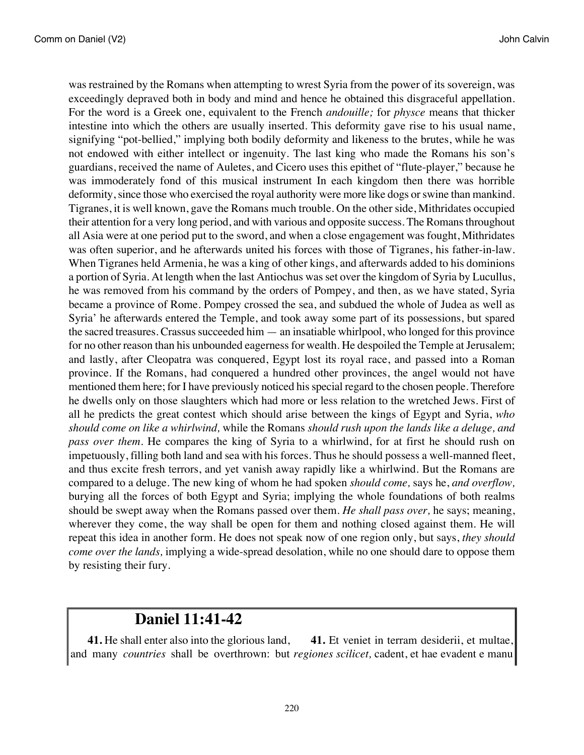was restrained by the Romans when attempting to wrest Syria from the power of its sovereign, was exceedingly depraved both in body and mind and hence he obtained this disgraceful appellation. For the word is a Greek one, equivalent to the French *andouille;* for *physce* means that thicker intestine into which the others are usually inserted. This deformity gave rise to his usual name, signifying "pot-bellied," implying both bodily deformity and likeness to the brutes, while he was not endowed with either intellect or ingenuity. The last king who made the Romans his son's guardians, received the name of Auletes, and Cicero uses this epithet of "flute-player," because he was immoderately fond of this musical instrument In each kingdom then there was horrible deformity, since those who exercised the royal authority were more like dogs or swine than mankind. Tigranes, it is well known, gave the Romans much trouble. On the other side, Mithridates occupied their attention for a very long period, and with various and opposite success. The Romans throughout all Asia were at one period put to the sword, and when a close engagement was fought, Mithridates was often superior, and he afterwards united his forces with those of Tigranes, his father-in-law. When Tigranes held Armenia, he was a king of other kings, and afterwards added to his dominions a portion of Syria. At length when the last Antiochus was set over the kingdom of Syria by Lucullus, he was removed from his command by the orders of Pompey, and then, as we have stated, Syria became a province of Rome. Pompey crossed the sea, and subdued the whole of Judea as well as Syria' he afterwards entered the Temple, and took away some part of its possessions, but spared the sacred treasures. Crassus succeeded him — an insatiable whirlpool, who longed for this province for no other reason than his unbounded eagerness for wealth. He despoiled the Temple at Jerusalem; and lastly, after Cleopatra was conquered, Egypt lost its royal race, and passed into a Roman province. If the Romans, had conquered a hundred other provinces, the angel would not have mentioned them here; for I have previously noticed his special regard to the chosen people. Therefore he dwells only on those slaughters which had more or less relation to the wretched Jews. First of all he predicts the great contest which should arise between the kings of Egypt and Syria, *who should come on like a whirlwind,* while the Romans *should rush upon the lands like a deluge, and pass over them.* He compares the king of Syria to a whirlwind, for at first he should rush on impetuously, filling both land and sea with his forces. Thus he should possess a well-manned fleet, and thus excite fresh terrors, and yet vanish away rapidly like a whirlwind. But the Romans are compared to a deluge. The new king of whom he had spoken *should come,* says he, *and overflow,* burying all the forces of both Egypt and Syria; implying the whole foundations of both realms should be swept away when the Romans passed over them. *He shall pass over,* he says; meaning, wherever they come, the way shall be open for them and nothing closed against them. He will repeat this idea in another form. He does not speak now of one region only, but says, *they should come over the lands,* implying a wide-spread desolation, while no one should dare to oppose them by resisting their fury.

### **Daniel 11:41-42**

**41.** Et veniet in terram desiderii, et multae, and many *countries* shall be overthrown: but *regiones scilicet*, cadent, et hae evadent e manu **41.** He shall enter also into the glorious land,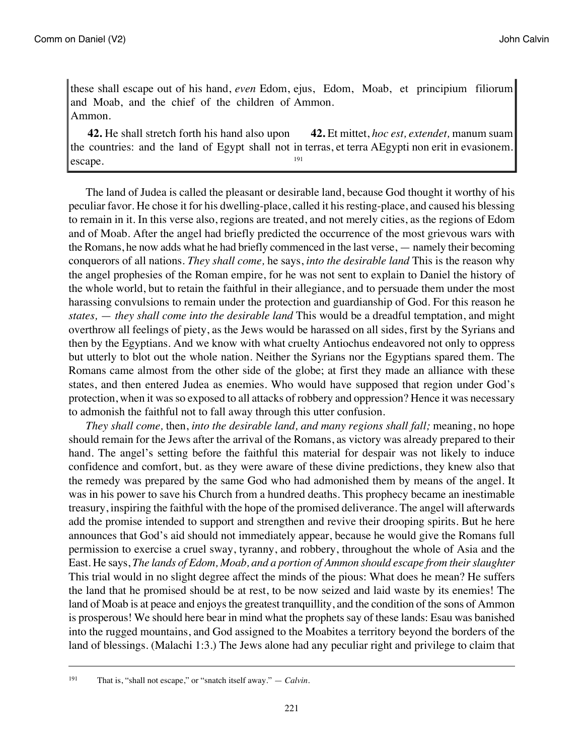these shall escape out of his hand, *even* Edom, ejus, Edom, Moab, et principium filiorum and Moab, and the chief of the children of Ammon. Ammon.

**42.** Et mittet, *hoc est, extendet,* manum suam the countries: and the land of Egypt shall not in terras, et terra AEgypti non erit in evasionem. 191 **42.** He shall stretch forth his hand also upon escape.

The land of Judea is called the pleasant or desirable land, because God thought it worthy of his peculiar favor. He chose it for his dwelling-place, called it his resting-place, and caused his blessing to remain in it. In this verse also, regions are treated, and not merely cities, as the regions of Edom and of Moab. After the angel had briefly predicted the occurrence of the most grievous wars with the Romans, he now adds what he had briefly commenced in the last verse, — namely their becoming conquerors of all nations. *They shall come,* he says, *into the desirable land* This is the reason why the angel prophesies of the Roman empire, for he was not sent to explain to Daniel the history of the whole world, but to retain the faithful in their allegiance, and to persuade them under the most harassing convulsions to remain under the protection and guardianship of God. For this reason he *states,* — *they shall come into the desirable land* This would be a dreadful temptation, and might overthrow all feelings of piety, as the Jews would be harassed on all sides, first by the Syrians and then by the Egyptians. And we know with what cruelty Antiochus endeavored not only to oppress but utterly to blot out the whole nation. Neither the Syrians nor the Egyptians spared them. The Romans came almost from the other side of the globe; at first they made an alliance with these states, and then entered Judea as enemies. Who would have supposed that region under God's protection, when it was so exposed to all attacks of robbery and oppression? Hence it was necessary to admonish the faithful not to fall away through this utter confusion.

*They shall come,* then, *into the desirable land, and many regions shall fall;* meaning, no hope should remain for the Jews after the arrival of the Romans, as victory was already prepared to their hand. The angel's setting before the faithful this material for despair was not likely to induce confidence and comfort, but. as they were aware of these divine predictions, they knew also that the remedy was prepared by the same God who had admonished them by means of the angel. It was in his power to save his Church from a hundred deaths. This prophecy became an inestimable treasury, inspiring the faithful with the hope of the promised deliverance. The angel will afterwards add the promise intended to support and strengthen and revive their drooping spirits. But he here announces that God's aid should not immediately appear, because he would give the Romans full permission to exercise a cruel sway, tyranny, and robbery, throughout the whole of Asia and the East. He says, *The lands of Edom, Moab, and a portion of Ammon should escape from their slaughter* This trial would in no slight degree affect the minds of the pious: What does he mean? He suffers the land that he promised should be at rest, to be now seized and laid waste by its enemies! The land of Moab is at peace and enjoys the greatest tranquillity, and the condition of the sons of Ammon is prosperous! We should here bear in mind what the prophets say of these lands: Esau was banished into the rugged mountains, and God assigned to the Moabites a territory beyond the borders of the land of blessings. (Malachi 1:3.) The Jews alone had any peculiar right and privilege to claim that

<sup>191</sup> That is, "shall not escape," or "snatch itself away." — *Calvin.*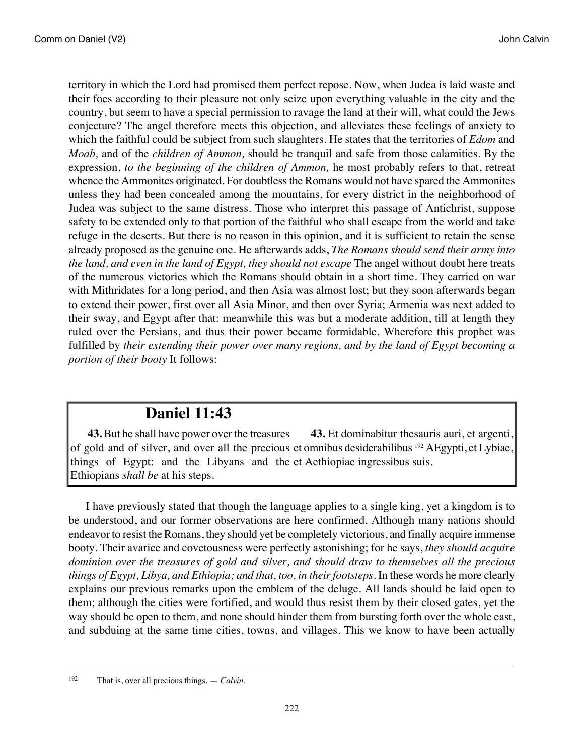territory in which the Lord had promised them perfect repose. Now, when Judea is laid waste and their foes according to their pleasure not only seize upon everything valuable in the city and the country, but seem to have a special permission to ravage the land at their will, what could the Jews conjecture? The angel therefore meets this objection, and alleviates these feelings of anxiety to which the faithful could be subject from such slaughters. He states that the territories of *Edom* and *Moab,* and of the *children of Ammon,* should be tranquil and safe from those calamities. By the expression, *to the beginning of the children of Ammon,* he most probably refers to that, retreat whence the Ammonites originated. For doubtless the Romans would not have spared the Ammonites unless they had been concealed among the mountains, for every district in the neighborhood of Judea was subject to the same distress. Those who interpret this passage of Antichrist, suppose safety to be extended only to that portion of the faithful who shall escape from the world and take refuge in the deserts. But there is no reason in this opinion, and it is sufficient to retain the sense already proposed as the genuine one. He afterwards adds, *The Romans should send their army into the land, and even in the land of Egypt, they should not escape* The angel without doubt here treats of the numerous victories which the Romans should obtain in a short time. They carried on war with Mithridates for a long period, and then Asia was almost lost; but they soon afterwards began to extend their power, first over all Asia Minor, and then over Syria; Armenia was next added to their sway, and Egypt after that: meanwhile this was but a moderate addition, till at length they ruled over the Persians, and thus their power became formidable. Wherefore this prophet was fulfilled by *their extending their power over many regions, and by the land of Egypt becoming a portion of their booty* It follows:

### **Daniel 11:43**

**43.** Et dominabitur thesauris auri, et argenti, of gold and of silver, and over all the precious et omnibus desiderabilibus <sup>192</sup> AEgypti, et Lybiae, things of Egypt: and the Libyans and the et Aethiopiae ingressibus suis. **43.** But he shall have power over the treasures Ethiopians *shall be* at his steps.

I have previously stated that though the language applies to a single king, yet a kingdom is to be understood, and our former observations are here confirmed. Although many nations should endeavor to resist the Romans, they should yet be completely victorious, and finally acquire immense booty. Their avarice and covetousness were perfectly astonishing; for he says, *they should acquire dominion over the treasures of gold and silver, and should draw to themselves all the precious things of Egypt, Libya, and Ethiopia; and that, too, in their footsteps.* In these words he more clearly explains our previous remarks upon the emblem of the deluge. All lands should be laid open to them; although the cities were fortified, and would thus resist them by their closed gates, yet the way should be open to them, and none should hinder them from bursting forth over the whole east, and subduing at the same time cities, towns, and villages. This we know to have been actually

<sup>192</sup> That is, over all precious things. — *Calvin*.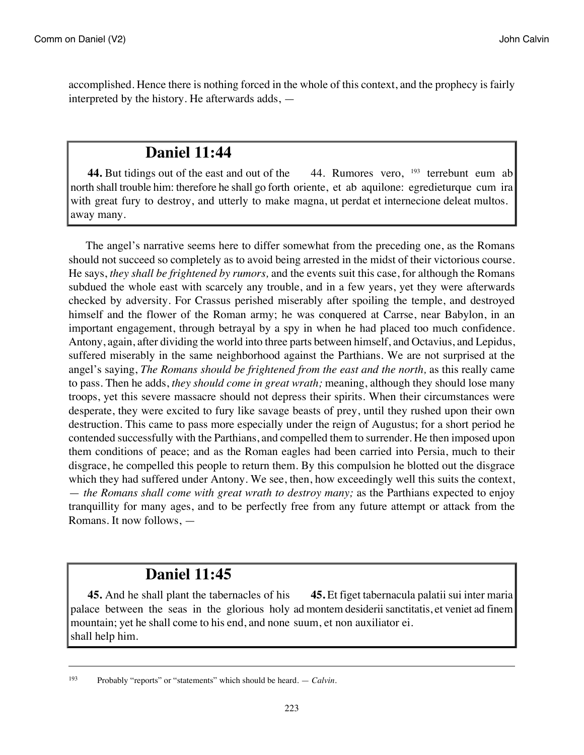accomplished. Hence there is nothing forced in the whole of this context, and the prophecy is fairly interpreted by the history. He afterwards adds, —

## **Daniel 11:44**

44. Rumores vero, 193 terrebunt eum ab north shall trouble him: therefore he shall go forth oriente, et ab aquilone: egredieturque cum ira with great fury to destroy, and utterly to make magna, ut perdat et internecione deleat multos. **44.** But tidings out of the east and out of the away many.

The angel's narrative seems here to differ somewhat from the preceding one, as the Romans should not succeed so completely as to avoid being arrested in the midst of their victorious course. He says, *they shall be frightened by rumors,* and the events suit this case, for although the Romans subdued the whole east with scarcely any trouble, and in a few years, yet they were afterwards checked by adversity. For Crassus perished miserably after spoiling the temple, and destroyed himself and the flower of the Roman army; he was conquered at Carrse, near Babylon, in an important engagement, through betrayal by a spy in when he had placed too much confidence. Antony, again, after dividing the world into three parts between himself, and Octavius, and Lepidus, suffered miserably in the same neighborhood against the Parthians. We are not surprised at the angel's saying, *The Romans should be frightened from the east and the north,* as this really came to pass. Then he adds, *they should come in great wrath;* meaning, although they should lose many troops, yet this severe massacre should not depress their spirits. When their circumstances were desperate, they were excited to fury like savage beasts of prey, until they rushed upon their own destruction. This came to pass more especially under the reign of Augustus; for a short period he contended successfully with the Parthians, and compelled them to surrender. He then imposed upon them conditions of peace; and as the Roman eagles had been carried into Persia, much to their disgrace, he compelled this people to return them. By this compulsion he blotted out the disgrace which they had suffered under Antony. We see, then, how exceedingly well this suits the context, — *the Romans shall come with great wrath to destroy many;* as the Parthians expected to enjoy tranquillity for many ages, and to be perfectly free from any future attempt or attack from the Romans. It now follows, —

### **Daniel 11:45**

**45.** Et figet tabernacula palatii sui inter maria palace between the seas in the glorious holy ad montem desiderii sanctitatis, et veniet ad finem mountain; yet he shall come to his end, and none suum, et non auxiliator ei. **45.** And he shall plant the tabernacles of his shall help him.

<sup>193</sup> Probably "reports" or "statements" which should be heard. — *Calvin.*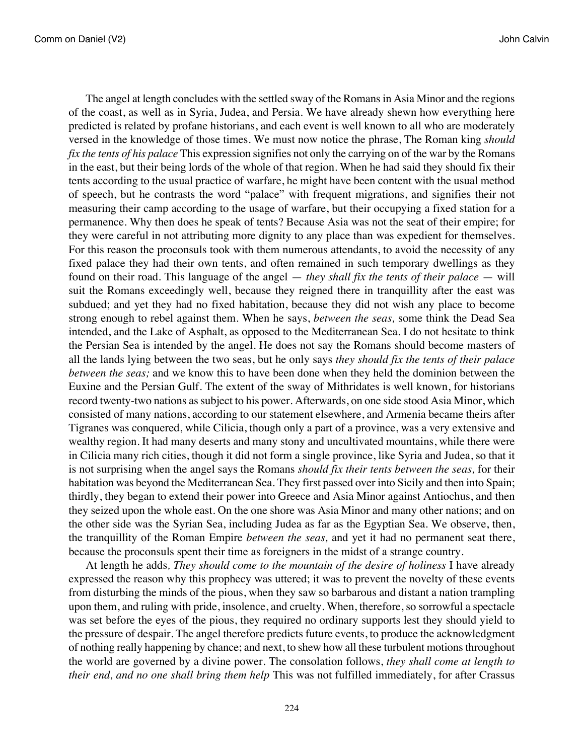The angel at length concludes with the settled sway of the Romans in Asia Minor and the regions of the coast, as well as in Syria, Judea, and Persia. We have already shewn how everything here predicted is related by profane historians, and each event is well known to all who are moderately versed in the knowledge of those times. We must now notice the phrase, The Roman king *should fix the tents of his palace* This expression signifies not only the carrying on of the war by the Romans in the east, but their being lords of the whole of that region. When he had said they should fix their tents according to the usual practice of warfare, he might have been content with the usual method of speech, but he contrasts the word "palace" with frequent migrations, and signifies their not measuring their camp according to the usage of warfare, but their occupying a fixed station for a permanence. Why then does he speak of tents? Because Asia was not the seat of their empire; for they were careful in not attributing more dignity to any place than was expedient for themselves. For this reason the proconsuls took with them numerous attendants, to avoid the necessity of any fixed palace they had their own tents, and often remained in such temporary dwellings as they found on their road. This language of the angel — *they shall fix the tents of their palace* — will suit the Romans exceedingly well, because they reigned there in tranquillity after the east was subdued; and yet they had no fixed habitation, because they did not wish any place to become strong enough to rebel against them. When he says, *between the seas,* some think the Dead Sea intended, and the Lake of Asphalt, as opposed to the Mediterranean Sea. I do not hesitate to think the Persian Sea is intended by the angel. He does not say the Romans should become masters of all the lands lying between the two seas, but he only says *they should fix the tents of their palace between the seas;* and we know this to have been done when they held the dominion between the Euxine and the Persian Gulf. The extent of the sway of Mithridates is well known, for historians record twenty-two nations as subject to his power. Afterwards, on one side stood Asia Minor, which consisted of many nations, according to our statement elsewhere, and Armenia became theirs after Tigranes was conquered, while Cilicia, though only a part of a province, was a very extensive and wealthy region. It had many deserts and many stony and uncultivated mountains, while there were in Cilicia many rich cities, though it did not form a single province, like Syria and Judea, so that it is not surprising when the angel says the Romans *should fix their tents between the seas,* for their habitation was beyond the Mediterranean Sea. They first passed over into Sicily and then into Spain; thirdly, they began to extend their power into Greece and Asia Minor against Antiochus, and then they seized upon the whole east. On the one shore was Asia Minor and many other nations; and on the other side was the Syrian Sea, including Judea as far as the Egyptian Sea. We observe, then, the tranquillity of the Roman Empire *between the seas,* and yet it had no permanent seat there, because the proconsuls spent their time as foreigners in the midst of a strange country.

At length he adds*, They should come to the mountain of the desire of holiness* I have already expressed the reason why this prophecy was uttered; it was to prevent the novelty of these events from disturbing the minds of the pious, when they saw so barbarous and distant a nation trampling upon them, and ruling with pride, insolence, and cruelty. When, therefore, so sorrowful a spectacle was set before the eyes of the pious, they required no ordinary supports lest they should yield to the pressure of despair. The angel therefore predicts future events, to produce the acknowledgment of nothing really happening by chance; and next, to shew how all these turbulent motions throughout the world are governed by a divine power. The consolation follows, *they shall come at length to their end, and no one shall bring them help* This was not fulfilled immediately, for after Crassus